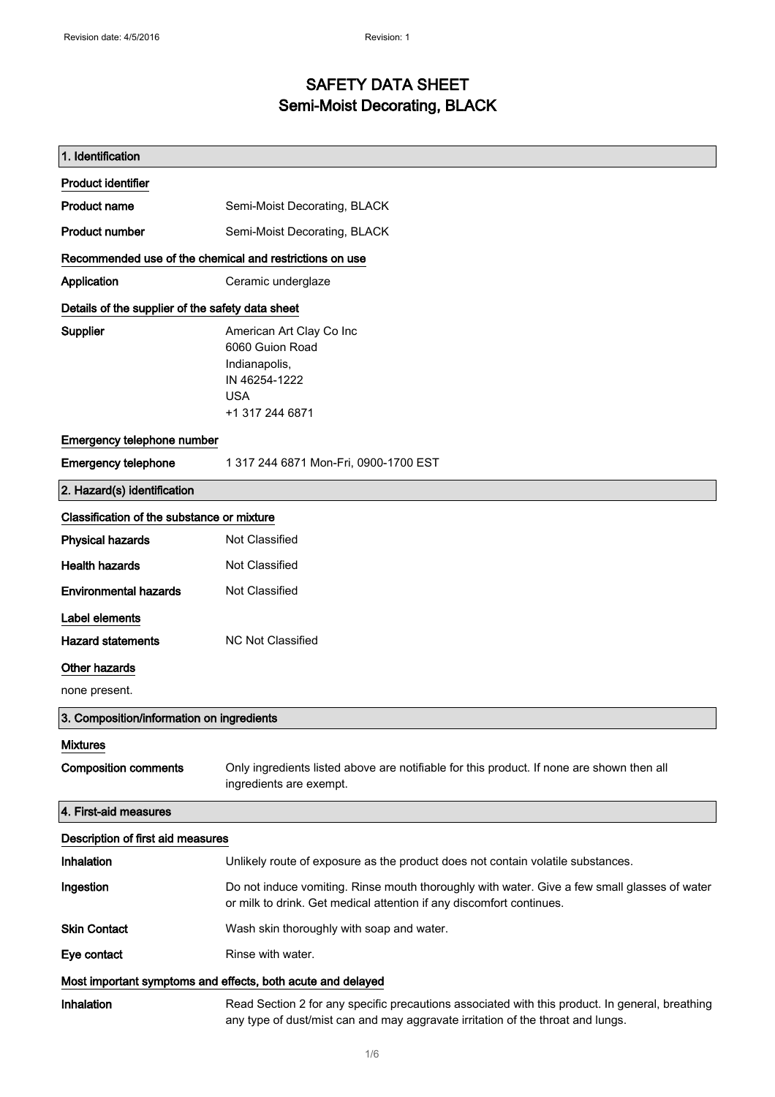### SAFETY DATA SHEET Semi-Moist Decorating, BLACK

| 1. Identification                                |                                                                                                                                                                                    |  |
|--------------------------------------------------|------------------------------------------------------------------------------------------------------------------------------------------------------------------------------------|--|
| <b>Product identifier</b>                        |                                                                                                                                                                                    |  |
| <b>Product name</b>                              | Semi-Moist Decorating, BLACK                                                                                                                                                       |  |
| <b>Product number</b>                            | Semi-Moist Decorating, BLACK                                                                                                                                                       |  |
|                                                  | Recommended use of the chemical and restrictions on use                                                                                                                            |  |
| Application                                      | Ceramic underglaze                                                                                                                                                                 |  |
| Details of the supplier of the safety data sheet |                                                                                                                                                                                    |  |
| <b>Supplier</b>                                  | American Art Clay Co Inc<br>6060 Guion Road<br>Indianapolis,<br>IN 46254-1222<br><b>USA</b><br>+1 317 244 6871                                                                     |  |
| Emergency telephone number                       |                                                                                                                                                                                    |  |
| <b>Emergency telephone</b>                       | 1 317 244 6871 Mon-Fri, 0900-1700 EST                                                                                                                                              |  |
| 2. Hazard(s) identification                      |                                                                                                                                                                                    |  |
| Classification of the substance or mixture       |                                                                                                                                                                                    |  |
| <b>Physical hazards</b>                          | Not Classified                                                                                                                                                                     |  |
| <b>Health hazards</b>                            | Not Classified                                                                                                                                                                     |  |
| <b>Environmental hazards</b>                     | Not Classified                                                                                                                                                                     |  |
| Label elements                                   |                                                                                                                                                                                    |  |
| <b>Hazard statements</b>                         | <b>NC Not Classified</b>                                                                                                                                                           |  |
| Other hazards                                    |                                                                                                                                                                                    |  |
| none present.                                    |                                                                                                                                                                                    |  |
| 3. Composition/information on ingredients        |                                                                                                                                                                                    |  |
| <b>Mixtures</b>                                  |                                                                                                                                                                                    |  |
| <b>Composition comments</b>                      | Only ingredients listed above are notifiable for this product. If none are shown then all<br>ingredients are exempt.                                                               |  |
| 4. First-aid measures                            |                                                                                                                                                                                    |  |
| Description of first aid measures                |                                                                                                                                                                                    |  |
| Inhalation                                       | Unlikely route of exposure as the product does not contain volatile substances.                                                                                                    |  |
| Ingestion                                        | Do not induce vomiting. Rinse mouth thoroughly with water. Give a few small glasses of water<br>or milk to drink. Get medical attention if any discomfort continues.               |  |
| <b>Skin Contact</b>                              | Wash skin thoroughly with soap and water.                                                                                                                                          |  |
| Eye contact                                      | Rinse with water.                                                                                                                                                                  |  |
|                                                  | Most important symptoms and effects, both acute and delayed                                                                                                                        |  |
| Inhalation                                       | Read Section 2 for any specific precautions associated with this product. In general, breathing<br>any type of dust/mist can and may aggravate irritation of the throat and lungs. |  |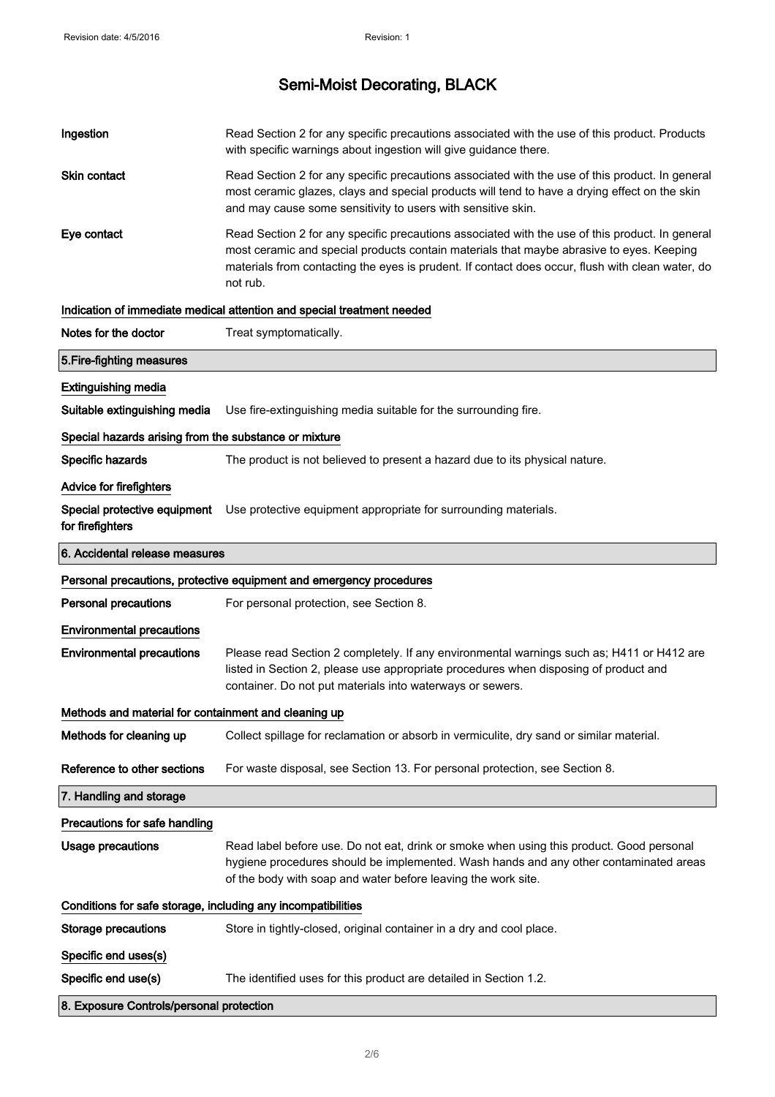| Ingestion                                                              | Read Section 2 for any specific precautions associated with the use of this product. Products<br>with specific warnings about ingestion will give guidance there.                                                                                                                                           |  |
|------------------------------------------------------------------------|-------------------------------------------------------------------------------------------------------------------------------------------------------------------------------------------------------------------------------------------------------------------------------------------------------------|--|
| <b>Skin contact</b>                                                    | Read Section 2 for any specific precautions associated with the use of this product. In general<br>most ceramic glazes, clays and special products will tend to have a drying effect on the skin<br>and may cause some sensitivity to users with sensitive skin.                                            |  |
| Eye contact                                                            | Read Section 2 for any specific precautions associated with the use of this product. In general<br>most ceramic and special products contain materials that maybe abrasive to eyes. Keeping<br>materials from contacting the eyes is prudent. If contact does occur, flush with clean water, do<br>not rub. |  |
| Indication of immediate medical attention and special treatment needed |                                                                                                                                                                                                                                                                                                             |  |
| Notes for the doctor                                                   | Treat symptomatically.                                                                                                                                                                                                                                                                                      |  |
| 5. Fire-fighting measures                                              |                                                                                                                                                                                                                                                                                                             |  |
| <b>Extinguishing media</b>                                             |                                                                                                                                                                                                                                                                                                             |  |
| Suitable extinguishing media                                           | Use fire-extinguishing media suitable for the surrounding fire.                                                                                                                                                                                                                                             |  |
| Special hazards arising from the substance or mixture                  |                                                                                                                                                                                                                                                                                                             |  |
| Specific hazards                                                       | The product is not believed to present a hazard due to its physical nature.                                                                                                                                                                                                                                 |  |
| Advice for firefighters                                                |                                                                                                                                                                                                                                                                                                             |  |
| Special protective equipment<br>for firefighters                       | Use protective equipment appropriate for surrounding materials.                                                                                                                                                                                                                                             |  |
| 6. Accidental release measures                                         |                                                                                                                                                                                                                                                                                                             |  |
|                                                                        | Personal precautions, protective equipment and emergency procedures                                                                                                                                                                                                                                         |  |
| <b>Personal precautions</b>                                            | For personal protection, see Section 8.                                                                                                                                                                                                                                                                     |  |
| <b>Environmental precautions</b>                                       |                                                                                                                                                                                                                                                                                                             |  |
| <b>Environmental precautions</b>                                       | Please read Section 2 completely. If any environmental warnings such as; H411 or H412 are<br>listed in Section 2, please use appropriate procedures when disposing of product and<br>container. Do not put materials into waterways or sewers.                                                              |  |
| Methods and material for containment and cleaning up                   |                                                                                                                                                                                                                                                                                                             |  |
|                                                                        |                                                                                                                                                                                                                                                                                                             |  |
| Methods for cleaning up                                                | Collect spillage for reclamation or absorb in vermiculite, dry sand or similar material.                                                                                                                                                                                                                    |  |
| Reference to other sections                                            | For waste disposal, see Section 13. For personal protection, see Section 8.                                                                                                                                                                                                                                 |  |
| 7. Handling and storage                                                |                                                                                                                                                                                                                                                                                                             |  |
| Precautions for safe handling                                          |                                                                                                                                                                                                                                                                                                             |  |
| <b>Usage precautions</b>                                               | Read label before use. Do not eat, drink or smoke when using this product. Good personal                                                                                                                                                                                                                    |  |
|                                                                        | hygiene procedures should be implemented. Wash hands and any other contaminated areas<br>of the body with soap and water before leaving the work site.                                                                                                                                                      |  |
| Conditions for safe storage, including any incompatibilities           |                                                                                                                                                                                                                                                                                                             |  |
| <b>Storage precautions</b>                                             | Store in tightly-closed, original container in a dry and cool place.                                                                                                                                                                                                                                        |  |
| Specific end uses(s)                                                   |                                                                                                                                                                                                                                                                                                             |  |
| Specific end use(s)                                                    | The identified uses for this product are detailed in Section 1.2.                                                                                                                                                                                                                                           |  |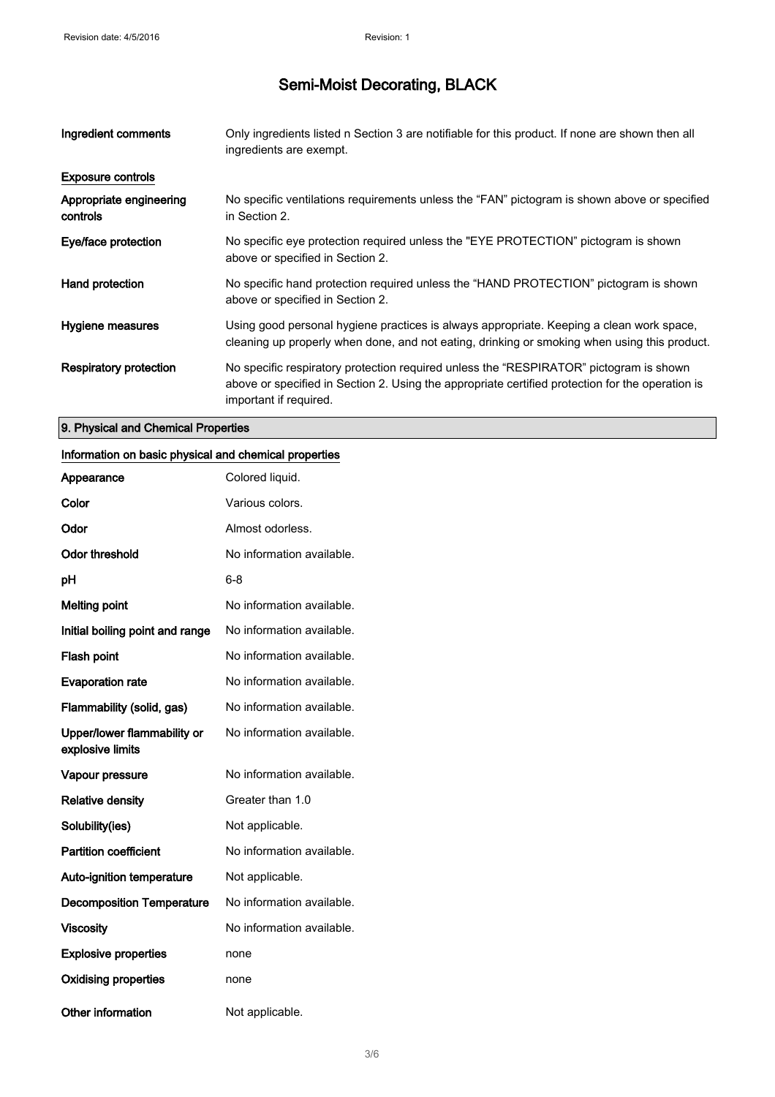| Ingredient comments                 | Only ingredients listed n Section 3 are notifiable for this product. If none are shown then all<br>ingredients are exempt.                                                                                           |
|-------------------------------------|----------------------------------------------------------------------------------------------------------------------------------------------------------------------------------------------------------------------|
| <b>Exposure controls</b>            |                                                                                                                                                                                                                      |
| Appropriate engineering<br>controls | No specific ventilations requirements unless the "FAN" pictogram is shown above or specified<br>in Section 2.                                                                                                        |
| Eye/face protection                 | No specific eye protection required unless the "EYE PROTECTION" pictogram is shown<br>above or specified in Section 2.                                                                                               |
| Hand protection                     | No specific hand protection required unless the "HAND PROTECTION" pictogram is shown<br>above or specified in Section 2.                                                                                             |
| Hygiene measures                    | Using good personal hygiene practices is always appropriate. Keeping a clean work space,<br>cleaning up properly when done, and not eating, drinking or smoking when using this product.                             |
| Respiratory protection              | No specific respiratory protection required unless the "RESPIRATOR" pictogram is shown<br>above or specified in Section 2. Using the appropriate certified protection for the operation is<br>important if required. |

### 9. Physical and Chemical Properties

#### Information on basic physical and chemical properties

| Appearance                                      | Colored liquid.           |
|-------------------------------------------------|---------------------------|
| Color                                           | Various colors.           |
| Odor                                            | Almost odorless.          |
| <b>Odor threshold</b>                           | No information available. |
| рH                                              | 6-8                       |
| <b>Melting point</b>                            | No information available. |
| Initial boiling point and range                 | No information available. |
| Flash point                                     | No information available. |
| <b>Evaporation rate</b>                         | No information available. |
| Flammability (solid, gas)                       | No information available. |
| Upper/lower flammability or<br>explosive limits | No information available. |
| Vapour pressure                                 | No information available. |
| <b>Relative density</b>                         | Greater than 1.0          |
| Solubility(ies)                                 | Not applicable.           |
| <b>Partition coefficient</b>                    | No information available. |
| <b>Auto-ignition temperature</b>                | Not applicable.           |
| <b>Decomposition Temperature</b>                | No information available. |
| <b>Viscosity</b>                                | No information available. |
| <b>Explosive properties</b>                     | none                      |
| <b>Oxidising properties</b>                     | none                      |
| <b>Other information</b>                        | Not applicable.           |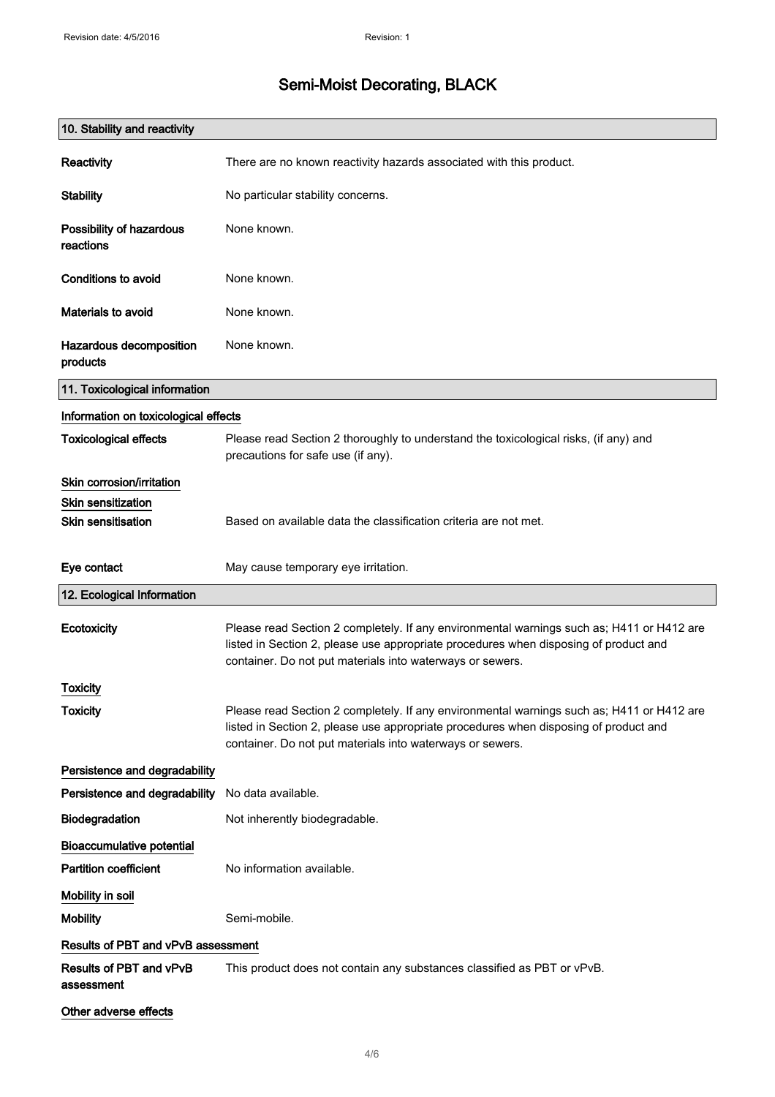| 10. Stability and reactivity                 |                                                                                                                                                                                                                                                |
|----------------------------------------------|------------------------------------------------------------------------------------------------------------------------------------------------------------------------------------------------------------------------------------------------|
| Reactivity                                   | There are no known reactivity hazards associated with this product.                                                                                                                                                                            |
| <b>Stability</b>                             | No particular stability concerns.                                                                                                                                                                                                              |
| Possibility of hazardous<br>reactions        | None known.                                                                                                                                                                                                                                    |
| Conditions to avoid                          | None known.                                                                                                                                                                                                                                    |
| Materials to avoid                           | None known.                                                                                                                                                                                                                                    |
| Hazardous decomposition<br>products          | None known.                                                                                                                                                                                                                                    |
| 11. Toxicological information                |                                                                                                                                                                                                                                                |
| Information on toxicological effects         |                                                                                                                                                                                                                                                |
| <b>Toxicological effects</b>                 | Please read Section 2 thoroughly to understand the toxicological risks, (if any) and<br>precautions for safe use (if any).                                                                                                                     |
| Skin corrosion/irritation                    |                                                                                                                                                                                                                                                |
| <b>Skin sensitization</b>                    |                                                                                                                                                                                                                                                |
| <b>Skin sensitisation</b>                    | Based on available data the classification criteria are not met.                                                                                                                                                                               |
| Eye contact                                  | May cause temporary eye irritation.                                                                                                                                                                                                            |
| 12. Ecological Information                   |                                                                                                                                                                                                                                                |
| Ecotoxicity                                  | Please read Section 2 completely. If any environmental warnings such as; H411 or H412 are<br>listed in Section 2, please use appropriate procedures when disposing of product and<br>container. Do not put materials into waterways or sewers. |
| Toxicity                                     |                                                                                                                                                                                                                                                |
| Toxicity                                     | Please read Section 2 completely. If any environmental warnings such as; H411 or H412 are<br>listed in Section 2, please use appropriate procedures when disposing of product and<br>container. Do not put materials into waterways or sewers. |
| Persistence and degradability                |                                                                                                                                                                                                                                                |
| Persistence and degradability                | No data available.                                                                                                                                                                                                                             |
| Biodegradation                               | Not inherently biodegradable.                                                                                                                                                                                                                  |
| <b>Bioaccumulative potential</b>             |                                                                                                                                                                                                                                                |
| <b>Partition coefficient</b>                 | No information available.                                                                                                                                                                                                                      |
| Mobility in soil                             |                                                                                                                                                                                                                                                |
| <b>Mobility</b>                              | Semi-mobile.                                                                                                                                                                                                                                   |
| Results of PBT and vPvB assessment           |                                                                                                                                                                                                                                                |
| <b>Results of PBT and vPvB</b><br>assessment | This product does not contain any substances classified as PBT or vPvB.                                                                                                                                                                        |
| Other adverse effects                        |                                                                                                                                                                                                                                                |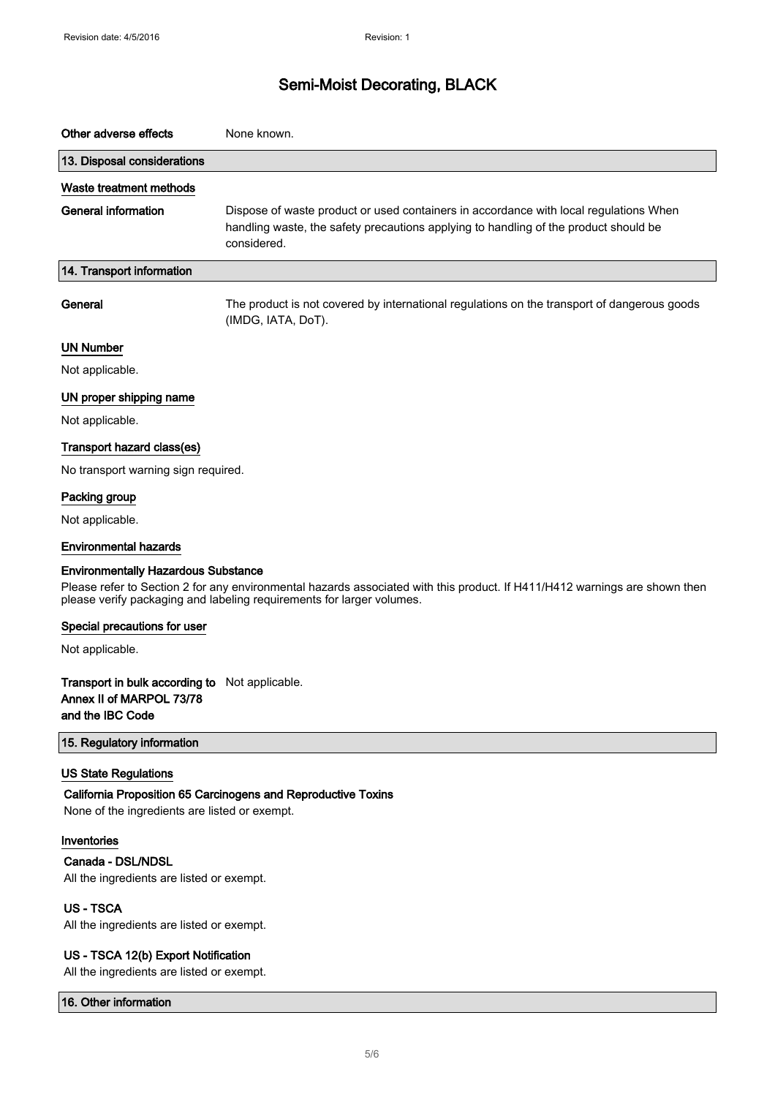| Other adverse effects                                                                          | None known.                                                                                                                                                                                         |
|------------------------------------------------------------------------------------------------|-----------------------------------------------------------------------------------------------------------------------------------------------------------------------------------------------------|
| 13. Disposal considerations                                                                    |                                                                                                                                                                                                     |
| Waste treatment methods                                                                        |                                                                                                                                                                                                     |
| <b>General information</b>                                                                     | Dispose of waste product or used containers in accordance with local regulations When<br>handling waste, the safety precautions applying to handling of the product should be<br>considered.        |
| 14. Transport information                                                                      |                                                                                                                                                                                                     |
| General                                                                                        | The product is not covered by international regulations on the transport of dangerous goods<br>(IMDG, IATA, DoT).                                                                                   |
| <b>UN Number</b>                                                                               |                                                                                                                                                                                                     |
| Not applicable.                                                                                |                                                                                                                                                                                                     |
| UN proper shipping name                                                                        |                                                                                                                                                                                                     |
| Not applicable.                                                                                |                                                                                                                                                                                                     |
| Transport hazard class(es)                                                                     |                                                                                                                                                                                                     |
| No transport warning sign required.                                                            |                                                                                                                                                                                                     |
| Packing group                                                                                  |                                                                                                                                                                                                     |
| Not applicable.                                                                                |                                                                                                                                                                                                     |
| <b>Environmental hazards</b>                                                                   |                                                                                                                                                                                                     |
| <b>Environmentally Hazardous Substance</b>                                                     | Please refer to Section 2 for any environmental hazards associated with this product. If H411/H412 warnings are shown then<br>please verify packaging and labeling requirements for larger volumes. |
| Special precautions for user                                                                   |                                                                                                                                                                                                     |
| Not applicable.                                                                                |                                                                                                                                                                                                     |
| Transport in bulk according to Not applicable.<br>Annex II of MARPOL 73/78<br>and the IBC Code |                                                                                                                                                                                                     |
| 15. Regulatory information                                                                     |                                                                                                                                                                                                     |
| <b>US State Regulations</b><br>None of the ingredients are listed or exempt.                   | California Proposition 65 Carcinogens and Reproductive Toxins                                                                                                                                       |
| Inventories<br>Canada - DSL/NDSL<br>All the ingredients are listed or exempt.                  |                                                                                                                                                                                                     |
| <b>US-TSCA</b><br>All the ingredients are listed or exempt.                                    |                                                                                                                                                                                                     |
| US - TSCA 12(b) Export Notification                                                            |                                                                                                                                                                                                     |

All the ingredients are listed or exempt.

16. Other information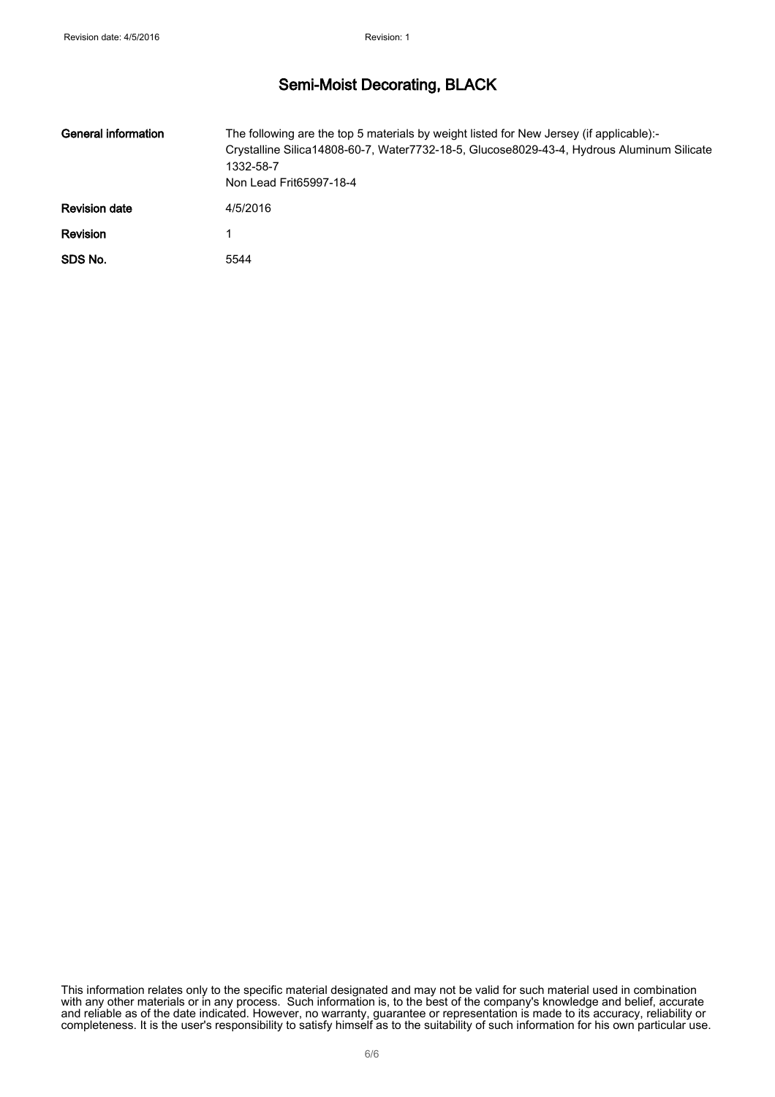| General information  | The following are the top 5 materials by weight listed for New Jersey (if applicable):-<br>Crystalline Silica14808-60-7, Water7732-18-5, Glucose8029-43-4, Hydrous Aluminum Silicate<br>1332-58-7<br>Non Lead Frit65997-18-4 |
|----------------------|------------------------------------------------------------------------------------------------------------------------------------------------------------------------------------------------------------------------------|
| <b>Revision date</b> | 4/5/2016                                                                                                                                                                                                                     |
| <b>Revision</b>      |                                                                                                                                                                                                                              |
| SDS No.              | 5544                                                                                                                                                                                                                         |

This information relates only to the specific material designated and may not be valid for such material used in combination with any other materials or in any process. Such information is, to the best of the company's knowledge and belief, accurate and reliable as of the date indicated. However, no warranty, guarantee or representation is made to its accuracy, reliability or completeness. It is the user's responsibility to satisfy himself as to the suitability of such information for his own particular use.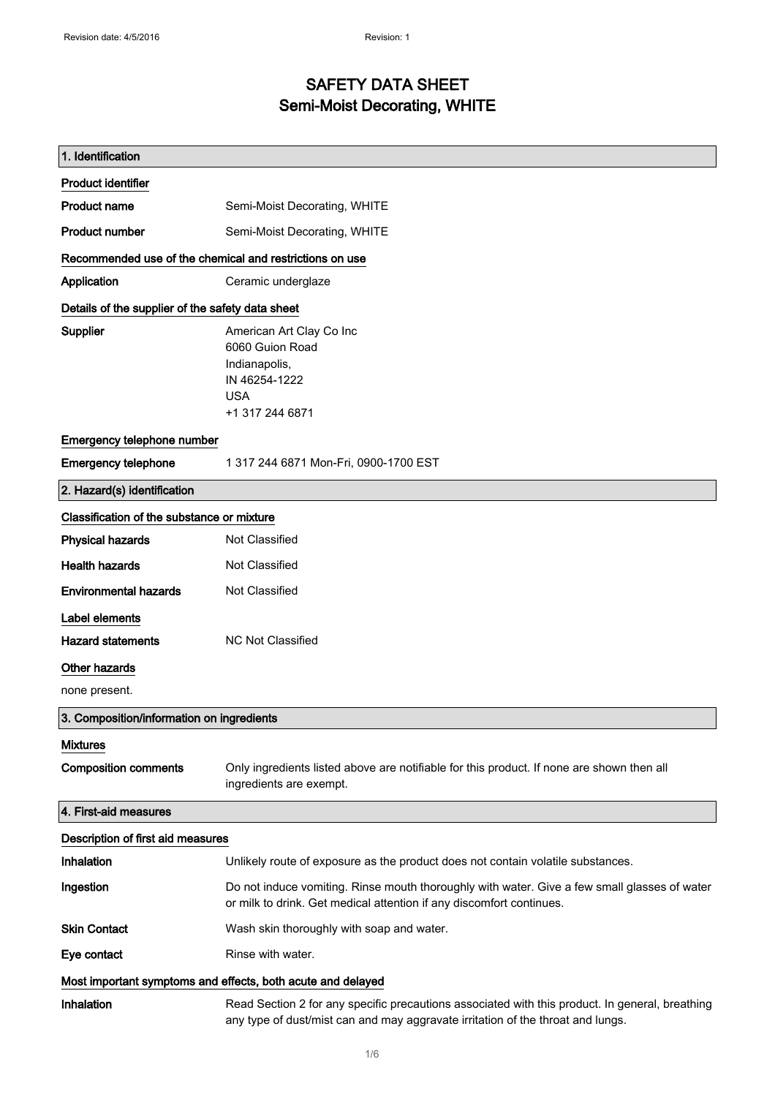### SAFETY DATA SHEET Semi-Moist Decorating, WHITE

| 1. Identification                                       |                                                                                                                                                                                    |  |  |
|---------------------------------------------------------|------------------------------------------------------------------------------------------------------------------------------------------------------------------------------------|--|--|
| <b>Product identifier</b>                               |                                                                                                                                                                                    |  |  |
| <b>Product name</b>                                     | Semi-Moist Decorating, WHITE                                                                                                                                                       |  |  |
| <b>Product number</b>                                   | Semi-Moist Decorating, WHITE                                                                                                                                                       |  |  |
| Recommended use of the chemical and restrictions on use |                                                                                                                                                                                    |  |  |
| Application                                             | Ceramic underglaze                                                                                                                                                                 |  |  |
|                                                         | Details of the supplier of the safety data sheet                                                                                                                                   |  |  |
| Supplier                                                | American Art Clay Co Inc<br>6060 Guion Road<br>Indianapolis,<br>IN 46254-1222<br><b>USA</b><br>+1 317 244 6871                                                                     |  |  |
| Emergency telephone number                              |                                                                                                                                                                                    |  |  |
| <b>Emergency telephone</b>                              | 1 317 244 6871 Mon-Fri, 0900-1700 EST                                                                                                                                              |  |  |
| 2. Hazard(s) identification                             |                                                                                                                                                                                    |  |  |
| Classification of the substance or mixture              |                                                                                                                                                                                    |  |  |
| <b>Physical hazards</b>                                 | Not Classified                                                                                                                                                                     |  |  |
| <b>Health hazards</b>                                   | Not Classified                                                                                                                                                                     |  |  |
| <b>Environmental hazards</b>                            | Not Classified                                                                                                                                                                     |  |  |
| Label elements                                          |                                                                                                                                                                                    |  |  |
| <b>Hazard statements</b>                                | <b>NC Not Classified</b>                                                                                                                                                           |  |  |
| <b>Other hazards</b>                                    |                                                                                                                                                                                    |  |  |
| none present.                                           |                                                                                                                                                                                    |  |  |
| 3. Composition/information on ingredients               |                                                                                                                                                                                    |  |  |
| <b>Mixtures</b>                                         |                                                                                                                                                                                    |  |  |
| <b>Composition comments</b>                             | Only ingredients listed above are notifiable for this product. If none are shown then all<br>ingredients are exempt.                                                               |  |  |
| 4. First-aid measures                                   |                                                                                                                                                                                    |  |  |
| Description of first aid measures                       |                                                                                                                                                                                    |  |  |
| Inhalation                                              | Unlikely route of exposure as the product does not contain volatile substances.                                                                                                    |  |  |
| Ingestion                                               | Do not induce vomiting. Rinse mouth thoroughly with water. Give a few small glasses of water<br>or milk to drink. Get medical attention if any discomfort continues.               |  |  |
| <b>Skin Contact</b>                                     | Wash skin thoroughly with soap and water.                                                                                                                                          |  |  |
| Eye contact                                             | Rinse with water.                                                                                                                                                                  |  |  |
|                                                         | Most important symptoms and effects, both acute and delayed                                                                                                                        |  |  |
| Inhalation                                              | Read Section 2 for any specific precautions associated with this product. In general, breathing<br>any type of dust/mist can and may aggravate irritation of the throat and lungs. |  |  |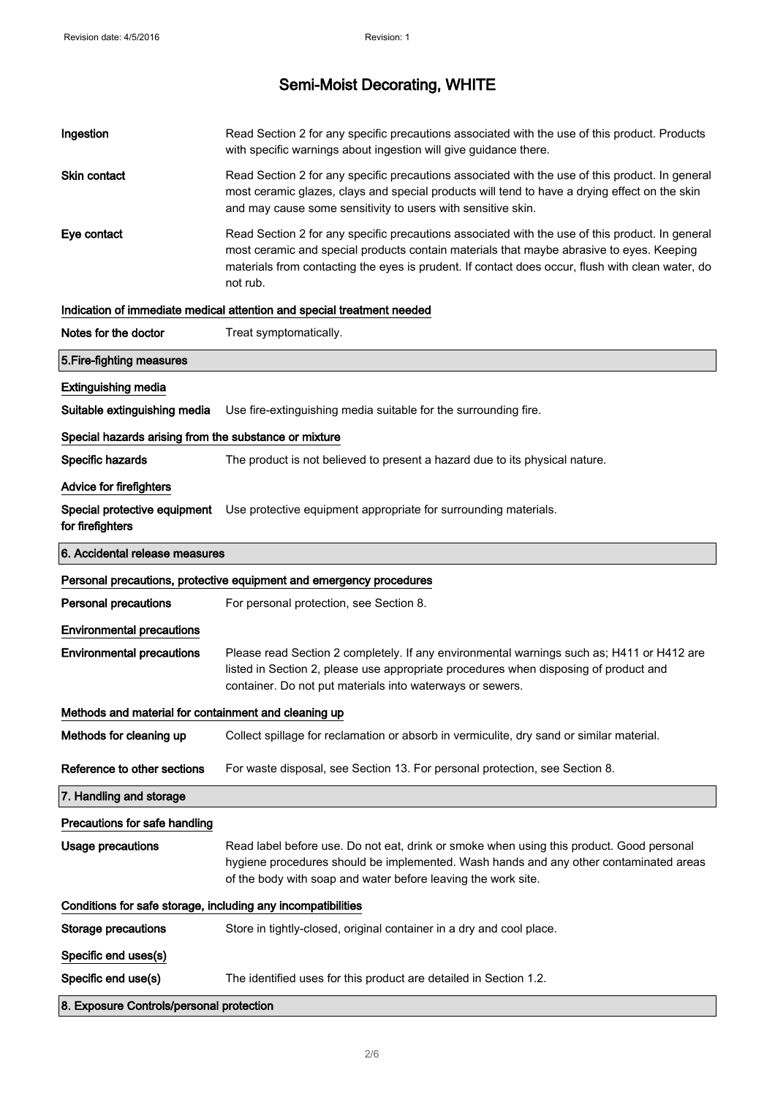| Ingestion                                                              | Read Section 2 for any specific precautions associated with the use of this product. Products<br>with specific warnings about ingestion will give guidance there.                                                                                                                                           |  |
|------------------------------------------------------------------------|-------------------------------------------------------------------------------------------------------------------------------------------------------------------------------------------------------------------------------------------------------------------------------------------------------------|--|
| <b>Skin contact</b>                                                    | Read Section 2 for any specific precautions associated with the use of this product. In general<br>most ceramic glazes, clays and special products will tend to have a drying effect on the skin<br>and may cause some sensitivity to users with sensitive skin.                                            |  |
| Eye contact                                                            | Read Section 2 for any specific precautions associated with the use of this product. In general<br>most ceramic and special products contain materials that maybe abrasive to eyes. Keeping<br>materials from contacting the eyes is prudent. If contact does occur, flush with clean water, do<br>not rub. |  |
| Indication of immediate medical attention and special treatment needed |                                                                                                                                                                                                                                                                                                             |  |
| Notes for the doctor                                                   | Treat symptomatically.                                                                                                                                                                                                                                                                                      |  |
| 5. Fire-fighting measures                                              |                                                                                                                                                                                                                                                                                                             |  |
| <b>Extinguishing media</b>                                             |                                                                                                                                                                                                                                                                                                             |  |
| Suitable extinguishing media                                           | Use fire-extinguishing media suitable for the surrounding fire.                                                                                                                                                                                                                                             |  |
| Special hazards arising from the substance or mixture                  |                                                                                                                                                                                                                                                                                                             |  |
| Specific hazards                                                       | The product is not believed to present a hazard due to its physical nature.                                                                                                                                                                                                                                 |  |
| Advice for firefighters                                                |                                                                                                                                                                                                                                                                                                             |  |
| Special protective equipment<br>for firefighters                       | Use protective equipment appropriate for surrounding materials.                                                                                                                                                                                                                                             |  |
| 6. Accidental release measures                                         |                                                                                                                                                                                                                                                                                                             |  |
|                                                                        | Personal precautions, protective equipment and emergency procedures                                                                                                                                                                                                                                         |  |
| <b>Personal precautions</b>                                            | For personal protection, see Section 8.                                                                                                                                                                                                                                                                     |  |
| <b>Environmental precautions</b>                                       |                                                                                                                                                                                                                                                                                                             |  |
| <b>Environmental precautions</b>                                       | Please read Section 2 completely. If any environmental warnings such as; H411 or H412 are<br>listed in Section 2, please use appropriate procedures when disposing of product and<br>container. Do not put materials into waterways or sewers.                                                              |  |
| Methods and material for containment and cleaning up                   |                                                                                                                                                                                                                                                                                                             |  |
| Methods for cleaning up                                                | Collect spillage for reclamation or absorb in vermiculite, dry sand or similar material.                                                                                                                                                                                                                    |  |
| Reference to other sections                                            | For waste disposal, see Section 13. For personal protection, see Section 8.                                                                                                                                                                                                                                 |  |
| 7. Handling and storage                                                |                                                                                                                                                                                                                                                                                                             |  |
| Precautions for safe handling                                          |                                                                                                                                                                                                                                                                                                             |  |
| <b>Usage precautions</b>                                               | Read label before use. Do not eat, drink or smoke when using this product. Good personal                                                                                                                                                                                                                    |  |
|                                                                        | hygiene procedures should be implemented. Wash hands and any other contaminated areas<br>of the body with soap and water before leaving the work site.                                                                                                                                                      |  |
| Conditions for safe storage, including any incompatibilities           |                                                                                                                                                                                                                                                                                                             |  |
| <b>Storage precautions</b>                                             | Store in tightly-closed, original container in a dry and cool place.                                                                                                                                                                                                                                        |  |
| Specific end uses(s)                                                   |                                                                                                                                                                                                                                                                                                             |  |
|                                                                        |                                                                                                                                                                                                                                                                                                             |  |
| Specific end use(s)                                                    | The identified uses for this product are detailed in Section 1.2.                                                                                                                                                                                                                                           |  |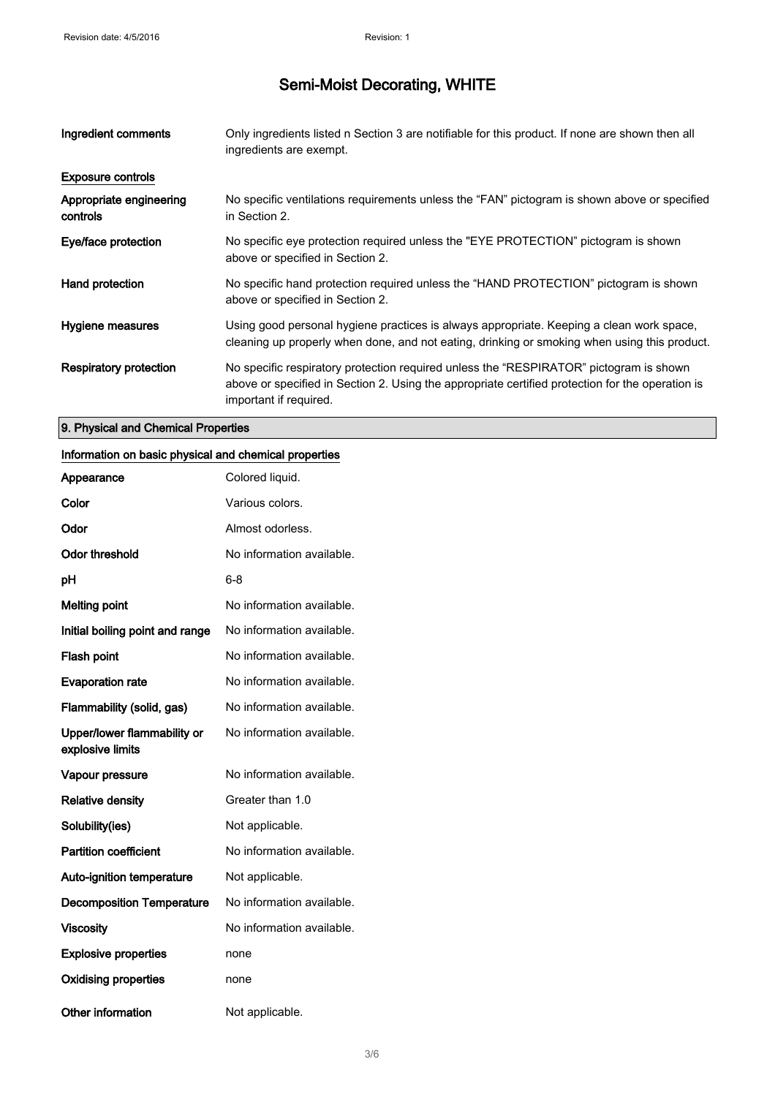| Ingredient comments                 | Only ingredients listed n Section 3 are notifiable for this product. If none are shown then all<br>ingredients are exempt.                                                                                           |
|-------------------------------------|----------------------------------------------------------------------------------------------------------------------------------------------------------------------------------------------------------------------|
| <b>Exposure controls</b>            |                                                                                                                                                                                                                      |
| Appropriate engineering<br>controls | No specific ventilations requirements unless the "FAN" pictogram is shown above or specified<br>in Section 2.                                                                                                        |
| Eye/face protection                 | No specific eye protection required unless the "EYE PROTECTION" pictogram is shown<br>above or specified in Section 2.                                                                                               |
| Hand protection                     | No specific hand protection required unless the "HAND PROTECTION" pictogram is shown<br>above or specified in Section 2.                                                                                             |
| Hygiene measures                    | Using good personal hygiene practices is always appropriate. Keeping a clean work space,<br>cleaning up properly when done, and not eating, drinking or smoking when using this product.                             |
| Respiratory protection              | No specific respiratory protection required unless the "RESPIRATOR" pictogram is shown<br>above or specified in Section 2. Using the appropriate certified protection for the operation is<br>important if required. |

### 9. Physical and Chemical Properties

### Information on basic physical and chemical properties

| Appearance                                      | Colored liquid.           |
|-------------------------------------------------|---------------------------|
| Color                                           | Various colors.           |
| Odor                                            | Almost odorless.          |
| <b>Odor threshold</b>                           | No information available. |
| рH                                              | 6-8                       |
| <b>Melting point</b>                            | No information available. |
| Initial boiling point and range                 | No information available. |
| <b>Flash point</b>                              | No information available. |
| <b>Evaporation rate</b>                         | No information available. |
| Flammability (solid, gas)                       | No information available. |
| Upper/lower flammability or<br>explosive limits | No information available. |
| Vapour pressure                                 | No information available. |
| <b>Relative density</b>                         | Greater than 1.0          |
| Solubility(ies)                                 | Not applicable.           |
| <b>Partition coefficient</b>                    | No information available. |
| <b>Auto-ignition temperature</b>                | Not applicable.           |
| <b>Decomposition Temperature</b>                | No information available. |
| Viscosity                                       | No information available. |
| <b>Explosive properties</b>                     | none                      |
| <b>Oxidising properties</b>                     | none                      |
| Other information                               | Not applicable.           |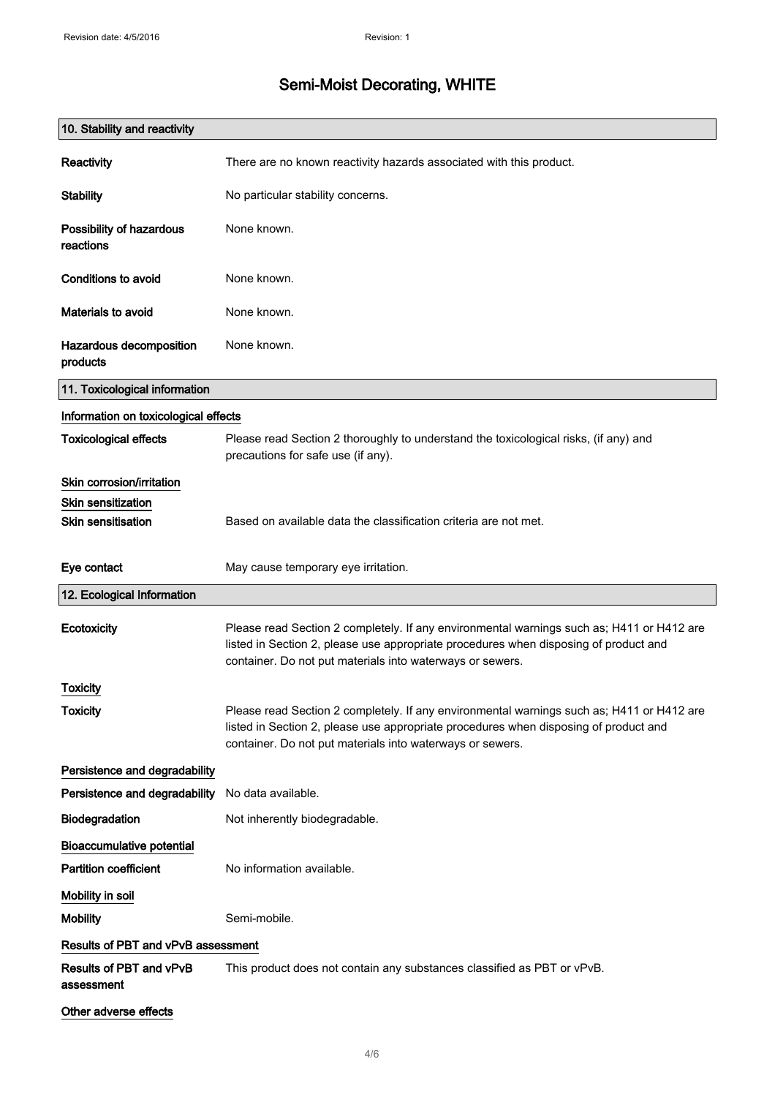| 10. Stability and reactivity          |                                                                                                                                                                                                                                                |
|---------------------------------------|------------------------------------------------------------------------------------------------------------------------------------------------------------------------------------------------------------------------------------------------|
| Reactivity                            | There are no known reactivity hazards associated with this product.                                                                                                                                                                            |
| <b>Stability</b>                      | No particular stability concerns.                                                                                                                                                                                                              |
| Possibility of hazardous<br>reactions | None known.                                                                                                                                                                                                                                    |
| Conditions to avoid                   | None known.                                                                                                                                                                                                                                    |
| Materials to avoid                    | None known.                                                                                                                                                                                                                                    |
| Hazardous decomposition<br>products   | None known.                                                                                                                                                                                                                                    |
| 11. Toxicological information         |                                                                                                                                                                                                                                                |
| Information on toxicological effects  |                                                                                                                                                                                                                                                |
| <b>Toxicological effects</b>          | Please read Section 2 thoroughly to understand the toxicological risks, (if any) and<br>precautions for safe use (if any).                                                                                                                     |
| Skin corrosion/irritation             |                                                                                                                                                                                                                                                |
| <b>Skin sensitization</b>             |                                                                                                                                                                                                                                                |
| <b>Skin sensitisation</b>             | Based on available data the classification criteria are not met.                                                                                                                                                                               |
| Eye contact                           | May cause temporary eye irritation.                                                                                                                                                                                                            |
| 12. Ecological Information            |                                                                                                                                                                                                                                                |
| Ecotoxicity                           | Please read Section 2 completely. If any environmental warnings such as; H411 or H412 are<br>listed in Section 2, please use appropriate procedures when disposing of product and<br>container. Do not put materials into waterways or sewers. |
| Toxicity                              |                                                                                                                                                                                                                                                |
| <b>Toxicity</b>                       | Please read Section 2 completely. If any environmental warnings such as; H411 or H412 are<br>listed in Section 2, please use appropriate procedures when disposing of product and<br>container. Do not put materials into waterways or sewers. |
| Persistence and degradability         |                                                                                                                                                                                                                                                |
| Persistence and degradability         | No data available.                                                                                                                                                                                                                             |
| Biodegradation                        | Not inherently biodegradable.                                                                                                                                                                                                                  |
| <b>Bioaccumulative potential</b>      |                                                                                                                                                                                                                                                |
| <b>Partition coefficient</b>          | No information available.                                                                                                                                                                                                                      |
| Mobility in soil                      |                                                                                                                                                                                                                                                |
| <b>Mobility</b>                       | Semi-mobile.                                                                                                                                                                                                                                   |
| Results of PBT and vPvB assessment    |                                                                                                                                                                                                                                                |
| Results of PBT and vPvB<br>assessment | This product does not contain any substances classified as PBT or vPvB.                                                                                                                                                                        |
| Other adverse effects                 |                                                                                                                                                                                                                                                |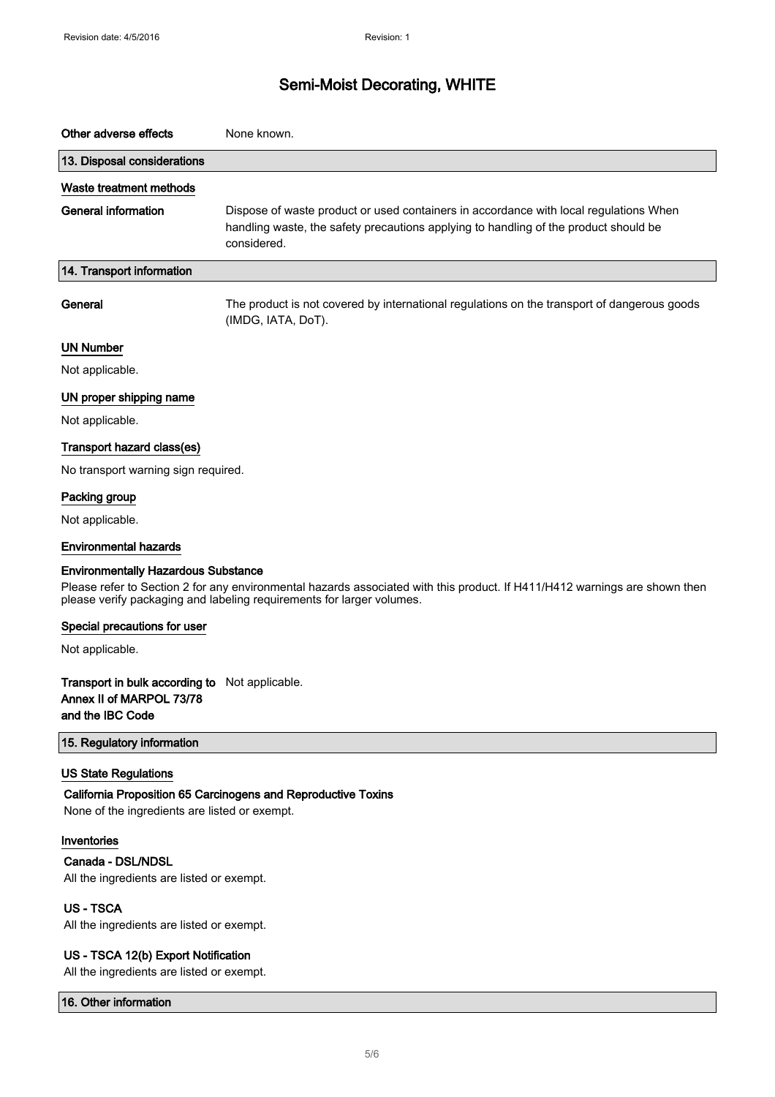| Other adverse effects                                                                          | None known.                                                                                                                                                                                         |
|------------------------------------------------------------------------------------------------|-----------------------------------------------------------------------------------------------------------------------------------------------------------------------------------------------------|
| 13. Disposal considerations                                                                    |                                                                                                                                                                                                     |
| Waste treatment methods                                                                        |                                                                                                                                                                                                     |
| <b>General information</b>                                                                     | Dispose of waste product or used containers in accordance with local regulations When<br>handling waste, the safety precautions applying to handling of the product should be<br>considered.        |
| 14. Transport information                                                                      |                                                                                                                                                                                                     |
| General                                                                                        | The product is not covered by international regulations on the transport of dangerous goods<br>(IMDG, IATA, DoT).                                                                                   |
| <b>UN Number</b>                                                                               |                                                                                                                                                                                                     |
| Not applicable.                                                                                |                                                                                                                                                                                                     |
| UN proper shipping name                                                                        |                                                                                                                                                                                                     |
| Not applicable.                                                                                |                                                                                                                                                                                                     |
| Transport hazard class(es)                                                                     |                                                                                                                                                                                                     |
| No transport warning sign required.                                                            |                                                                                                                                                                                                     |
| Packing group                                                                                  |                                                                                                                                                                                                     |
| Not applicable.                                                                                |                                                                                                                                                                                                     |
| <b>Environmental hazards</b>                                                                   |                                                                                                                                                                                                     |
| <b>Environmentally Hazardous Substance</b>                                                     | Please refer to Section 2 for any environmental hazards associated with this product. If H411/H412 warnings are shown then<br>please verify packaging and labeling requirements for larger volumes. |
| Special precautions for user                                                                   |                                                                                                                                                                                                     |
| Not applicable.                                                                                |                                                                                                                                                                                                     |
| Transport in bulk according to Not applicable.<br>Annex II of MARPOL 73/78<br>and the IBC Code |                                                                                                                                                                                                     |
| 15. Regulatory information                                                                     |                                                                                                                                                                                                     |
| <b>US State Regulations</b><br>None of the ingredients are listed or exempt.                   | California Proposition 65 Carcinogens and Reproductive Toxins                                                                                                                                       |
| Inventories<br>Canada - DSL/NDSL<br>All the ingredients are listed or exempt.                  |                                                                                                                                                                                                     |
| <b>US-TSCA</b><br>All the ingredients are listed or exempt.                                    |                                                                                                                                                                                                     |
| US - TSCA 12(b) Export Notification                                                            |                                                                                                                                                                                                     |

All the ingredients are listed or exempt.

16. Other information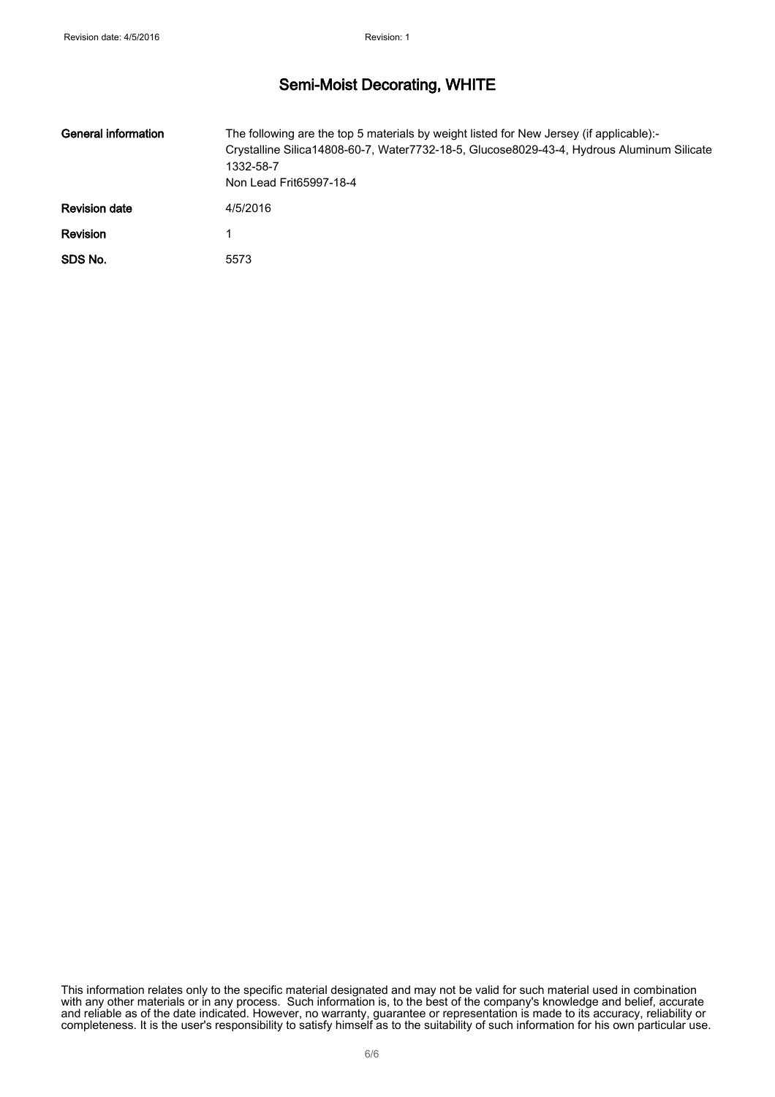| General information  | The following are the top 5 materials by weight listed for New Jersey (if applicable):-<br>Crystalline Silica14808-60-7, Water7732-18-5, Glucose8029-43-4, Hydrous Aluminum Silicate<br>1332-58-7<br>Non Lead Frit65997-18-4 |
|----------------------|------------------------------------------------------------------------------------------------------------------------------------------------------------------------------------------------------------------------------|
| <b>Revision date</b> | 4/5/2016                                                                                                                                                                                                                     |
| <b>Revision</b>      |                                                                                                                                                                                                                              |
| SDS No.              | 5573                                                                                                                                                                                                                         |

This information relates only to the specific material designated and may not be valid for such material used in combination with any other materials or in any process. Such information is, to the best of the company's knowledge and belief, accurate and reliable as of the date indicated. However, no warranty, guarantee or representation is made to its accuracy, reliability or completeness. It is the user's responsibility to satisfy himself as to the suitability of such information for his own particular use.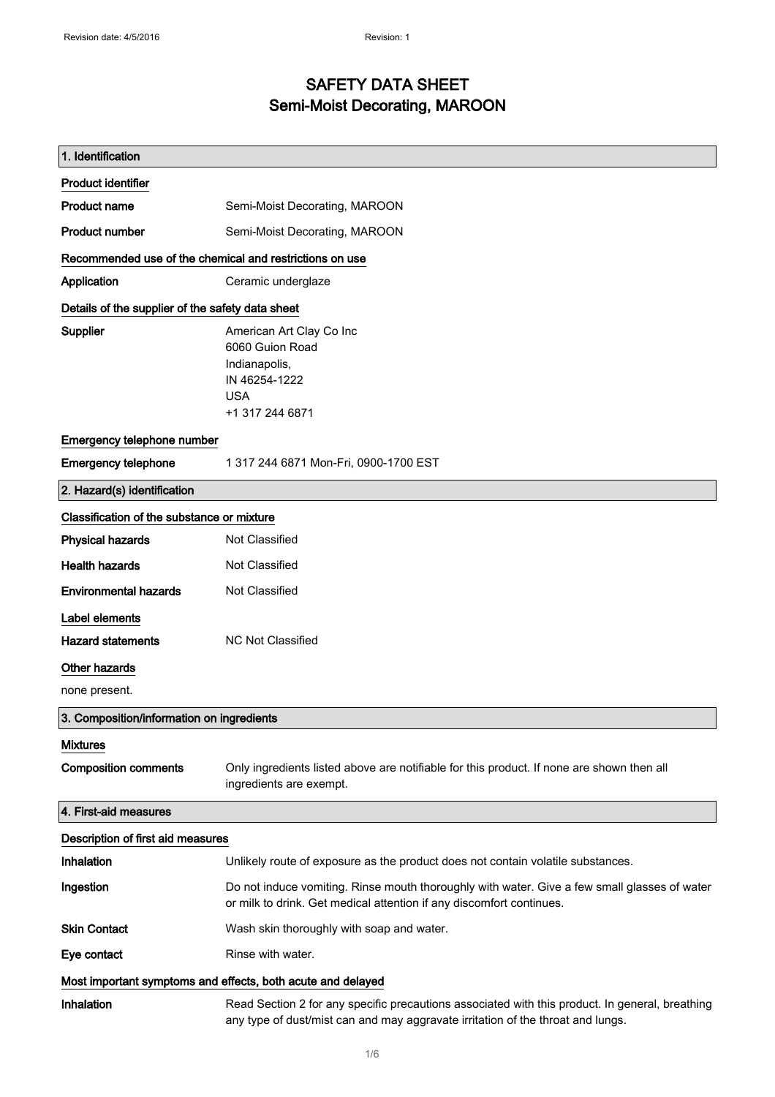### SAFETY DATA SHEET Semi-Moist Decorating, MAROON

| 1. Identification                                       |                                                                                                                                                                                    |  |  |
|---------------------------------------------------------|------------------------------------------------------------------------------------------------------------------------------------------------------------------------------------|--|--|
| <b>Product identifier</b>                               |                                                                                                                                                                                    |  |  |
| <b>Product name</b>                                     | Semi-Moist Decorating, MAROON                                                                                                                                                      |  |  |
| <b>Product number</b>                                   | Semi-Moist Decorating, MAROON                                                                                                                                                      |  |  |
| Recommended use of the chemical and restrictions on use |                                                                                                                                                                                    |  |  |
| Application                                             | Ceramic underglaze                                                                                                                                                                 |  |  |
|                                                         | Details of the supplier of the safety data sheet                                                                                                                                   |  |  |
| Supplier                                                | American Art Clay Co Inc<br>6060 Guion Road<br>Indianapolis,<br>IN 46254-1222<br><b>USA</b><br>+1 317 244 6871                                                                     |  |  |
| Emergency telephone number                              |                                                                                                                                                                                    |  |  |
| <b>Emergency telephone</b>                              | 1 317 244 6871 Mon-Fri, 0900-1700 EST                                                                                                                                              |  |  |
| 2. Hazard(s) identification                             |                                                                                                                                                                                    |  |  |
| Classification of the substance or mixture              |                                                                                                                                                                                    |  |  |
| <b>Physical hazards</b>                                 | Not Classified                                                                                                                                                                     |  |  |
| <b>Health hazards</b>                                   | Not Classified                                                                                                                                                                     |  |  |
| <b>Environmental hazards</b>                            | Not Classified                                                                                                                                                                     |  |  |
| Label elements                                          |                                                                                                                                                                                    |  |  |
| <b>Hazard statements</b>                                | <b>NC Not Classified</b>                                                                                                                                                           |  |  |
| Other hazards                                           |                                                                                                                                                                                    |  |  |
| none present.                                           |                                                                                                                                                                                    |  |  |
| 3. Composition/information on ingredients               |                                                                                                                                                                                    |  |  |
| <b>Mixtures</b>                                         |                                                                                                                                                                                    |  |  |
| <b>Composition comments</b>                             | Only ingredients listed above are notifiable for this product. If none are shown then all<br>ingredients are exempt.                                                               |  |  |
| 4. First-aid measures                                   |                                                                                                                                                                                    |  |  |
| Description of first aid measures                       |                                                                                                                                                                                    |  |  |
| Inhalation                                              | Unlikely route of exposure as the product does not contain volatile substances.                                                                                                    |  |  |
| Ingestion                                               | Do not induce vomiting. Rinse mouth thoroughly with water. Give a few small glasses of water<br>or milk to drink. Get medical attention if any discomfort continues.               |  |  |
| <b>Skin Contact</b>                                     | Wash skin thoroughly with soap and water.                                                                                                                                          |  |  |
| Eye contact                                             | Rinse with water.                                                                                                                                                                  |  |  |
|                                                         | Most important symptoms and effects, both acute and delayed                                                                                                                        |  |  |
| Inhalation                                              | Read Section 2 for any specific precautions associated with this product. In general, breathing<br>any type of dust/mist can and may aggravate irritation of the throat and lungs. |  |  |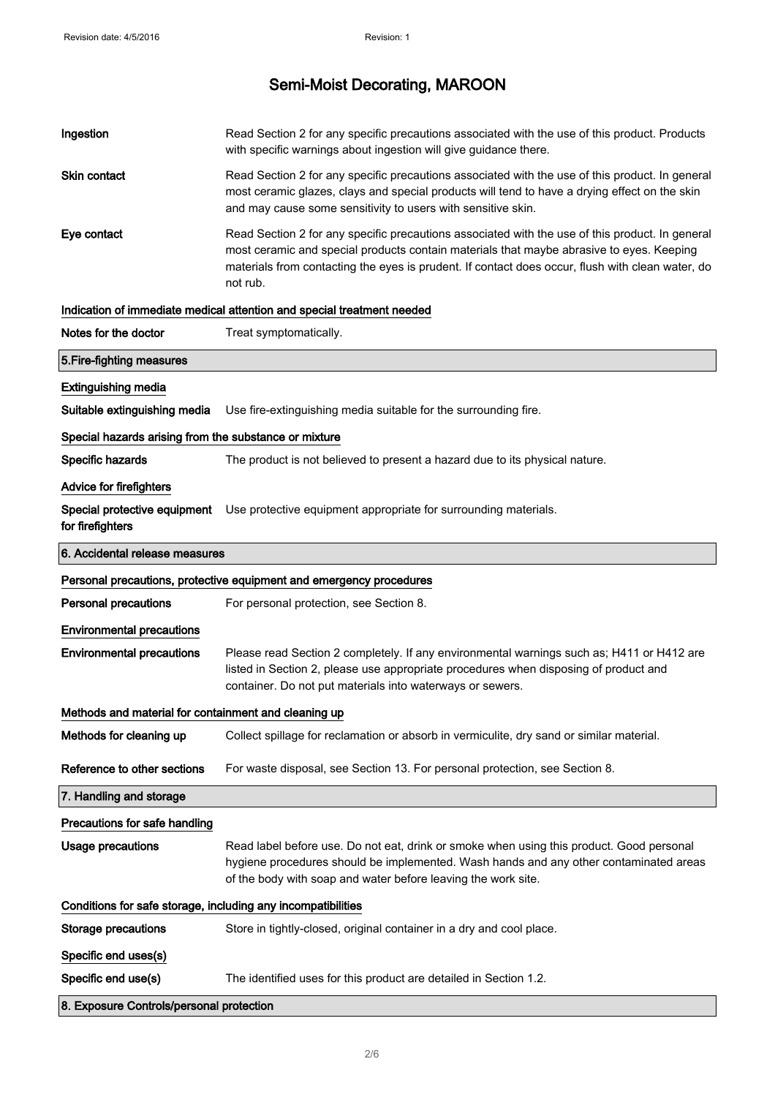| <b>Personal precautions</b><br><b>Environmental precautions</b><br><b>Environmental precautions</b> | For personal protection, see Section 8.<br>Please read Section 2 completely. If any environmental warnings such as; H411 or H412 are                                                                     |  |
|-----------------------------------------------------------------------------------------------------|----------------------------------------------------------------------------------------------------------------------------------------------------------------------------------------------------------|--|
|                                                                                                     |                                                                                                                                                                                                          |  |
|                                                                                                     |                                                                                                                                                                                                          |  |
| Personal precautions, protective equipment and emergency procedures                                 |                                                                                                                                                                                                          |  |
| 6. Accidental release measures                                                                      |                                                                                                                                                                                                          |  |
| Special protective equipment<br>for firefighters                                                    | Use protective equipment appropriate for surrounding materials.                                                                                                                                          |  |
| Advice for firefighters                                                                             |                                                                                                                                                                                                          |  |
| Specific hazards                                                                                    | The product is not believed to present a hazard due to its physical nature.                                                                                                                              |  |
| Special hazards arising from the substance or mixture                                               |                                                                                                                                                                                                          |  |
|                                                                                                     |                                                                                                                                                                                                          |  |
| Suitable extinguishing media                                                                        | Use fire-extinguishing media suitable for the surrounding fire.                                                                                                                                          |  |
| <b>Extinguishing media</b>                                                                          |                                                                                                                                                                                                          |  |
| 5. Fire-fighting measures                                                                           |                                                                                                                                                                                                          |  |
| Notes for the doctor                                                                                | Treat symptomatically.                                                                                                                                                                                   |  |
|                                                                                                     | Indication of immediate medical attention and special treatment needed                                                                                                                                   |  |
|                                                                                                     | most ceramic and special products contain materials that maybe abrasive to eyes. Keeping<br>materials from contacting the eyes is prudent. If contact does occur, flush with clean water, do<br>not rub. |  |
| Eye contact                                                                                         | and may cause some sensitivity to users with sensitive skin.<br>Read Section 2 for any specific precautions associated with the use of this product. In general                                          |  |
| Skin contact                                                                                        | Read Section 2 for any specific precautions associated with the use of this product. In general<br>most ceramic glazes, clays and special products will tend to have a drying effect on the skin         |  |
|                                                                                                     | Read Section 2 for any specific precautions associated with the use of this product. Products<br>with specific warnings about ingestion will give guidance there.                                        |  |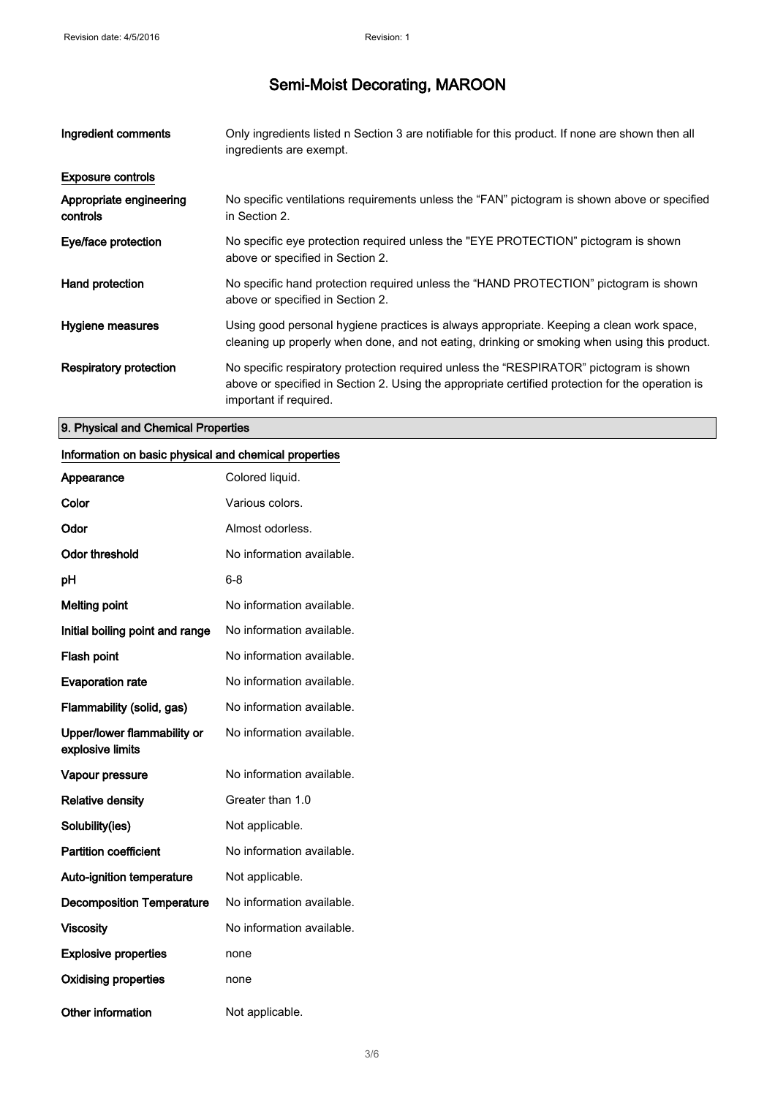| Ingredient comments                 | Only ingredients listed n Section 3 are notifiable for this product. If none are shown then all<br>ingredients are exempt.                                                                                           |
|-------------------------------------|----------------------------------------------------------------------------------------------------------------------------------------------------------------------------------------------------------------------|
| <b>Exposure controls</b>            |                                                                                                                                                                                                                      |
| Appropriate engineering<br>controls | No specific ventilations requirements unless the "FAN" pictogram is shown above or specified<br>in Section 2.                                                                                                        |
| Eye/face protection                 | No specific eye protection required unless the "EYE PROTECTION" pictogram is shown<br>above or specified in Section 2.                                                                                               |
| Hand protection                     | No specific hand protection required unless the "HAND PROTECTION" pictogram is shown<br>above or specified in Section 2.                                                                                             |
| Hygiene measures                    | Using good personal hygiene practices is always appropriate. Keeping a clean work space,<br>cleaning up properly when done, and not eating, drinking or smoking when using this product.                             |
| Respiratory protection              | No specific respiratory protection required unless the "RESPIRATOR" pictogram is shown<br>above or specified in Section 2. Using the appropriate certified protection for the operation is<br>important if required. |

### 9. Physical and Chemical Properties

#### Information on basic physical and chemical properties

| Appearance                                      | Colored liquid.           |
|-------------------------------------------------|---------------------------|
| Color                                           | Various colors.           |
| Odor                                            | Almost odorless.          |
| <b>Odor threshold</b>                           | No information available. |
| рH                                              | 6-8                       |
| <b>Melting point</b>                            | No information available. |
| Initial boiling point and range                 | No information available. |
| <b>Flash point</b>                              | No information available. |
| <b>Evaporation rate</b>                         | No information available. |
| Flammability (solid, gas)                       | No information available. |
| Upper/lower flammability or<br>explosive limits | No information available. |
| Vapour pressure                                 | No information available. |
| <b>Relative density</b>                         | Greater than 1.0          |
| Solubility(ies)                                 | Not applicable.           |
| <b>Partition coefficient</b>                    | No information available. |
| <b>Auto-ignition temperature</b>                | Not applicable.           |
| <b>Decomposition Temperature</b>                | No information available. |
| <b>Viscosity</b>                                | No information available. |
| <b>Explosive properties</b>                     | none                      |
| <b>Oxidising properties</b>                     | none                      |
| Other information                               | Not applicable.           |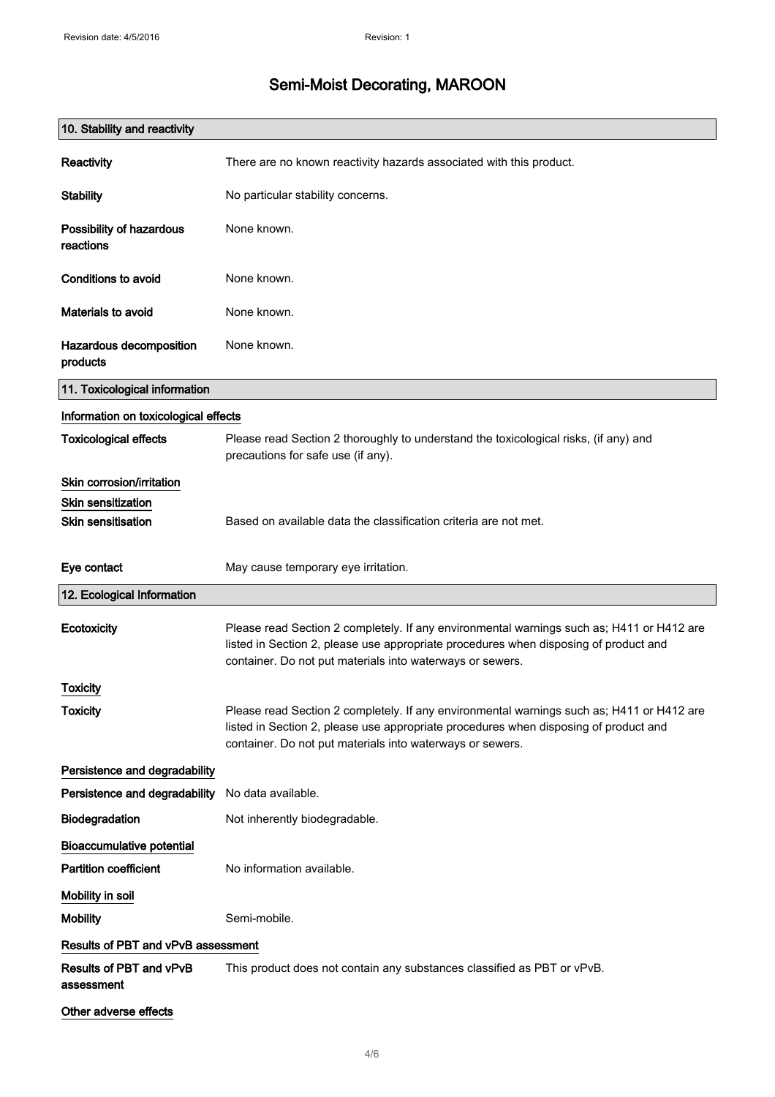| 10. Stability and reactivity          |                                                                                                                                                                                                                                                |
|---------------------------------------|------------------------------------------------------------------------------------------------------------------------------------------------------------------------------------------------------------------------------------------------|
| Reactivity                            | There are no known reactivity hazards associated with this product.                                                                                                                                                                            |
| <b>Stability</b>                      | No particular stability concerns.                                                                                                                                                                                                              |
| Possibility of hazardous<br>reactions | None known.                                                                                                                                                                                                                                    |
| <b>Conditions to avoid</b>            | None known.                                                                                                                                                                                                                                    |
| Materials to avoid                    | None known.                                                                                                                                                                                                                                    |
| Hazardous decomposition<br>products   | None known.                                                                                                                                                                                                                                    |
| 11. Toxicological information         |                                                                                                                                                                                                                                                |
| Information on toxicological effects  |                                                                                                                                                                                                                                                |
| <b>Toxicological effects</b>          | Please read Section 2 thoroughly to understand the toxicological risks, (if any) and<br>precautions for safe use (if any).                                                                                                                     |
| Skin corrosion/irritation             |                                                                                                                                                                                                                                                |
| <b>Skin sensitization</b>             |                                                                                                                                                                                                                                                |
| <b>Skin sensitisation</b>             | Based on available data the classification criteria are not met.                                                                                                                                                                               |
| Eye contact                           | May cause temporary eye irritation.                                                                                                                                                                                                            |
| 12. Ecological Information            |                                                                                                                                                                                                                                                |
| <b>Ecotoxicity</b>                    | Please read Section 2 completely. If any environmental warnings such as; H411 or H412 are<br>listed in Section 2, please use appropriate procedures when disposing of product and<br>container. Do not put materials into waterways or sewers. |
| Toxicity                              |                                                                                                                                                                                                                                                |
| <b>Toxicity</b>                       | Please read Section 2 completely. If any environmental warnings such as; H411 or H412 are<br>listed in Section 2, please use appropriate procedures when disposing of product and<br>container. Do not put materials into waterways or sewers. |
| Persistence and degradability         |                                                                                                                                                                                                                                                |
| Persistence and degradability         | No data available.                                                                                                                                                                                                                             |
| Biodegradation                        | Not inherently biodegradable.                                                                                                                                                                                                                  |
| <b>Bioaccumulative potential</b>      |                                                                                                                                                                                                                                                |
| <b>Partition coefficient</b>          | No information available.                                                                                                                                                                                                                      |
| Mobility in soil                      |                                                                                                                                                                                                                                                |
| <b>Mobility</b>                       | Semi-mobile.                                                                                                                                                                                                                                   |
| Results of PBT and vPvB assessment    |                                                                                                                                                                                                                                                |
| Results of PBT and vPvB<br>assessment | This product does not contain any substances classified as PBT or vPvB.                                                                                                                                                                        |
| Other adverse effects                 |                                                                                                                                                                                                                                                |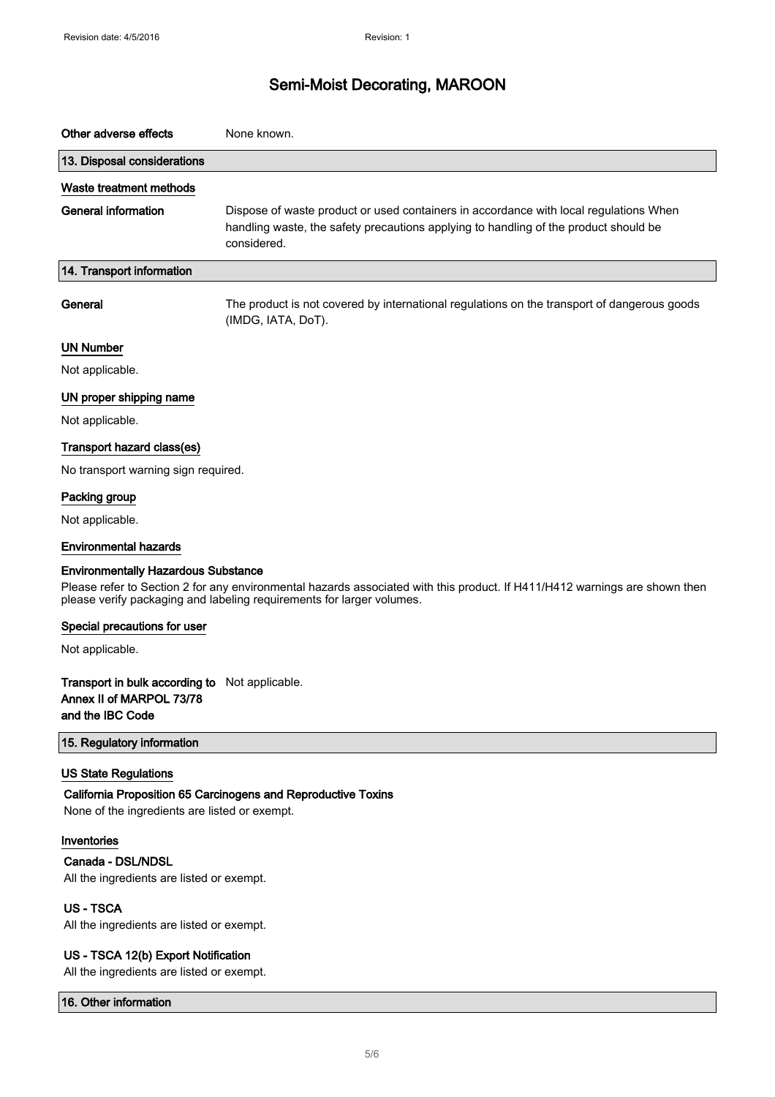| Other adverse effects                                                                          | None known.                                                                                                                                                                                         |
|------------------------------------------------------------------------------------------------|-----------------------------------------------------------------------------------------------------------------------------------------------------------------------------------------------------|
| 13. Disposal considerations                                                                    |                                                                                                                                                                                                     |
| Waste treatment methods                                                                        |                                                                                                                                                                                                     |
| <b>General information</b>                                                                     | Dispose of waste product or used containers in accordance with local regulations When<br>handling waste, the safety precautions applying to handling of the product should be<br>considered.        |
| 14. Transport information                                                                      |                                                                                                                                                                                                     |
| General                                                                                        | The product is not covered by international regulations on the transport of dangerous goods<br>(IMDG, IATA, DoT).                                                                                   |
| <b>UN Number</b>                                                                               |                                                                                                                                                                                                     |
| Not applicable.                                                                                |                                                                                                                                                                                                     |
| UN proper shipping name                                                                        |                                                                                                                                                                                                     |
| Not applicable.                                                                                |                                                                                                                                                                                                     |
| Transport hazard class(es)                                                                     |                                                                                                                                                                                                     |
| No transport warning sign required.                                                            |                                                                                                                                                                                                     |
| Packing group                                                                                  |                                                                                                                                                                                                     |
| Not applicable.                                                                                |                                                                                                                                                                                                     |
| <b>Environmental hazards</b>                                                                   |                                                                                                                                                                                                     |
| <b>Environmentally Hazardous Substance</b>                                                     | Please refer to Section 2 for any environmental hazards associated with this product. If H411/H412 warnings are shown then<br>please verify packaging and labeling requirements for larger volumes. |
| Special precautions for user                                                                   |                                                                                                                                                                                                     |
| Not applicable.                                                                                |                                                                                                                                                                                                     |
| Transport in bulk according to Not applicable.<br>Annex II of MARPOL 73/78<br>and the IBC Code |                                                                                                                                                                                                     |
| 15. Regulatory information                                                                     |                                                                                                                                                                                                     |
| <b>US State Regulations</b><br>None of the ingredients are listed or exempt.                   | California Proposition 65 Carcinogens and Reproductive Toxins                                                                                                                                       |
| Inventories                                                                                    |                                                                                                                                                                                                     |
| Canada - DSL/NDSL                                                                              |                                                                                                                                                                                                     |
| All the ingredients are listed or exempt.                                                      |                                                                                                                                                                                                     |
| <b>US-TSCA</b><br>All the ingredients are listed or exempt.                                    |                                                                                                                                                                                                     |
| US - TSCA 12(b) Export Notification                                                            |                                                                                                                                                                                                     |

All the ingredients are listed or exempt.

16. Other information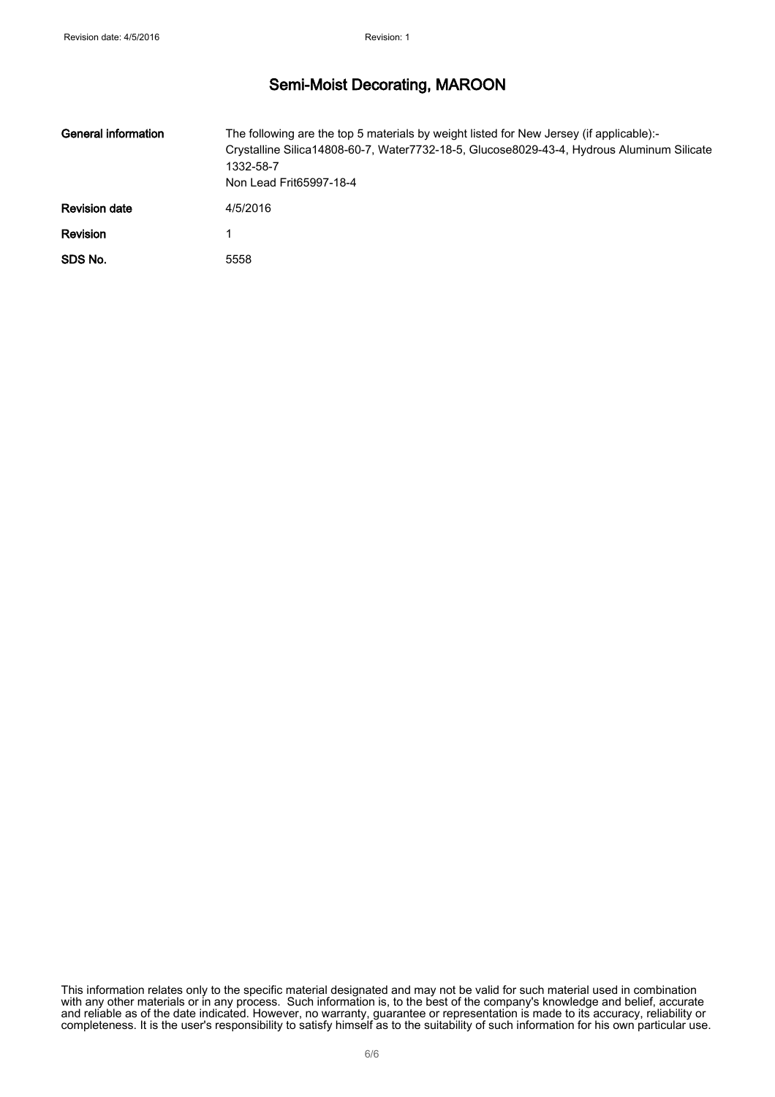| General information  | The following are the top 5 materials by weight listed for New Jersey (if applicable):-<br>Crystalline Silica14808-60-7, Water7732-18-5, Glucose8029-43-4, Hydrous Aluminum Silicate<br>1332-58-7<br>Non Lead Frit65997-18-4 |
|----------------------|------------------------------------------------------------------------------------------------------------------------------------------------------------------------------------------------------------------------------|
| <b>Revision date</b> | 4/5/2016                                                                                                                                                                                                                     |
| <b>Revision</b>      |                                                                                                                                                                                                                              |
| SDS No.              | 5558                                                                                                                                                                                                                         |

This information relates only to the specific material designated and may not be valid for such material used in combination with any other materials or in any process. Such information is, to the best of the company's knowledge and belief, accurate and reliable as of the date indicated. However, no warranty, guarantee or representation is made to its accuracy, reliability or completeness. It is the user's responsibility to satisfy himself as to the suitability of such information for his own particular use.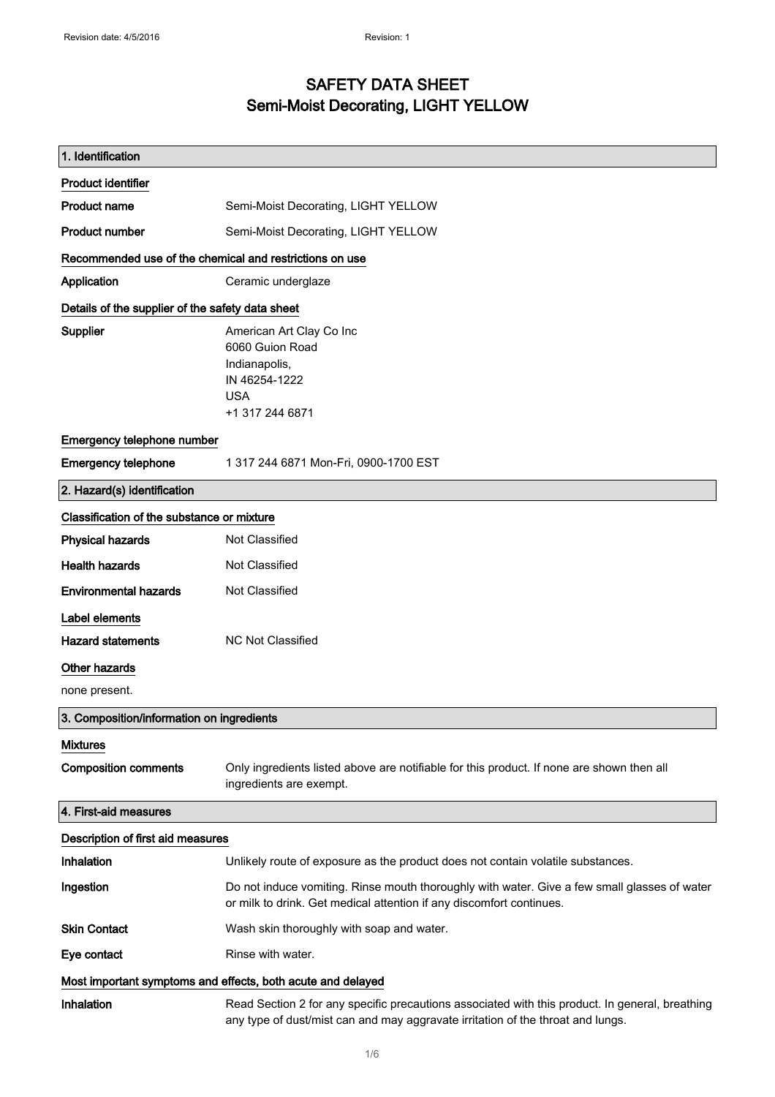### SAFETY DATA SHEET Semi-Moist Decorating, LIGHT YELLOW

| 1. Identification                                       |                                                                                                                                                                                    |  |
|---------------------------------------------------------|------------------------------------------------------------------------------------------------------------------------------------------------------------------------------------|--|
| Product identifier                                      |                                                                                                                                                                                    |  |
| Product name                                            | Semi-Moist Decorating, LIGHT YELLOW                                                                                                                                                |  |
| <b>Product number</b>                                   | Semi-Moist Decorating, LIGHT YELLOW                                                                                                                                                |  |
| Recommended use of the chemical and restrictions on use |                                                                                                                                                                                    |  |
| Application                                             | Ceramic underglaze                                                                                                                                                                 |  |
| Details of the supplier of the safety data sheet        |                                                                                                                                                                                    |  |
| <b>Supplier</b>                                         | American Art Clay Co Inc<br>6060 Guion Road<br>Indianapolis,<br>IN 46254-1222<br><b>USA</b><br>+1 317 244 6871                                                                     |  |
| Emergency telephone number                              |                                                                                                                                                                                    |  |
| <b>Emergency telephone</b>                              | 1 317 244 6871 Mon-Fri, 0900-1700 EST                                                                                                                                              |  |
| 2. Hazard(s) identification                             |                                                                                                                                                                                    |  |
| Classification of the substance or mixture              |                                                                                                                                                                                    |  |
| <b>Physical hazards</b>                                 | Not Classified                                                                                                                                                                     |  |
| <b>Health hazards</b>                                   | <b>Not Classified</b>                                                                                                                                                              |  |
| <b>Environmental hazards</b>                            | Not Classified                                                                                                                                                                     |  |
| Label elements                                          |                                                                                                                                                                                    |  |
| <b>Hazard statements</b>                                | <b>NC Not Classified</b>                                                                                                                                                           |  |
| <b>Other hazards</b>                                    |                                                                                                                                                                                    |  |
| none present.                                           |                                                                                                                                                                                    |  |
| 3. Composition/information on ingredients               |                                                                                                                                                                                    |  |
| <b>Mixtures</b>                                         |                                                                                                                                                                                    |  |
| <b>Composition comments</b>                             | Only ingredients listed above are notifiable for this product. If none are shown then all<br>ingredients are exempt.                                                               |  |
| 4. First-aid measures                                   |                                                                                                                                                                                    |  |
| Description of first aid measures                       |                                                                                                                                                                                    |  |
| Inhalation                                              | Unlikely route of exposure as the product does not contain volatile substances.                                                                                                    |  |
| Ingestion                                               | Do not induce vomiting. Rinse mouth thoroughly with water. Give a few small glasses of water<br>or milk to drink. Get medical attention if any discomfort continues.               |  |
| <b>Skin Contact</b>                                     | Wash skin thoroughly with soap and water.                                                                                                                                          |  |
| Eye contact                                             | Rinse with water.                                                                                                                                                                  |  |
|                                                         | Most important symptoms and effects, both acute and delayed                                                                                                                        |  |
| <b>Inhalation</b>                                       | Read Section 2 for any specific precautions associated with this product. In general, breathing<br>any type of dust/mist can and may aggravate irritation of the throat and lungs. |  |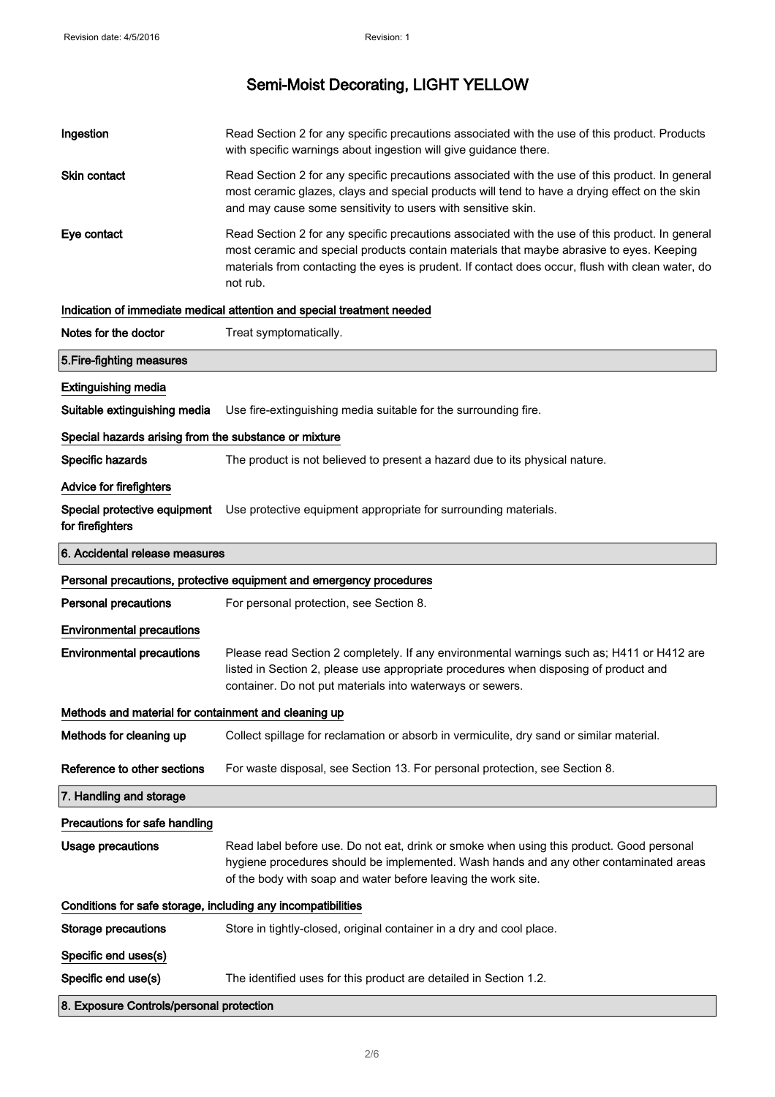| Ingestion                                                    | Read Section 2 for any specific precautions associated with the use of this product. Products<br>with specific warnings about ingestion will give guidance there.                                                                                                                                           |
|--------------------------------------------------------------|-------------------------------------------------------------------------------------------------------------------------------------------------------------------------------------------------------------------------------------------------------------------------------------------------------------|
| <b>Skin contact</b>                                          | Read Section 2 for any specific precautions associated with the use of this product. In general<br>most ceramic glazes, clays and special products will tend to have a drying effect on the skin<br>and may cause some sensitivity to users with sensitive skin.                                            |
| Eye contact                                                  | Read Section 2 for any specific precautions associated with the use of this product. In general<br>most ceramic and special products contain materials that maybe abrasive to eyes. Keeping<br>materials from contacting the eyes is prudent. If contact does occur, flush with clean water, do<br>not rub. |
|                                                              | Indication of immediate medical attention and special treatment needed                                                                                                                                                                                                                                      |
| Notes for the doctor                                         | Treat symptomatically.                                                                                                                                                                                                                                                                                      |
| 5. Fire-fighting measures                                    |                                                                                                                                                                                                                                                                                                             |
| <b>Extinguishing media</b>                                   |                                                                                                                                                                                                                                                                                                             |
| Suitable extinguishing media                                 | Use fire-extinguishing media suitable for the surrounding fire.                                                                                                                                                                                                                                             |
| Special hazards arising from the substance or mixture        |                                                                                                                                                                                                                                                                                                             |
| Specific hazards                                             | The product is not believed to present a hazard due to its physical nature.                                                                                                                                                                                                                                 |
| Advice for firefighters                                      |                                                                                                                                                                                                                                                                                                             |
| Special protective equipment<br>for firefighters             | Use protective equipment appropriate for surrounding materials.                                                                                                                                                                                                                                             |
| 6. Accidental release measures                               |                                                                                                                                                                                                                                                                                                             |
|                                                              | Personal precautions, protective equipment and emergency procedures                                                                                                                                                                                                                                         |
| <b>Personal precautions</b>                                  | For personal protection, see Section 8.                                                                                                                                                                                                                                                                     |
| <b>Environmental precautions</b>                             |                                                                                                                                                                                                                                                                                                             |
| <b>Environmental precautions</b>                             | Please read Section 2 completely. If any environmental warnings such as; H411 or H412 are<br>listed in Section 2, please use appropriate procedures when disposing of product and<br>container. Do not put materials into waterways or sewers.                                                              |
| Methods and material for containment and cleaning up         |                                                                                                                                                                                                                                                                                                             |
| Methods for cleaning up                                      | Collect spillage for reclamation or absorb in vermiculite, dry sand or similar material.                                                                                                                                                                                                                    |
| Reference to other sections                                  | For waste disposal, see Section 13. For personal protection, see Section 8.                                                                                                                                                                                                                                 |
| 7. Handling and storage                                      |                                                                                                                                                                                                                                                                                                             |
| Precautions for safe handling                                |                                                                                                                                                                                                                                                                                                             |
| <b>Usage precautions</b>                                     | Read label before use. Do not eat, drink or smoke when using this product. Good personal<br>hygiene procedures should be implemented. Wash hands and any other contaminated areas<br>of the body with soap and water before leaving the work site.                                                          |
| Conditions for safe storage, including any incompatibilities |                                                                                                                                                                                                                                                                                                             |
| <b>Storage precautions</b>                                   | Store in tightly-closed, original container in a dry and cool place.                                                                                                                                                                                                                                        |
| Specific end uses(s)                                         |                                                                                                                                                                                                                                                                                                             |
| Specific end use(s)                                          | The identified uses for this product are detailed in Section 1.2.                                                                                                                                                                                                                                           |
| 8. Exposure Controls/personal protection                     |                                                                                                                                                                                                                                                                                                             |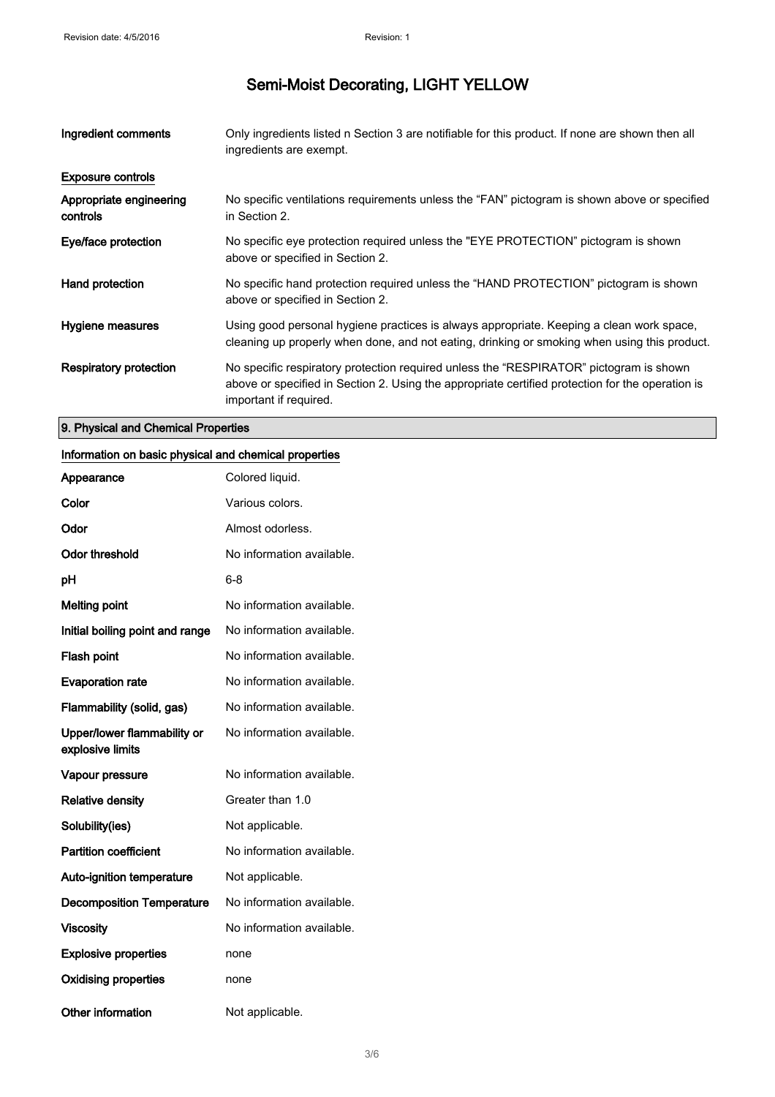| Ingredient comments                 | Only ingredients listed n Section 3 are notifiable for this product. If none are shown then all<br>ingredients are exempt.                                                                                           |
|-------------------------------------|----------------------------------------------------------------------------------------------------------------------------------------------------------------------------------------------------------------------|
| <b>Exposure controls</b>            |                                                                                                                                                                                                                      |
| Appropriate engineering<br>controls | No specific ventilations requirements unless the "FAN" pictogram is shown above or specified<br>in Section 2.                                                                                                        |
| Eye/face protection                 | No specific eye protection required unless the "EYE PROTECTION" pictogram is shown<br>above or specified in Section 2.                                                                                               |
| Hand protection                     | No specific hand protection required unless the "HAND PROTECTION" pictogram is shown<br>above or specified in Section 2.                                                                                             |
| Hygiene measures                    | Using good personal hygiene practices is always appropriate. Keeping a clean work space,<br>cleaning up properly when done, and not eating, drinking or smoking when using this product.                             |
| <b>Respiratory protection</b>       | No specific respiratory protection required unless the "RESPIRATOR" pictogram is shown<br>above or specified in Section 2. Using the appropriate certified protection for the operation is<br>important if required. |

#### 9. Physical and Chemical Properties

#### Information on basic physical and chemical properties

| Appearance                                      | Colored liquid.           |
|-------------------------------------------------|---------------------------|
| Color                                           | Various colors.           |
| Odor                                            | Almost odorless.          |
| <b>Odor threshold</b>                           | No information available. |
| рH                                              | 6-8                       |
| <b>Melting point</b>                            | No information available. |
| Initial boiling point and range                 | No information available. |
| Flash point                                     | No information available. |
| <b>Evaporation rate</b>                         | No information available. |
| Flammability (solid, gas)                       | No information available. |
| Upper/lower flammability or<br>explosive limits | No information available. |
| Vapour pressure                                 | No information available. |
| <b>Relative density</b>                         | Greater than 1.0          |
| Solubility(ies)                                 | Not applicable.           |
| <b>Partition coefficient</b>                    | No information available. |
| <b>Auto-ignition temperature</b>                | Not applicable.           |
| <b>Decomposition Temperature</b>                | No information available. |
| <b>Viscosity</b>                                | No information available. |
| <b>Explosive properties</b>                     | none                      |
| <b>Oxidising properties</b>                     | none                      |
| <b>Other information</b>                        | Not applicable.           |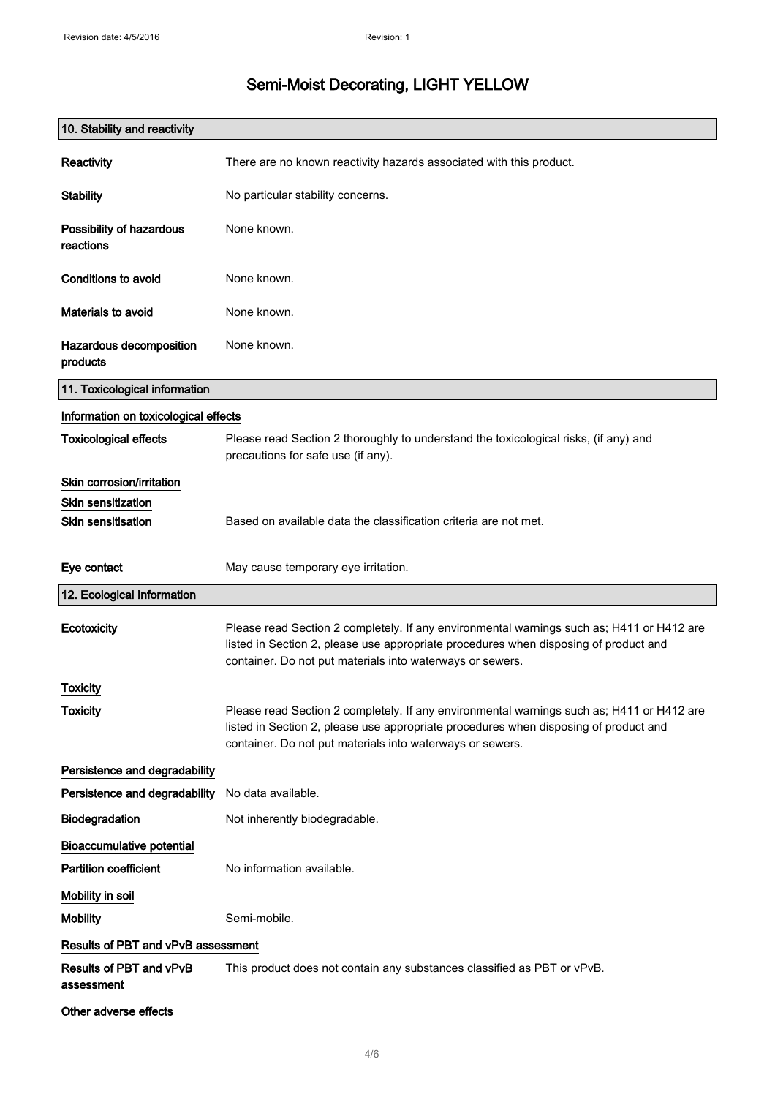| 10. Stability and reactivity          |                                                                                                                                                                                                                                                |
|---------------------------------------|------------------------------------------------------------------------------------------------------------------------------------------------------------------------------------------------------------------------------------------------|
| Reactivity                            | There are no known reactivity hazards associated with this product.                                                                                                                                                                            |
| <b>Stability</b>                      | No particular stability concerns.                                                                                                                                                                                                              |
| Possibility of hazardous<br>reactions | None known.                                                                                                                                                                                                                                    |
| <b>Conditions to avoid</b>            | None known.                                                                                                                                                                                                                                    |
| Materials to avoid                    | None known.                                                                                                                                                                                                                                    |
| Hazardous decomposition<br>products   | None known.                                                                                                                                                                                                                                    |
| 11. Toxicological information         |                                                                                                                                                                                                                                                |
| Information on toxicological effects  |                                                                                                                                                                                                                                                |
| <b>Toxicological effects</b>          | Please read Section 2 thoroughly to understand the toxicological risks, (if any) and<br>precautions for safe use (if any).                                                                                                                     |
| Skin corrosion/irritation             |                                                                                                                                                                                                                                                |
| Skin sensitization                    |                                                                                                                                                                                                                                                |
| <b>Skin sensitisation</b>             | Based on available data the classification criteria are not met.                                                                                                                                                                               |
| Eye contact                           | May cause temporary eye irritation.                                                                                                                                                                                                            |
| 12. Ecological Information            |                                                                                                                                                                                                                                                |
| <b>Ecotoxicity</b>                    | Please read Section 2 completely. If any environmental warnings such as; H411 or H412 are<br>listed in Section 2, please use appropriate procedures when disposing of product and<br>container. Do not put materials into waterways or sewers. |
| Toxicity                              |                                                                                                                                                                                                                                                |
| <b>Toxicity</b>                       | Please read Section 2 completely. If any environmental warnings such as; H411 or H412 are<br>listed in Section 2, please use appropriate procedures when disposing of product and<br>container. Do not put materials into waterways or sewers. |
| Persistence and degradability         |                                                                                                                                                                                                                                                |
| Persistence and degradability         | No data available.                                                                                                                                                                                                                             |
| Biodegradation                        | Not inherently biodegradable.                                                                                                                                                                                                                  |
| <b>Bioaccumulative potential</b>      |                                                                                                                                                                                                                                                |
| <b>Partition coefficient</b>          | No information available.                                                                                                                                                                                                                      |
| Mobility in soil                      |                                                                                                                                                                                                                                                |
| <b>Mobility</b>                       | Semi-mobile.                                                                                                                                                                                                                                   |
| Results of PBT and vPvB assessment    |                                                                                                                                                                                                                                                |
| Results of PBT and vPvB<br>assessment | This product does not contain any substances classified as PBT or vPvB.                                                                                                                                                                        |
| Other adverse effects                 |                                                                                                                                                                                                                                                |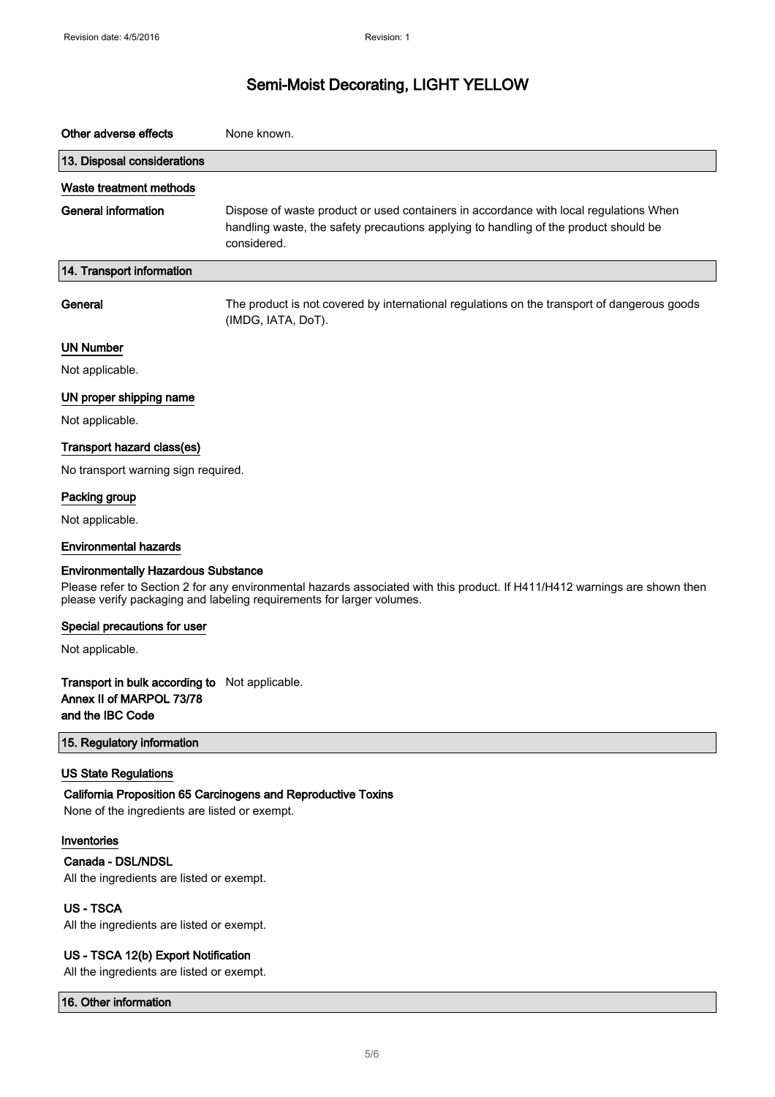| Other adverse effects                                                                          | None known.                                                                                                                                                                                         |
|------------------------------------------------------------------------------------------------|-----------------------------------------------------------------------------------------------------------------------------------------------------------------------------------------------------|
| 13. Disposal considerations                                                                    |                                                                                                                                                                                                     |
| Waste treatment methods                                                                        |                                                                                                                                                                                                     |
| <b>General information</b>                                                                     | Dispose of waste product or used containers in accordance with local regulations When<br>handling waste, the safety precautions applying to handling of the product should be<br>considered.        |
| 14. Transport information                                                                      |                                                                                                                                                                                                     |
| General                                                                                        | The product is not covered by international regulations on the transport of dangerous goods<br>(IMDG, IATA, DoT).                                                                                   |
| <b>UN Number</b>                                                                               |                                                                                                                                                                                                     |
| Not applicable.                                                                                |                                                                                                                                                                                                     |
| UN proper shipping name                                                                        |                                                                                                                                                                                                     |
| Not applicable.                                                                                |                                                                                                                                                                                                     |
| Transport hazard class(es)                                                                     |                                                                                                                                                                                                     |
| No transport warning sign required.                                                            |                                                                                                                                                                                                     |
| Packing group                                                                                  |                                                                                                                                                                                                     |
| Not applicable.                                                                                |                                                                                                                                                                                                     |
| <b>Environmental hazards</b>                                                                   |                                                                                                                                                                                                     |
| <b>Environmentally Hazardous Substance</b>                                                     | Please refer to Section 2 for any environmental hazards associated with this product. If H411/H412 warnings are shown then<br>please verify packaging and labeling requirements for larger volumes. |
| Special precautions for user                                                                   |                                                                                                                                                                                                     |
| Not applicable.                                                                                |                                                                                                                                                                                                     |
| Transport in bulk according to Not applicable.<br>Annex II of MARPOL 73/78<br>and the IBC Code |                                                                                                                                                                                                     |
| 15. Regulatory information                                                                     |                                                                                                                                                                                                     |
| <b>US State Regulations</b><br>None of the ingredients are listed or exempt.                   | California Proposition 65 Carcinogens and Reproductive Toxins                                                                                                                                       |
| Inventories<br>Canada - DSL/NDSL                                                               |                                                                                                                                                                                                     |
| All the ingredients are listed or exempt.                                                      |                                                                                                                                                                                                     |
| <b>US-TSCA</b><br>All the ingredients are listed or exempt.                                    |                                                                                                                                                                                                     |
| US - TSCA 12(b) Export Notification                                                            |                                                                                                                                                                                                     |

All the ingredients are listed or exempt.

16. Other information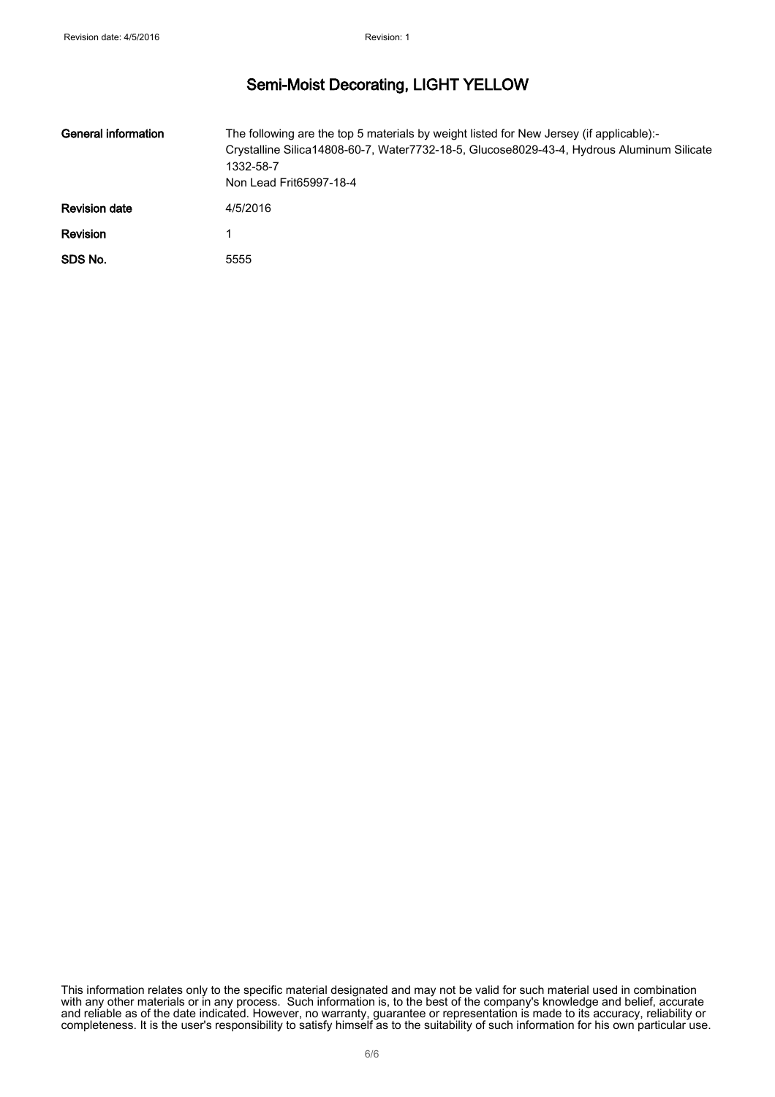| General information  | The following are the top 5 materials by weight listed for New Jersey (if applicable):-<br>Crystalline Silica14808-60-7, Water7732-18-5, Glucose8029-43-4, Hydrous Aluminum Silicate<br>1332-58-7<br>Non Lead Frit65997-18-4 |
|----------------------|------------------------------------------------------------------------------------------------------------------------------------------------------------------------------------------------------------------------------|
| <b>Revision date</b> | 4/5/2016                                                                                                                                                                                                                     |
| <b>Revision</b>      |                                                                                                                                                                                                                              |
| SDS No.              | 5555                                                                                                                                                                                                                         |

This information relates only to the specific material designated and may not be valid for such material used in combination with any other materials or in any process. Such information is, to the best of the company's knowledge and belief, accurate and reliable as of the date indicated. However, no warranty, guarantee or representation is made to its accuracy, reliability or completeness. It is the user's responsibility to satisfy himself as to the suitability of such information for his own particular use.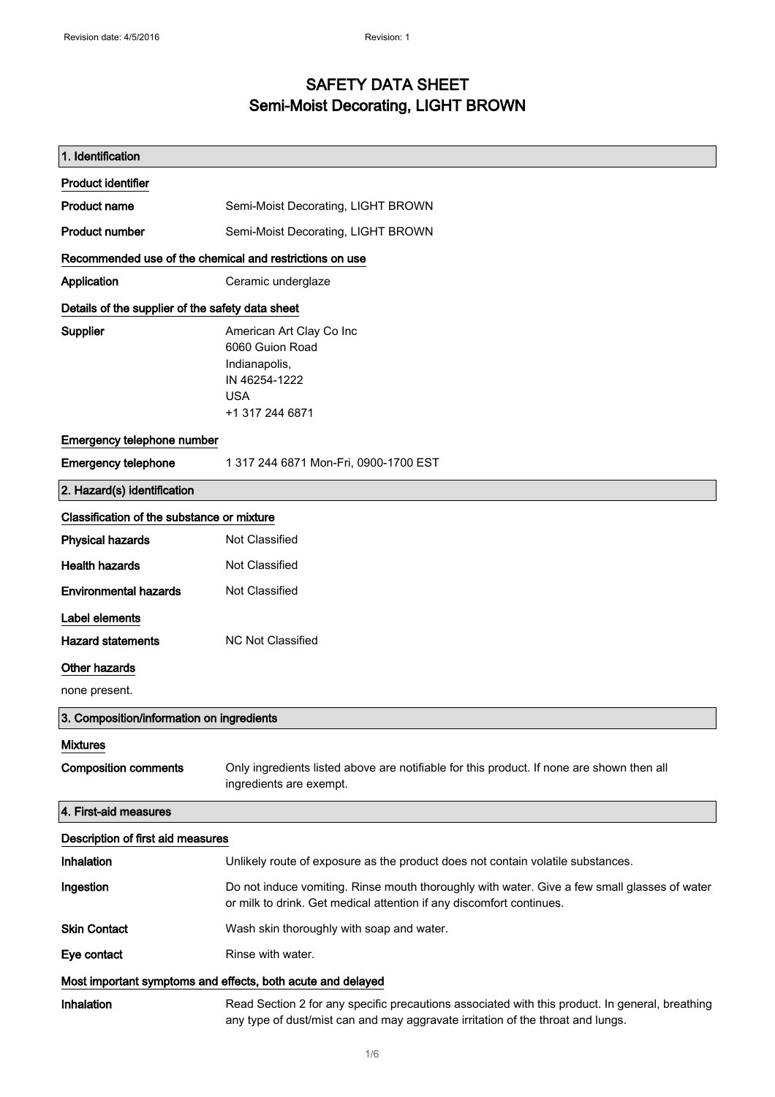### SAFETY DATA SHEET Semi-Moist Decorating, LIGHT BROWN

| 1. Identification                                       |                                                                                                                                                                                    |
|---------------------------------------------------------|------------------------------------------------------------------------------------------------------------------------------------------------------------------------------------|
| <b>Product identifier</b>                               |                                                                                                                                                                                    |
| Product name                                            | Semi-Moist Decorating, LIGHT BROWN                                                                                                                                                 |
| <b>Product number</b>                                   | Semi-Moist Decorating, LIGHT BROWN                                                                                                                                                 |
| Recommended use of the chemical and restrictions on use |                                                                                                                                                                                    |
| <b>Application</b>                                      | Ceramic underglaze                                                                                                                                                                 |
| Details of the supplier of the safety data sheet        |                                                                                                                                                                                    |
| <b>Supplier</b>                                         | American Art Clay Co Inc<br>6060 Guion Road<br>Indianapolis,<br>IN 46254-1222<br><b>USA</b><br>+1 317 244 6871                                                                     |
| Emergency telephone number                              |                                                                                                                                                                                    |
| <b>Emergency telephone</b>                              | 1 317 244 6871 Mon-Fri, 0900-1700 EST                                                                                                                                              |
| 2. Hazard(s) identification                             |                                                                                                                                                                                    |
| Classification of the substance or mixture              |                                                                                                                                                                                    |
| <b>Physical hazards</b>                                 | Not Classified                                                                                                                                                                     |
| <b>Health hazards</b>                                   | Not Classified                                                                                                                                                                     |
| <b>Environmental hazards</b>                            | Not Classified                                                                                                                                                                     |
| Label elements                                          |                                                                                                                                                                                    |
| <b>Hazard statements</b>                                | <b>NC Not Classified</b>                                                                                                                                                           |
| <b>Other hazards</b>                                    |                                                                                                                                                                                    |
| none present.                                           |                                                                                                                                                                                    |
| 3. Composition/information on ingredients               |                                                                                                                                                                                    |
| <b>Mixtures</b>                                         |                                                                                                                                                                                    |
| <b>Composition comments</b>                             | Only ingredients listed above are notifiable for this product. If none are shown then all<br>ingredients are exempt.                                                               |
| 4. First-aid measures                                   |                                                                                                                                                                                    |
| Description of first aid measures                       |                                                                                                                                                                                    |
| Inhalation                                              | Unlikely route of exposure as the product does not contain volatile substances.                                                                                                    |
| Ingestion                                               | Do not induce vomiting. Rinse mouth thoroughly with water. Give a few small glasses of water<br>or milk to drink. Get medical attention if any discomfort continues.               |
| <b>Skin Contact</b>                                     | Wash skin thoroughly with soap and water.                                                                                                                                          |
| Eye contact                                             | Rinse with water.                                                                                                                                                                  |
|                                                         | Most important symptoms and effects, both acute and delayed                                                                                                                        |
| Inhalation                                              | Read Section 2 for any specific precautions associated with this product. In general, breathing<br>any type of dust/mist can and may aggravate irritation of the throat and lungs. |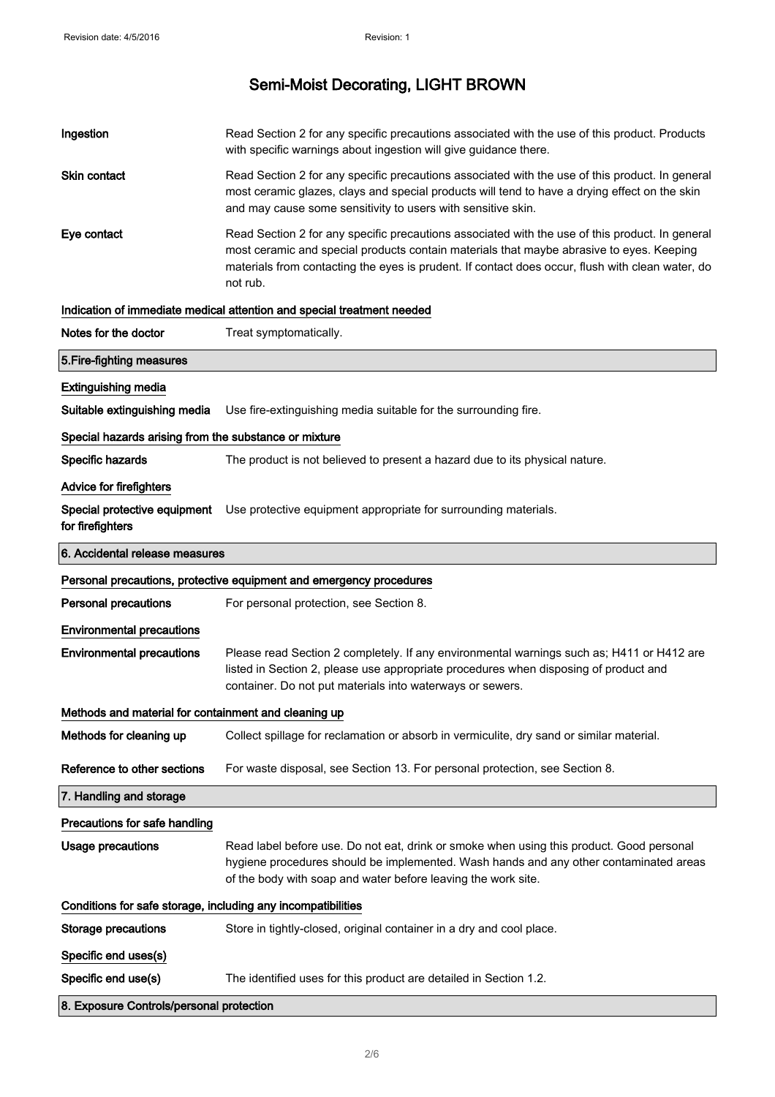| Ingestion                                                    | Read Section 2 for any specific precautions associated with the use of this product. Products<br>with specific warnings about ingestion will give guidance there.                                                                                                                                           |
|--------------------------------------------------------------|-------------------------------------------------------------------------------------------------------------------------------------------------------------------------------------------------------------------------------------------------------------------------------------------------------------|
| Skin contact                                                 | Read Section 2 for any specific precautions associated with the use of this product. In general<br>most ceramic glazes, clays and special products will tend to have a drying effect on the skin<br>and may cause some sensitivity to users with sensitive skin.                                            |
| Eye contact                                                  | Read Section 2 for any specific precautions associated with the use of this product. In general<br>most ceramic and special products contain materials that maybe abrasive to eyes. Keeping<br>materials from contacting the eyes is prudent. If contact does occur, flush with clean water, do<br>not rub. |
|                                                              | Indication of immediate medical attention and special treatment needed                                                                                                                                                                                                                                      |
| Notes for the doctor                                         | Treat symptomatically.                                                                                                                                                                                                                                                                                      |
| 5. Fire-fighting measures                                    |                                                                                                                                                                                                                                                                                                             |
| <b>Extinguishing media</b>                                   |                                                                                                                                                                                                                                                                                                             |
| Suitable extinguishing media                                 | Use fire-extinguishing media suitable for the surrounding fire.                                                                                                                                                                                                                                             |
| Special hazards arising from the substance or mixture        |                                                                                                                                                                                                                                                                                                             |
| Specific hazards                                             | The product is not believed to present a hazard due to its physical nature.                                                                                                                                                                                                                                 |
| Advice for firefighters                                      |                                                                                                                                                                                                                                                                                                             |
| Special protective equipment<br>for firefighters             | Use protective equipment appropriate for surrounding materials.                                                                                                                                                                                                                                             |
| 6. Accidental release measures                               |                                                                                                                                                                                                                                                                                                             |
|                                                              | Personal precautions, protective equipment and emergency procedures                                                                                                                                                                                                                                         |
| <b>Personal precautions</b>                                  | For personal protection, see Section 8.                                                                                                                                                                                                                                                                     |
| <b>Environmental precautions</b>                             |                                                                                                                                                                                                                                                                                                             |
| <b>Environmental precautions</b>                             | Please read Section 2 completely. If any environmental warnings such as; H411 or H412 are<br>listed in Section 2, please use appropriate procedures when disposing of product and<br>container. Do not put materials into waterways or sewers.                                                              |
| Methods and material for containment and cleaning up         |                                                                                                                                                                                                                                                                                                             |
| Methods for cleaning up                                      | Collect spillage for reclamation or absorb in vermiculite, dry sand or similar material.                                                                                                                                                                                                                    |
| Reference to other sections                                  | For waste disposal, see Section 13. For personal protection, see Section 8.                                                                                                                                                                                                                                 |
| 7. Handling and storage                                      |                                                                                                                                                                                                                                                                                                             |
| Precautions for safe handling                                |                                                                                                                                                                                                                                                                                                             |
| <b>Usage precautions</b>                                     | Read label before use. Do not eat, drink or smoke when using this product. Good personal                                                                                                                                                                                                                    |
|                                                              | hygiene procedures should be implemented. Wash hands and any other contaminated areas<br>of the body with soap and water before leaving the work site.                                                                                                                                                      |
| Conditions for safe storage, including any incompatibilities |                                                                                                                                                                                                                                                                                                             |
| <b>Storage precautions</b>                                   | Store in tightly-closed, original container in a dry and cool place.                                                                                                                                                                                                                                        |
| Specific end uses(s)                                         |                                                                                                                                                                                                                                                                                                             |
| Specific end use(s)                                          | The identified uses for this product are detailed in Section 1.2.                                                                                                                                                                                                                                           |
| 8. Exposure Controls/personal protection                     |                                                                                                                                                                                                                                                                                                             |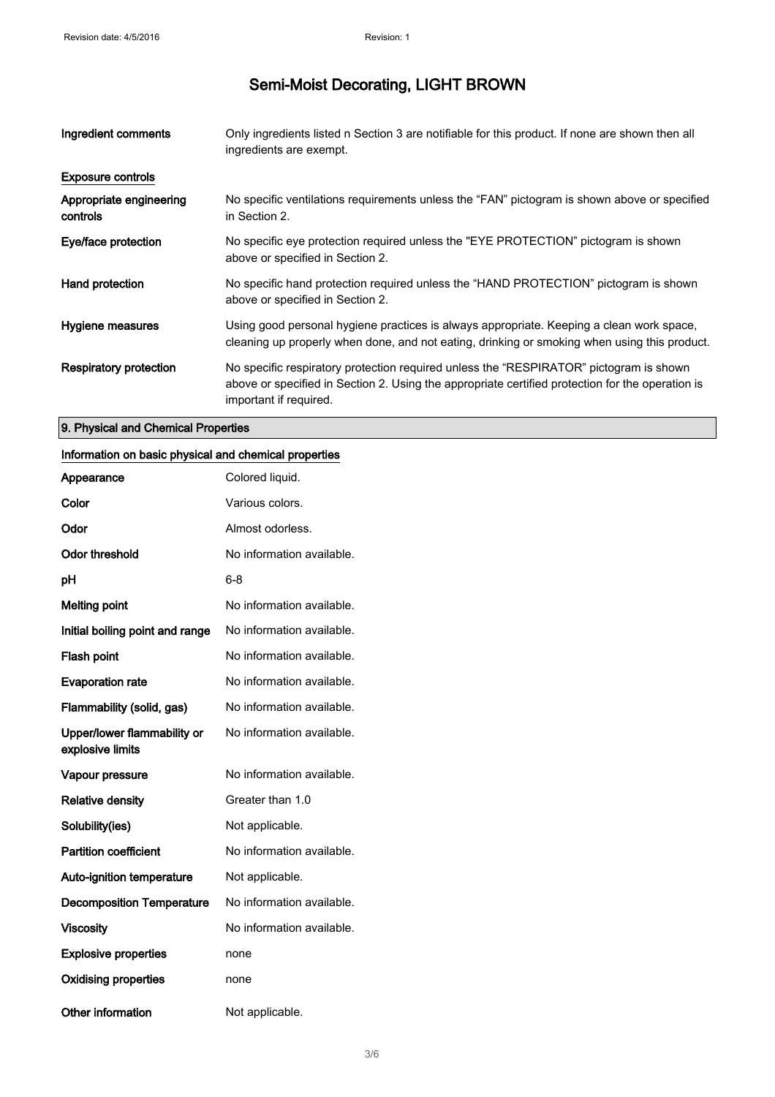| Ingredient comments                 | Only ingredients listed n Section 3 are notifiable for this product. If none are shown then all<br>ingredients are exempt.                                                                                           |
|-------------------------------------|----------------------------------------------------------------------------------------------------------------------------------------------------------------------------------------------------------------------|
| <b>Exposure controls</b>            |                                                                                                                                                                                                                      |
| Appropriate engineering<br>controls | No specific ventilations requirements unless the "FAN" pictogram is shown above or specified<br>in Section 2.                                                                                                        |
| Eye/face protection                 | No specific eye protection required unless the "EYE PROTECTION" pictogram is shown<br>above or specified in Section 2.                                                                                               |
| Hand protection                     | No specific hand protection required unless the "HAND PROTECTION" pictogram is shown<br>above or specified in Section 2.                                                                                             |
| Hygiene measures                    | Using good personal hygiene practices is always appropriate. Keeping a clean work space,<br>cleaning up properly when done, and not eating, drinking or smoking when using this product.                             |
| Respiratory protection              | No specific respiratory protection required unless the "RESPIRATOR" pictogram is shown<br>above or specified in Section 2. Using the appropriate certified protection for the operation is<br>important if required. |

#### 9. Physical and Chemical Properties

#### Information on basic physical and chemical properties

| Appearance                                      | Colored liquid.           |
|-------------------------------------------------|---------------------------|
| Color                                           | Various colors.           |
| Odor                                            | Almost odorless.          |
| <b>Odor threshold</b>                           | No information available. |
| рH                                              | 6-8                       |
| <b>Melting point</b>                            | No information available. |
| Initial boiling point and range                 | No information available. |
| <b>Flash point</b>                              | No information available. |
| <b>Evaporation rate</b>                         | No information available. |
| Flammability (solid, gas)                       | No information available. |
| Upper/lower flammability or<br>explosive limits | No information available. |
| Vapour pressure                                 | No information available. |
| <b>Relative density</b>                         | Greater than 1.0          |
| Solubility(ies)                                 | Not applicable.           |
| <b>Partition coefficient</b>                    | No information available. |
| <b>Auto-ignition temperature</b>                | Not applicable.           |
| <b>Decomposition Temperature</b>                | No information available. |
| <b>Viscosity</b>                                | No information available. |
| <b>Explosive properties</b>                     | none                      |
| <b>Oxidising properties</b>                     | none                      |
| Other information                               | Not applicable.           |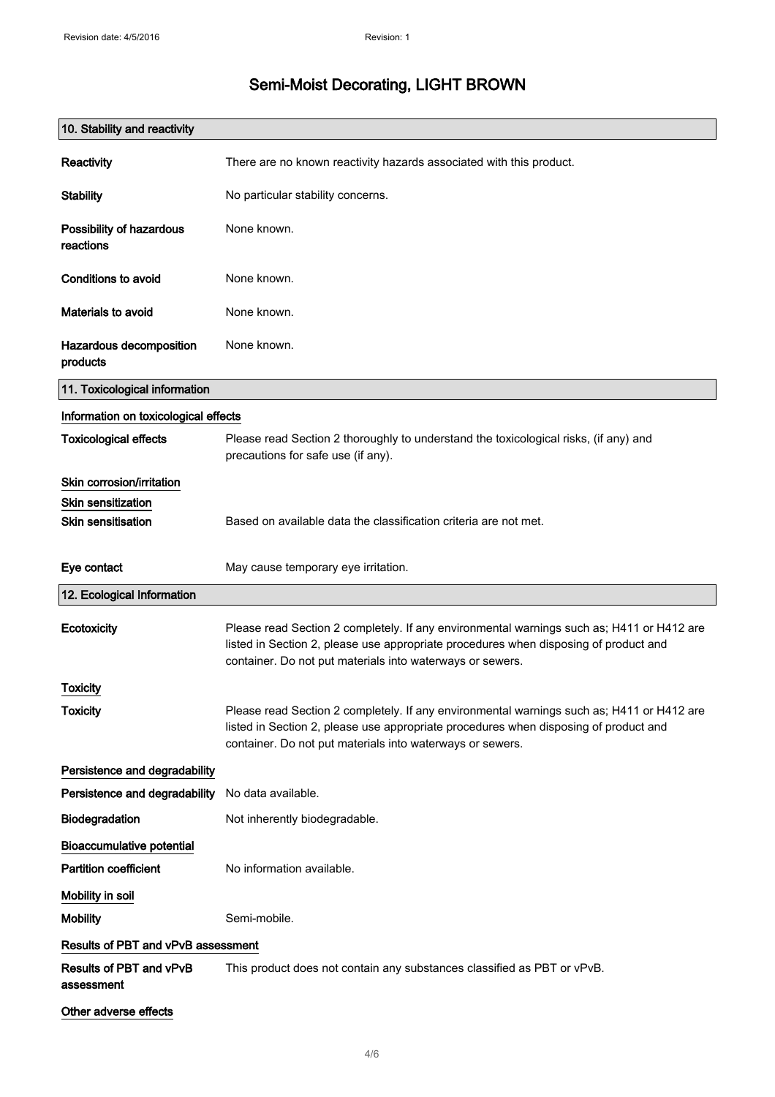| 10. Stability and reactivity          |                                                                                                                                                                                                                                                |
|---------------------------------------|------------------------------------------------------------------------------------------------------------------------------------------------------------------------------------------------------------------------------------------------|
| Reactivity                            | There are no known reactivity hazards associated with this product.                                                                                                                                                                            |
| <b>Stability</b>                      | No particular stability concerns.                                                                                                                                                                                                              |
| Possibility of hazardous<br>reactions | None known.                                                                                                                                                                                                                                    |
| <b>Conditions to avoid</b>            | None known.                                                                                                                                                                                                                                    |
| Materials to avoid                    | None known.                                                                                                                                                                                                                                    |
| Hazardous decomposition<br>products   | None known.                                                                                                                                                                                                                                    |
| 11. Toxicological information         |                                                                                                                                                                                                                                                |
| Information on toxicological effects  |                                                                                                                                                                                                                                                |
| <b>Toxicological effects</b>          | Please read Section 2 thoroughly to understand the toxicological risks, (if any) and<br>precautions for safe use (if any).                                                                                                                     |
| Skin corrosion/irritation             |                                                                                                                                                                                                                                                |
| <b>Skin sensitization</b>             |                                                                                                                                                                                                                                                |
| <b>Skin sensitisation</b>             | Based on available data the classification criteria are not met.                                                                                                                                                                               |
| Eye contact                           | May cause temporary eye irritation.                                                                                                                                                                                                            |
| 12. Ecological Information            |                                                                                                                                                                                                                                                |
| <b>Ecotoxicity</b>                    | Please read Section 2 completely. If any environmental warnings such as; H411 or H412 are<br>listed in Section 2, please use appropriate procedures when disposing of product and<br>container. Do not put materials into waterways or sewers. |
| Toxicity                              |                                                                                                                                                                                                                                                |
| <b>Toxicity</b>                       | Please read Section 2 completely. If any environmental warnings such as; H411 or H412 are<br>listed in Section 2, please use appropriate procedures when disposing of product and<br>container. Do not put materials into waterways or sewers. |
| Persistence and degradability         |                                                                                                                                                                                                                                                |
| Persistence and degradability         | No data available.                                                                                                                                                                                                                             |
| Biodegradation                        | Not inherently biodegradable.                                                                                                                                                                                                                  |
| <b>Bioaccumulative potential</b>      |                                                                                                                                                                                                                                                |
| <b>Partition coefficient</b>          | No information available.                                                                                                                                                                                                                      |
| Mobility in soil                      |                                                                                                                                                                                                                                                |
| <b>Mobility</b>                       | Semi-mobile.                                                                                                                                                                                                                                   |
| Results of PBT and vPvB assessment    |                                                                                                                                                                                                                                                |
| Results of PBT and vPvB<br>assessment | This product does not contain any substances classified as PBT or vPvB.                                                                                                                                                                        |
| Other adverse effects                 |                                                                                                                                                                                                                                                |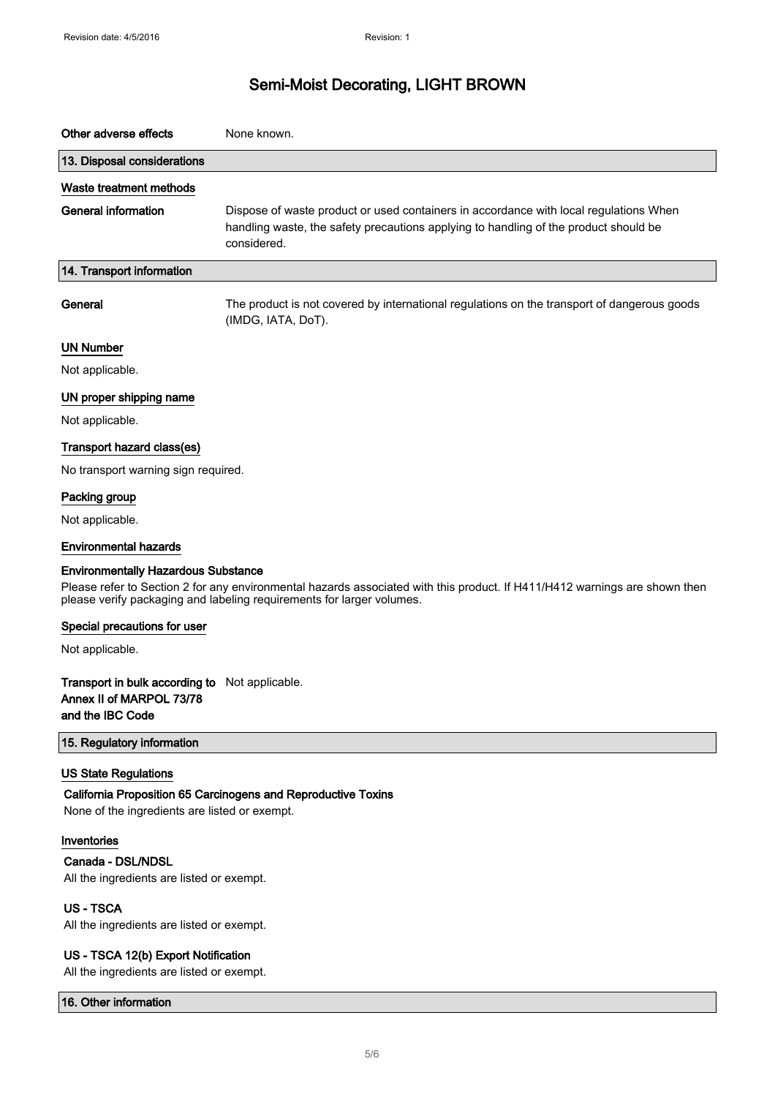| Other adverse effects                                                                                 | None known.                                                                                                                                                                                         |
|-------------------------------------------------------------------------------------------------------|-----------------------------------------------------------------------------------------------------------------------------------------------------------------------------------------------------|
| 13. Disposal considerations                                                                           |                                                                                                                                                                                                     |
| Waste treatment methods                                                                               |                                                                                                                                                                                                     |
| <b>General information</b>                                                                            | Dispose of waste product or used containers in accordance with local regulations When<br>handling waste, the safety precautions applying to handling of the product should be<br>considered.        |
| 14. Transport information                                                                             |                                                                                                                                                                                                     |
| General                                                                                               | The product is not covered by international regulations on the transport of dangerous goods<br>(IMDG, IATA, DoT).                                                                                   |
| <b>UN Number</b>                                                                                      |                                                                                                                                                                                                     |
| Not applicable.                                                                                       |                                                                                                                                                                                                     |
| UN proper shipping name                                                                               |                                                                                                                                                                                                     |
| Not applicable.                                                                                       |                                                                                                                                                                                                     |
| Transport hazard class(es)                                                                            |                                                                                                                                                                                                     |
| No transport warning sign required.                                                                   |                                                                                                                                                                                                     |
| Packing group                                                                                         |                                                                                                                                                                                                     |
| Not applicable.                                                                                       |                                                                                                                                                                                                     |
| <b>Environmental hazards</b>                                                                          |                                                                                                                                                                                                     |
| <b>Environmentally Hazardous Substance</b>                                                            | Please refer to Section 2 for any environmental hazards associated with this product. If H411/H412 warnings are shown then<br>please verify packaging and labeling requirements for larger volumes. |
| Special precautions for user                                                                          |                                                                                                                                                                                                     |
| Not applicable.                                                                                       |                                                                                                                                                                                                     |
| <b>Transport in bulk according to</b> Not applicable.<br>Annex II of MARPOL 73/78<br>and the IBC Code |                                                                                                                                                                                                     |
| 15. Regulatory information                                                                            |                                                                                                                                                                                                     |
| <b>US State Regulations</b><br>None of the ingredients are listed or exempt.                          | California Proposition 65 Carcinogens and Reproductive Toxins                                                                                                                                       |
| Inventories<br>Canada - DSL/NDSL<br>All the ingredients are listed or exempt.                         |                                                                                                                                                                                                     |
| <b>US-TSCA</b><br>All the ingredients are listed or exempt.                                           |                                                                                                                                                                                                     |
| US - TSCA 12(b) Export Notification                                                                   |                                                                                                                                                                                                     |

All the ingredients are listed or exempt.

16. Other information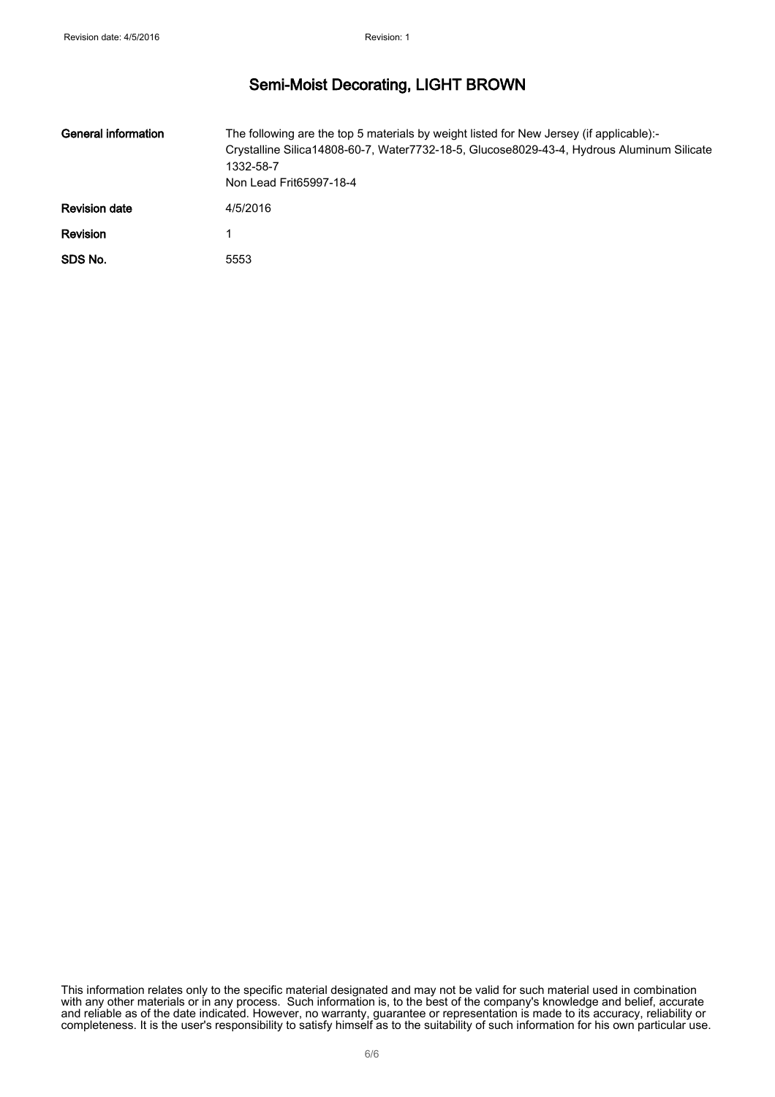| General information  | The following are the top 5 materials by weight listed for New Jersey (if applicable):-<br>Crystalline Silica14808-60-7, Water7732-18-5, Glucose8029-43-4, Hydrous Aluminum Silicate<br>1332-58-7<br>Non Lead Frit65997-18-4 |
|----------------------|------------------------------------------------------------------------------------------------------------------------------------------------------------------------------------------------------------------------------|
| <b>Revision date</b> | 4/5/2016                                                                                                                                                                                                                     |
| <b>Revision</b>      |                                                                                                                                                                                                                              |
| SDS No.              | 5553                                                                                                                                                                                                                         |

This information relates only to the specific material designated and may not be valid for such material used in combination with any other materials or in any process. Such information is, to the best of the company's knowledge and belief, accurate and reliable as of the date indicated. However, no warranty, guarantee or representation is made to its accuracy, reliability or completeness. It is the user's responsibility to satisfy himself as to the suitability of such information for his own particular use.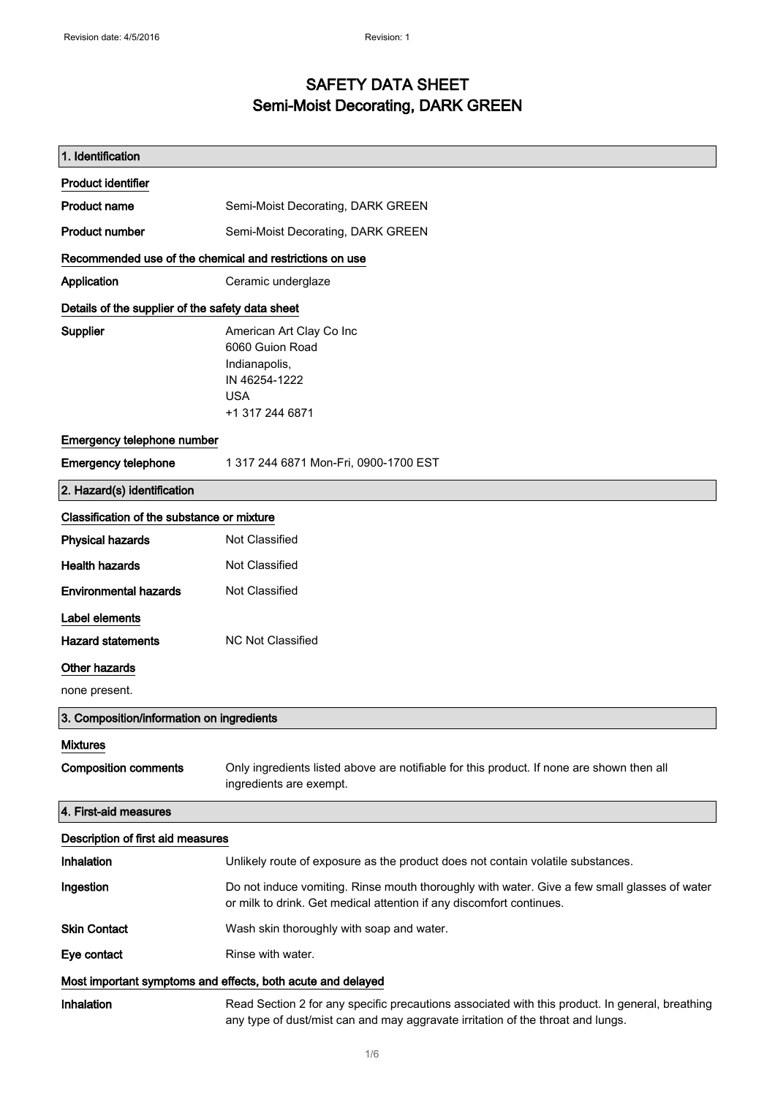### SAFETY DATA SHEET Semi-Moist Decorating, DARK GREEN

| 1. Identification                                       |                                                                                                                                                                                    |
|---------------------------------------------------------|------------------------------------------------------------------------------------------------------------------------------------------------------------------------------------|
| <b>Product identifier</b>                               |                                                                                                                                                                                    |
| <b>Product name</b>                                     | Semi-Moist Decorating, DARK GREEN                                                                                                                                                  |
| <b>Product number</b>                                   | Semi-Moist Decorating, DARK GREEN                                                                                                                                                  |
| Recommended use of the chemical and restrictions on use |                                                                                                                                                                                    |
| Application                                             | Ceramic underglaze                                                                                                                                                                 |
| Details of the supplier of the safety data sheet        |                                                                                                                                                                                    |
| Supplier                                                | American Art Clay Co Inc<br>6060 Guion Road<br>Indianapolis,<br>IN 46254-1222<br><b>USA</b><br>+1 317 244 6871                                                                     |
| Emergency telephone number                              |                                                                                                                                                                                    |
| <b>Emergency telephone</b>                              | 1 317 244 6871 Mon-Fri, 0900-1700 EST                                                                                                                                              |
| 2. Hazard(s) identification                             |                                                                                                                                                                                    |
| Classification of the substance or mixture              |                                                                                                                                                                                    |
| <b>Physical hazards</b>                                 | Not Classified                                                                                                                                                                     |
| <b>Health hazards</b>                                   | Not Classified                                                                                                                                                                     |
| <b>Environmental hazards</b>                            | Not Classified                                                                                                                                                                     |
| Label elements                                          |                                                                                                                                                                                    |
| <b>Hazard statements</b>                                | <b>NC Not Classified</b>                                                                                                                                                           |
| Other hazards                                           |                                                                                                                                                                                    |
| none present.                                           |                                                                                                                                                                                    |
| 3. Composition/information on ingredients               |                                                                                                                                                                                    |
| <b>Mixtures</b>                                         |                                                                                                                                                                                    |
| <b>Composition comments</b>                             | Only ingredients listed above are notifiable for this product. If none are shown then all<br>ingredients are exempt.                                                               |
| 4. First-aid measures                                   |                                                                                                                                                                                    |
| Description of first aid measures                       |                                                                                                                                                                                    |
| Inhalation                                              | Unlikely route of exposure as the product does not contain volatile substances.                                                                                                    |
| Ingestion                                               | Do not induce vomiting. Rinse mouth thoroughly with water. Give a few small glasses of water<br>or milk to drink. Get medical attention if any discomfort continues.               |
| <b>Skin Contact</b>                                     | Wash skin thoroughly with soap and water.                                                                                                                                          |
| Eye contact                                             | Rinse with water.                                                                                                                                                                  |
|                                                         | Most important symptoms and effects, both acute and delayed                                                                                                                        |
| Inhalation                                              | Read Section 2 for any specific precautions associated with this product. In general, breathing<br>any type of dust/mist can and may aggravate irritation of the throat and lungs. |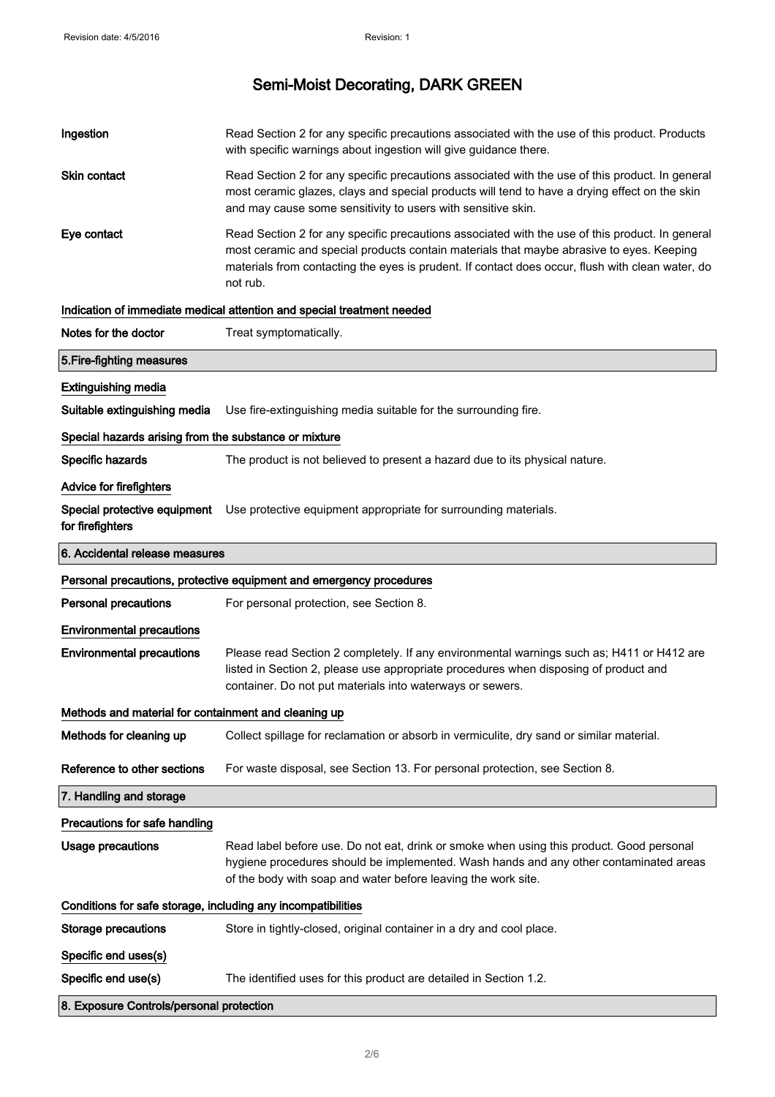| Ingestion                                                    | Read Section 2 for any specific precautions associated with the use of this product. Products<br>with specific warnings about ingestion will give guidance there.                                                                                                                                           |
|--------------------------------------------------------------|-------------------------------------------------------------------------------------------------------------------------------------------------------------------------------------------------------------------------------------------------------------------------------------------------------------|
| <b>Skin contact</b>                                          | Read Section 2 for any specific precautions associated with the use of this product. In general<br>most ceramic glazes, clays and special products will tend to have a drying effect on the skin<br>and may cause some sensitivity to users with sensitive skin.                                            |
| Eye contact                                                  | Read Section 2 for any specific precautions associated with the use of this product. In general<br>most ceramic and special products contain materials that maybe abrasive to eyes. Keeping<br>materials from contacting the eyes is prudent. If contact does occur, flush with clean water, do<br>not rub. |
|                                                              | Indication of immediate medical attention and special treatment needed                                                                                                                                                                                                                                      |
| Notes for the doctor                                         | Treat symptomatically.                                                                                                                                                                                                                                                                                      |
| 5. Fire-fighting measures                                    |                                                                                                                                                                                                                                                                                                             |
| <b>Extinguishing media</b>                                   |                                                                                                                                                                                                                                                                                                             |
| Suitable extinguishing media                                 | Use fire-extinguishing media suitable for the surrounding fire.                                                                                                                                                                                                                                             |
| Special hazards arising from the substance or mixture        |                                                                                                                                                                                                                                                                                                             |
| Specific hazards                                             | The product is not believed to present a hazard due to its physical nature.                                                                                                                                                                                                                                 |
| Advice for firefighters                                      |                                                                                                                                                                                                                                                                                                             |
| Special protective equipment<br>for firefighters             | Use protective equipment appropriate for surrounding materials.                                                                                                                                                                                                                                             |
| 6. Accidental release measures                               |                                                                                                                                                                                                                                                                                                             |
|                                                              | Personal precautions, protective equipment and emergency procedures                                                                                                                                                                                                                                         |
| <b>Personal precautions</b>                                  | For personal protection, see Section 8.                                                                                                                                                                                                                                                                     |
| <b>Environmental precautions</b>                             |                                                                                                                                                                                                                                                                                                             |
| <b>Environmental precautions</b>                             | Please read Section 2 completely. If any environmental warnings such as; H411 or H412 are<br>listed in Section 2, please use appropriate procedures when disposing of product and<br>container. Do not put materials into waterways or sewers.                                                              |
| Methods and material for containment and cleaning up         |                                                                                                                                                                                                                                                                                                             |
| Methods for cleaning up                                      | Collect spillage for reclamation or absorb in vermiculite, dry sand or similar material.                                                                                                                                                                                                                    |
| Reference to other sections                                  | For waste disposal, see Section 13. For personal protection, see Section 8.                                                                                                                                                                                                                                 |
| 7. Handling and storage                                      |                                                                                                                                                                                                                                                                                                             |
| Precautions for safe handling                                |                                                                                                                                                                                                                                                                                                             |
| <b>Usage precautions</b>                                     | Read label before use. Do not eat, drink or smoke when using this product. Good personal                                                                                                                                                                                                                    |
|                                                              | hygiene procedures should be implemented. Wash hands and any other contaminated areas<br>of the body with soap and water before leaving the work site.                                                                                                                                                      |
| Conditions for safe storage, including any incompatibilities |                                                                                                                                                                                                                                                                                                             |
| <b>Storage precautions</b>                                   | Store in tightly-closed, original container in a dry and cool place.                                                                                                                                                                                                                                        |
| Specific end uses(s)                                         |                                                                                                                                                                                                                                                                                                             |
|                                                              |                                                                                                                                                                                                                                                                                                             |
| Specific end use(s)                                          | The identified uses for this product are detailed in Section 1.2.                                                                                                                                                                                                                                           |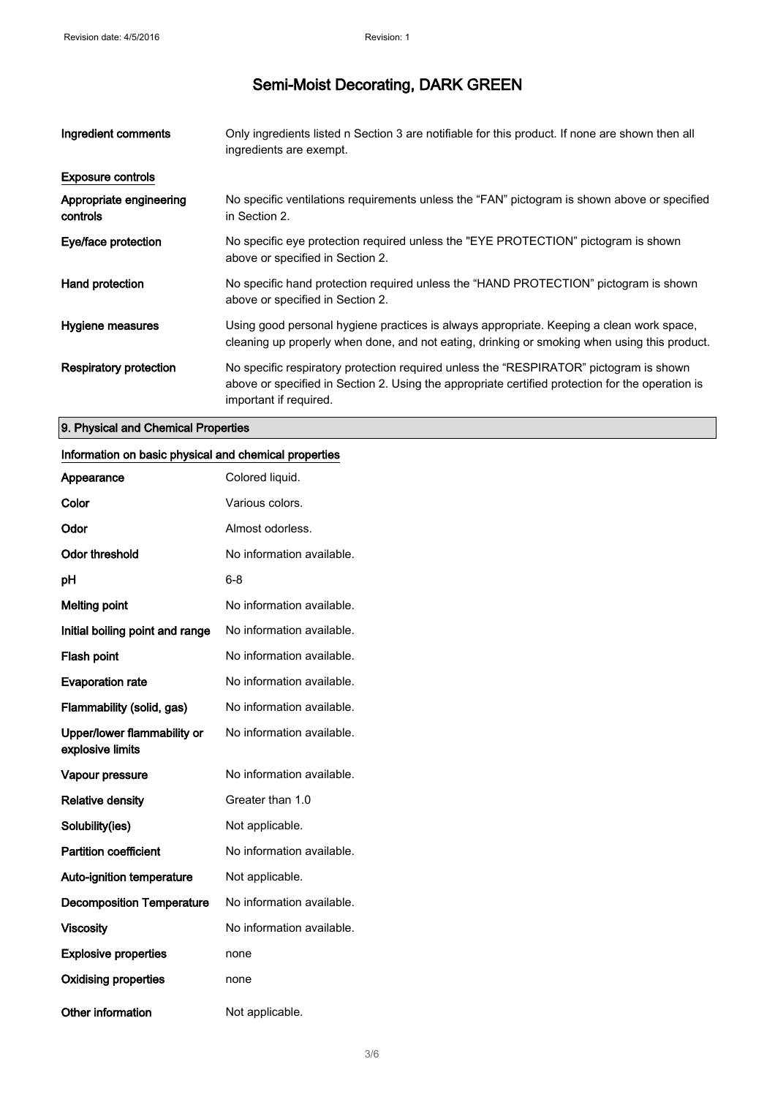| Ingredient comments                 | Only ingredients listed n Section 3 are notifiable for this product. If none are shown then all<br>ingredients are exempt.                                                                                           |
|-------------------------------------|----------------------------------------------------------------------------------------------------------------------------------------------------------------------------------------------------------------------|
| <b>Exposure controls</b>            |                                                                                                                                                                                                                      |
| Appropriate engineering<br>controls | No specific ventilations requirements unless the "FAN" pictogram is shown above or specified<br>in Section 2.                                                                                                        |
| Eye/face protection                 | No specific eve protection required unless the "EYE PROTECTION" pictogram is shown<br>above or specified in Section 2.                                                                                               |
| Hand protection                     | No specific hand protection required unless the "HAND PROTECTION" pictogram is shown<br>above or specified in Section 2.                                                                                             |
| Hygiene measures                    | Using good personal hygiene practices is always appropriate. Keeping a clean work space,<br>cleaning up properly when done, and not eating, drinking or smoking when using this product.                             |
| <b>Respiratory protection</b>       | No specific respiratory protection required unless the "RESPIRATOR" pictogram is shown<br>above or specified in Section 2. Using the appropriate certified protection for the operation is<br>important if required. |

### 9. Physical and Chemical Properties

#### Information on basic physical and chemical properties

| Appearance                                      | Colored liquid.           |
|-------------------------------------------------|---------------------------|
| Color                                           | Various colors.           |
| Odor                                            | Almost odorless.          |
| <b>Odor threshold</b>                           | No information available. |
| рH                                              | 6-8                       |
| <b>Melting point</b>                            | No information available. |
| Initial boiling point and range                 | No information available. |
| <b>Flash point</b>                              | No information available. |
| <b>Evaporation rate</b>                         | No information available. |
| Flammability (solid, gas)                       | No information available. |
| Upper/lower flammability or<br>explosive limits | No information available. |
| Vapour pressure                                 | No information available. |
| <b>Relative density</b>                         | Greater than 1.0          |
| Solubility(ies)                                 | Not applicable.           |
| <b>Partition coefficient</b>                    | No information available. |
| <b>Auto-ignition temperature</b>                | Not applicable.           |
| <b>Decomposition Temperature</b>                | No information available. |
| <b>Viscosity</b>                                | No information available. |
| <b>Explosive properties</b>                     | none                      |
| <b>Oxidising properties</b>                     | none                      |
| Other information                               | Not applicable.           |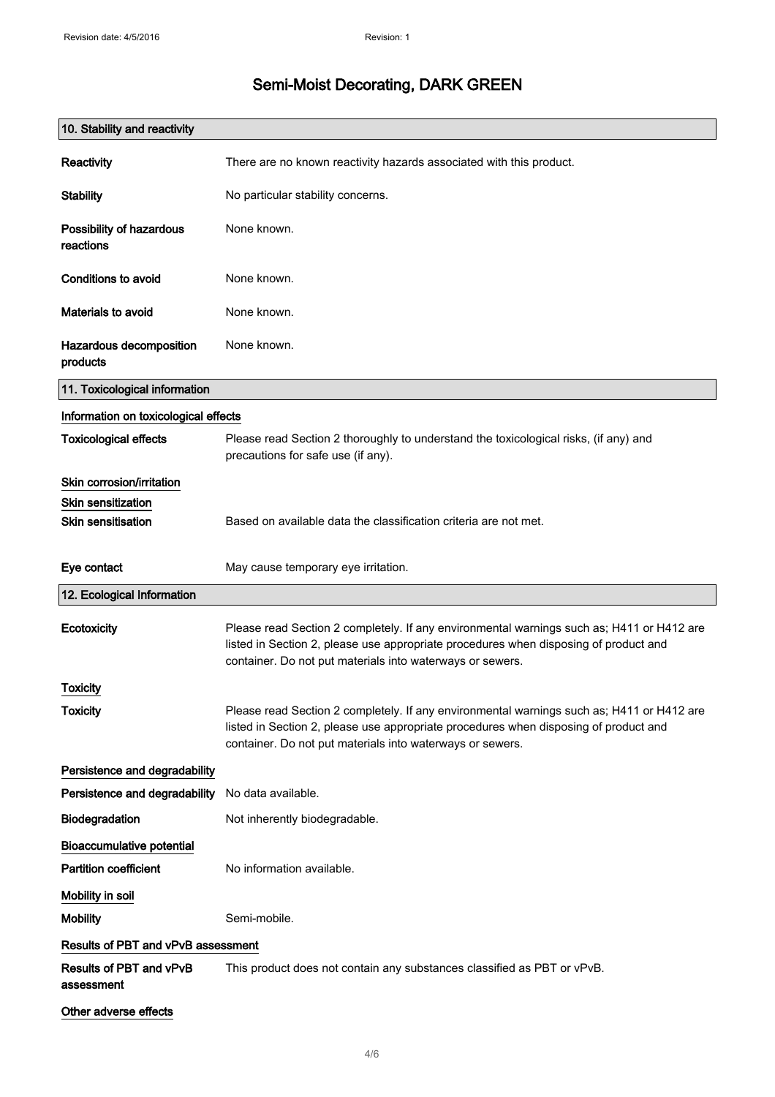| 10. Stability and reactivity          |                                                                                                                                                                                                                                                |
|---------------------------------------|------------------------------------------------------------------------------------------------------------------------------------------------------------------------------------------------------------------------------------------------|
| Reactivity                            | There are no known reactivity hazards associated with this product.                                                                                                                                                                            |
| <b>Stability</b>                      | No particular stability concerns.                                                                                                                                                                                                              |
| Possibility of hazardous<br>reactions | None known.                                                                                                                                                                                                                                    |
| Conditions to avoid                   | None known.                                                                                                                                                                                                                                    |
| Materials to avoid                    | None known.                                                                                                                                                                                                                                    |
| Hazardous decomposition<br>products   | None known.                                                                                                                                                                                                                                    |
| 11. Toxicological information         |                                                                                                                                                                                                                                                |
| Information on toxicological effects  |                                                                                                                                                                                                                                                |
| <b>Toxicological effects</b>          | Please read Section 2 thoroughly to understand the toxicological risks, (if any) and<br>precautions for safe use (if any).                                                                                                                     |
| Skin corrosion/irritation             |                                                                                                                                                                                                                                                |
| <b>Skin sensitization</b>             |                                                                                                                                                                                                                                                |
| <b>Skin sensitisation</b>             | Based on available data the classification criteria are not met.                                                                                                                                                                               |
| Eye contact                           | May cause temporary eye irritation.                                                                                                                                                                                                            |
| 12. Ecological Information            |                                                                                                                                                                                                                                                |
| <b>Ecotoxicity</b>                    | Please read Section 2 completely. If any environmental warnings such as; H411 or H412 are<br>listed in Section 2, please use appropriate procedures when disposing of product and<br>container. Do not put materials into waterways or sewers. |
| Toxicity                              |                                                                                                                                                                                                                                                |
| Toxicity                              | Please read Section 2 completely. If any environmental warnings such as; H411 or H412 are<br>listed in Section 2, please use appropriate procedures when disposing of product and<br>container. Do not put materials into waterways or sewers. |
| Persistence and degradability         |                                                                                                                                                                                                                                                |
| Persistence and degradability         | No data available.                                                                                                                                                                                                                             |
| Biodegradation                        | Not inherently biodegradable.                                                                                                                                                                                                                  |
| <b>Bioaccumulative potential</b>      |                                                                                                                                                                                                                                                |
| <b>Partition coefficient</b>          | No information available.                                                                                                                                                                                                                      |
| Mobility in soil                      |                                                                                                                                                                                                                                                |
| <b>Mobility</b>                       | Semi-mobile.                                                                                                                                                                                                                                   |
| Results of PBT and vPvB assessment    |                                                                                                                                                                                                                                                |
| Results of PBT and vPvB<br>assessment | This product does not contain any substances classified as PBT or vPvB.                                                                                                                                                                        |
| Other adverse effects                 |                                                                                                                                                                                                                                                |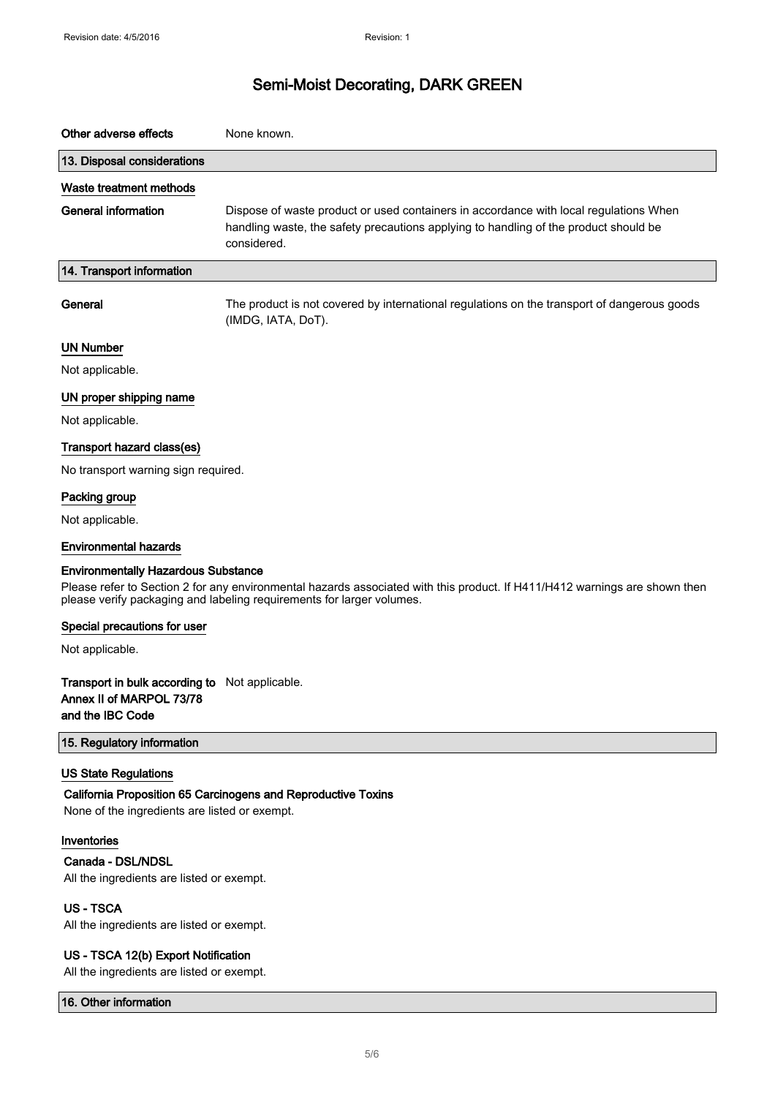| Other adverse effects                                                                                 | None known.                                                                                                                                                                                         |
|-------------------------------------------------------------------------------------------------------|-----------------------------------------------------------------------------------------------------------------------------------------------------------------------------------------------------|
| 13. Disposal considerations                                                                           |                                                                                                                                                                                                     |
| Waste treatment methods                                                                               |                                                                                                                                                                                                     |
| <b>General information</b>                                                                            | Dispose of waste product or used containers in accordance with local regulations When<br>handling waste, the safety precautions applying to handling of the product should be<br>considered.        |
| 14. Transport information                                                                             |                                                                                                                                                                                                     |
| General                                                                                               | The product is not covered by international regulations on the transport of dangerous goods<br>(IMDG, IATA, DoT).                                                                                   |
| <b>UN Number</b>                                                                                      |                                                                                                                                                                                                     |
| Not applicable.                                                                                       |                                                                                                                                                                                                     |
| UN proper shipping name                                                                               |                                                                                                                                                                                                     |
| Not applicable.                                                                                       |                                                                                                                                                                                                     |
| Transport hazard class(es)                                                                            |                                                                                                                                                                                                     |
| No transport warning sign required.                                                                   |                                                                                                                                                                                                     |
| Packing group                                                                                         |                                                                                                                                                                                                     |
| Not applicable.                                                                                       |                                                                                                                                                                                                     |
| <b>Environmental hazards</b>                                                                          |                                                                                                                                                                                                     |
| <b>Environmentally Hazardous Substance</b>                                                            | Please refer to Section 2 for any environmental hazards associated with this product. If H411/H412 warnings are shown then<br>please verify packaging and labeling requirements for larger volumes. |
| Special precautions for user                                                                          |                                                                                                                                                                                                     |
| Not applicable.                                                                                       |                                                                                                                                                                                                     |
| <b>Transport in bulk according to</b> Not applicable.<br>Annex II of MARPOL 73/78<br>and the IBC Code |                                                                                                                                                                                                     |
| 15. Regulatory information                                                                            |                                                                                                                                                                                                     |
| <b>US State Regulations</b><br>None of the ingredients are listed or exempt.                          | California Proposition 65 Carcinogens and Reproductive Toxins                                                                                                                                       |
| Inventories<br>Canada - DSL/NDSL<br>All the ingredients are listed or exempt.                         |                                                                                                                                                                                                     |
| <b>US-TSCA</b><br>All the ingredients are listed or exempt.                                           |                                                                                                                                                                                                     |
| US - TSCA 12(b) Export Notification                                                                   |                                                                                                                                                                                                     |

All the ingredients are listed or exempt.

16. Other information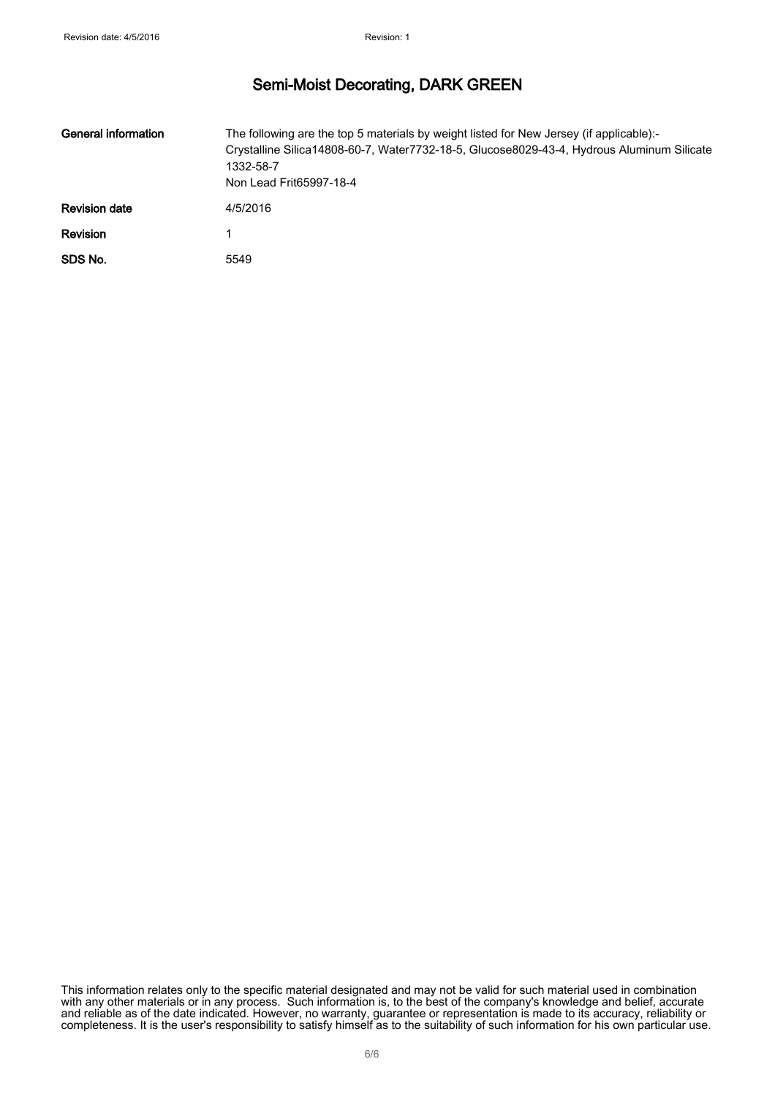| General information  | The following are the top 5 materials by weight listed for New Jersey (if applicable):-<br>Crystalline Silica14808-60-7, Water7732-18-5, Glucose8029-43-4, Hydrous Aluminum Silicate<br>1332-58-7<br>Non Lead Frit65997-18-4 |
|----------------------|------------------------------------------------------------------------------------------------------------------------------------------------------------------------------------------------------------------------------|
| <b>Revision date</b> | 4/5/2016                                                                                                                                                                                                                     |
| <b>Revision</b>      |                                                                                                                                                                                                                              |
| SDS No.              | 5549                                                                                                                                                                                                                         |

This information relates only to the specific material designated and may not be valid for such material used in combination with any other materials or in any process. Such information is, to the best of the company's knowledge and belief, accurate and reliable as of the date indicated. However, no warranty, guarantee or representation is made to its accuracy, reliability or completeness. It is the user's responsibility to satisfy himself as to the suitability of such information for his own particular use.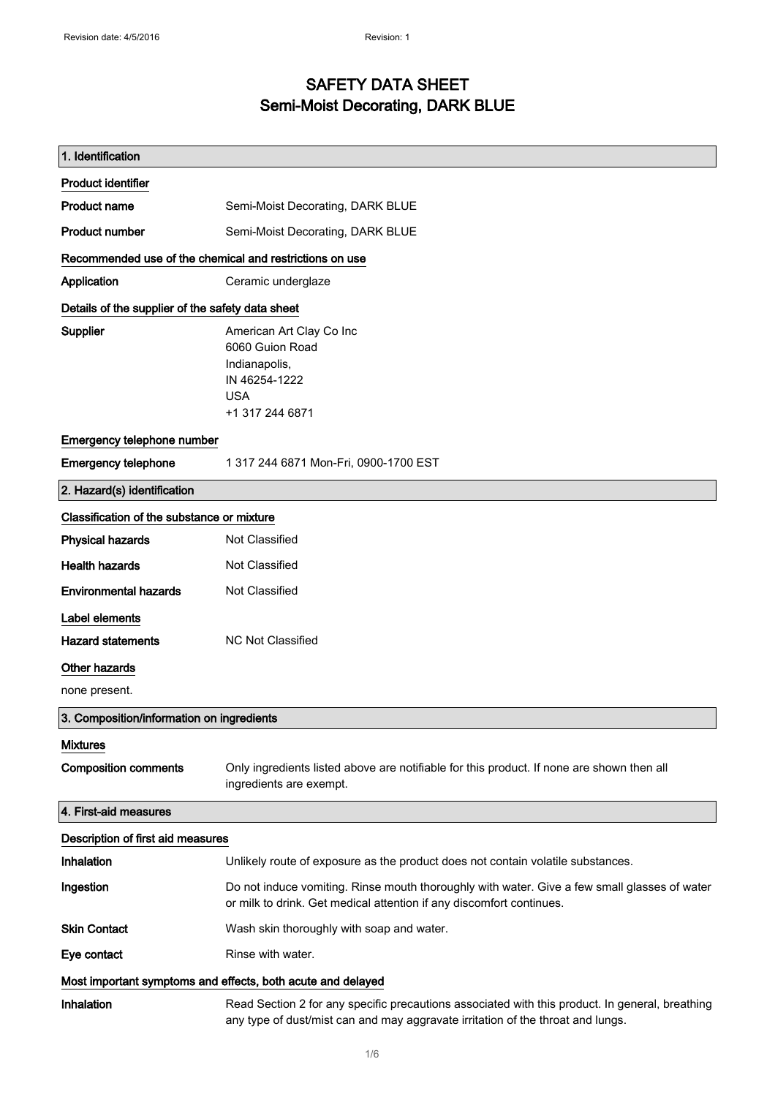### SAFETY DATA SHEET Semi-Moist Decorating, DARK BLUE

| 1. Identification                                       |                                                                                                                                                                                    |
|---------------------------------------------------------|------------------------------------------------------------------------------------------------------------------------------------------------------------------------------------|
| <b>Product identifier</b>                               |                                                                                                                                                                                    |
| Product name                                            | Semi-Moist Decorating, DARK BLUE                                                                                                                                                   |
| <b>Product number</b>                                   | Semi-Moist Decorating, DARK BLUE                                                                                                                                                   |
| Recommended use of the chemical and restrictions on use |                                                                                                                                                                                    |
| Application                                             | Ceramic underglaze                                                                                                                                                                 |
| Details of the supplier of the safety data sheet        |                                                                                                                                                                                    |
| <b>Supplier</b>                                         | American Art Clay Co Inc<br>6060 Guion Road<br>Indianapolis,<br>IN 46254-1222<br><b>USA</b><br>+1 317 244 6871                                                                     |
| Emergency telephone number                              |                                                                                                                                                                                    |
| <b>Emergency telephone</b>                              | 1 317 244 6871 Mon-Fri, 0900-1700 EST                                                                                                                                              |
| 2. Hazard(s) identification                             |                                                                                                                                                                                    |
| Classification of the substance or mixture              |                                                                                                                                                                                    |
| <b>Physical hazards</b>                                 | Not Classified                                                                                                                                                                     |
| <b>Health hazards</b>                                   | Not Classified                                                                                                                                                                     |
| <b>Environmental hazards</b>                            | Not Classified                                                                                                                                                                     |
| Label elements                                          |                                                                                                                                                                                    |
| <b>Hazard statements</b>                                | <b>NC Not Classified</b>                                                                                                                                                           |
| Other hazards                                           |                                                                                                                                                                                    |
| none present.                                           |                                                                                                                                                                                    |
| 3. Composition/information on ingredients               |                                                                                                                                                                                    |
| <b>Mixtures</b>                                         |                                                                                                                                                                                    |
| <b>Composition comments</b>                             | Only ingredients listed above are notifiable for this product. If none are shown then all<br>ingredients are exempt.                                                               |
| 4. First-aid measures                                   |                                                                                                                                                                                    |
| Description of first aid measures                       |                                                                                                                                                                                    |
| Inhalation                                              | Unlikely route of exposure as the product does not contain volatile substances.                                                                                                    |
| Ingestion                                               | Do not induce vomiting. Rinse mouth thoroughly with water. Give a few small glasses of water<br>or milk to drink. Get medical attention if any discomfort continues.               |
| <b>Skin Contact</b>                                     | Wash skin thoroughly with soap and water.                                                                                                                                          |
| Eye contact                                             | Rinse with water.                                                                                                                                                                  |
|                                                         | Most important symptoms and effects, both acute and delayed                                                                                                                        |
| Inhalation                                              | Read Section 2 for any specific precautions associated with this product. In general, breathing<br>any type of dust/mist can and may aggravate irritation of the throat and lungs. |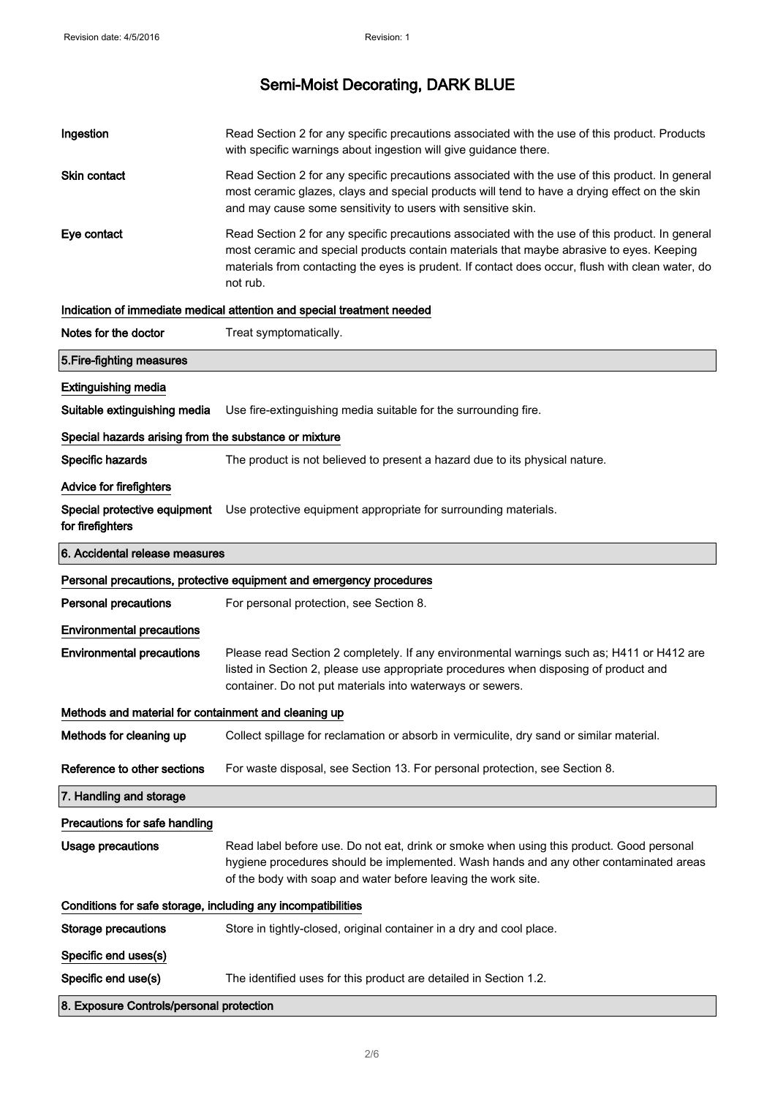| Ingestion                                                    | Read Section 2 for any specific precautions associated with the use of this product. Products<br>with specific warnings about ingestion will give guidance there.                                                                                                                                           |
|--------------------------------------------------------------|-------------------------------------------------------------------------------------------------------------------------------------------------------------------------------------------------------------------------------------------------------------------------------------------------------------|
| <b>Skin contact</b>                                          | Read Section 2 for any specific precautions associated with the use of this product. In general<br>most ceramic glazes, clays and special products will tend to have a drying effect on the skin<br>and may cause some sensitivity to users with sensitive skin.                                            |
| Eye contact                                                  | Read Section 2 for any specific precautions associated with the use of this product. In general<br>most ceramic and special products contain materials that maybe abrasive to eyes. Keeping<br>materials from contacting the eyes is prudent. If contact does occur, flush with clean water, do<br>not rub. |
|                                                              | Indication of immediate medical attention and special treatment needed                                                                                                                                                                                                                                      |
| Notes for the doctor                                         | Treat symptomatically.                                                                                                                                                                                                                                                                                      |
| 5. Fire-fighting measures                                    |                                                                                                                                                                                                                                                                                                             |
| <b>Extinguishing media</b>                                   |                                                                                                                                                                                                                                                                                                             |
| Suitable extinguishing media                                 | Use fire-extinguishing media suitable for the surrounding fire.                                                                                                                                                                                                                                             |
| Special hazards arising from the substance or mixture        |                                                                                                                                                                                                                                                                                                             |
| Specific hazards                                             | The product is not believed to present a hazard due to its physical nature.                                                                                                                                                                                                                                 |
| Advice for firefighters                                      |                                                                                                                                                                                                                                                                                                             |
| Special protective equipment<br>for firefighters             | Use protective equipment appropriate for surrounding materials.                                                                                                                                                                                                                                             |
| 6. Accidental release measures                               |                                                                                                                                                                                                                                                                                                             |
|                                                              | Personal precautions, protective equipment and emergency procedures                                                                                                                                                                                                                                         |
| <b>Personal precautions</b>                                  | For personal protection, see Section 8.                                                                                                                                                                                                                                                                     |
| <b>Environmental precautions</b>                             |                                                                                                                                                                                                                                                                                                             |
| <b>Environmental precautions</b>                             | Please read Section 2 completely. If any environmental warnings such as; H411 or H412 are<br>listed in Section 2, please use appropriate procedures when disposing of product and<br>container. Do not put materials into waterways or sewers.                                                              |
| Methods and material for containment and cleaning up         |                                                                                                                                                                                                                                                                                                             |
| Methods for cleaning up                                      | Collect spillage for reclamation or absorb in vermiculite, dry sand or similar material.                                                                                                                                                                                                                    |
| Reference to other sections                                  | For waste disposal, see Section 13. For personal protection, see Section 8.                                                                                                                                                                                                                                 |
| 7. Handling and storage                                      |                                                                                                                                                                                                                                                                                                             |
| Precautions for safe handling                                |                                                                                                                                                                                                                                                                                                             |
| <b>Usage precautions</b>                                     | Read label before use. Do not eat, drink or smoke when using this product. Good personal<br>hygiene procedures should be implemented. Wash hands and any other contaminated areas<br>of the body with soap and water before leaving the work site.                                                          |
| Conditions for safe storage, including any incompatibilities |                                                                                                                                                                                                                                                                                                             |
| <b>Storage precautions</b>                                   | Store in tightly-closed, original container in a dry and cool place.                                                                                                                                                                                                                                        |
| Specific end uses(s)                                         |                                                                                                                                                                                                                                                                                                             |
| Specific end use(s)                                          | The identified uses for this product are detailed in Section 1.2.                                                                                                                                                                                                                                           |
| 8. Exposure Controls/personal protection                     |                                                                                                                                                                                                                                                                                                             |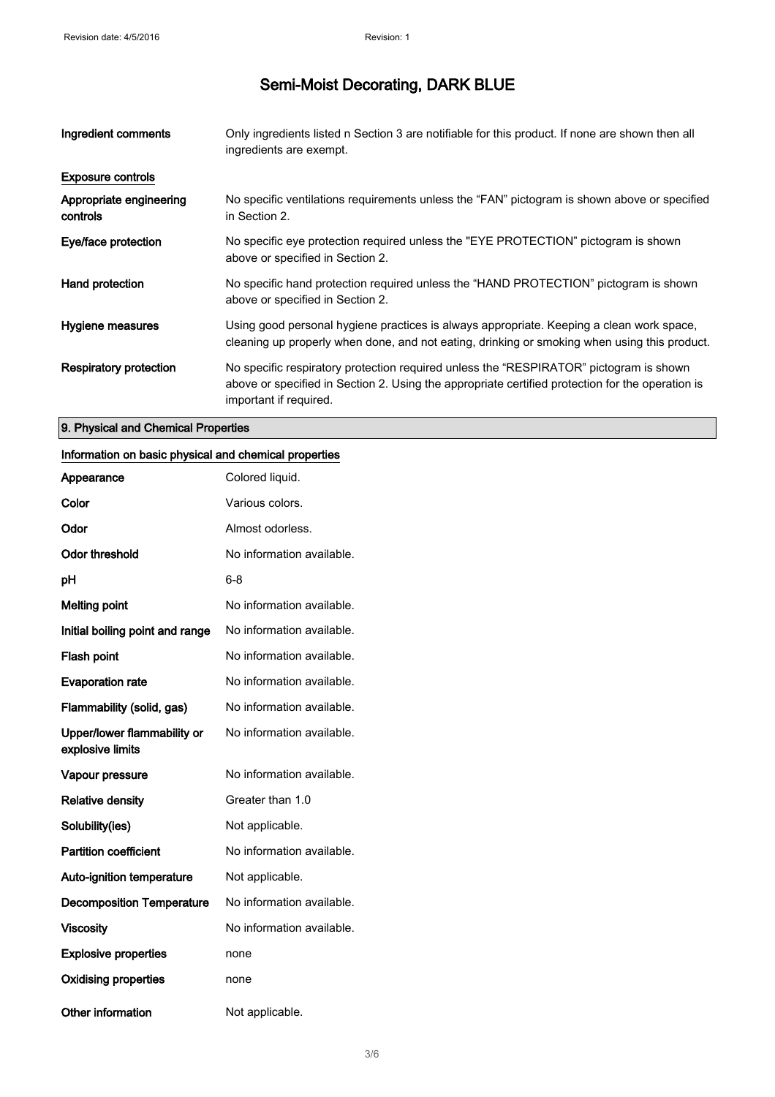| Ingredient comments                 | Only ingredients listed n Section 3 are notifiable for this product. If none are shown then all<br>ingredients are exempt.                                                                                           |
|-------------------------------------|----------------------------------------------------------------------------------------------------------------------------------------------------------------------------------------------------------------------|
| <b>Exposure controls</b>            |                                                                                                                                                                                                                      |
| Appropriate engineering<br>controls | No specific ventilations requirements unless the "FAN" pictogram is shown above or specified<br>in Section 2.                                                                                                        |
| Eye/face protection                 | No specific eye protection required unless the "EYE PROTECTION" pictogram is shown<br>above or specified in Section 2.                                                                                               |
| Hand protection                     | No specific hand protection required unless the "HAND PROTECTION" pictogram is shown<br>above or specified in Section 2.                                                                                             |
| Hygiene measures                    | Using good personal hygiene practices is always appropriate. Keeping a clean work space,<br>cleaning up properly when done, and not eating, drinking or smoking when using this product.                             |
| <b>Respiratory protection</b>       | No specific respiratory protection required unless the "RESPIRATOR" pictogram is shown<br>above or specified in Section 2. Using the appropriate certified protection for the operation is<br>important if required. |

### 9. Physical and Chemical Properties

#### Information on basic physical and chemical properties

| Appearance                                      | Colored liquid.           |
|-------------------------------------------------|---------------------------|
| Color                                           | Various colors.           |
| Odor                                            | Almost odorless.          |
| <b>Odor threshold</b>                           | No information available. |
| рH                                              | 6-8                       |
| <b>Melting point</b>                            | No information available. |
| Initial boiling point and range                 | No information available. |
| Flash point                                     | No information available. |
| <b>Evaporation rate</b>                         | No information available. |
| Flammability (solid, gas)                       | No information available. |
| Upper/lower flammability or<br>explosive limits | No information available. |
| Vapour pressure                                 | No information available. |
| <b>Relative density</b>                         | Greater than 1.0          |
| Solubility(ies)                                 | Not applicable.           |
| <b>Partition coefficient</b>                    | No information available. |
| <b>Auto-ignition temperature</b>                | Not applicable.           |
| <b>Decomposition Temperature</b>                | No information available. |
| <b>Viscosity</b>                                | No information available. |
| <b>Explosive properties</b>                     | none                      |
| <b>Oxidising properties</b>                     | none                      |
| <b>Other information</b>                        | Not applicable.           |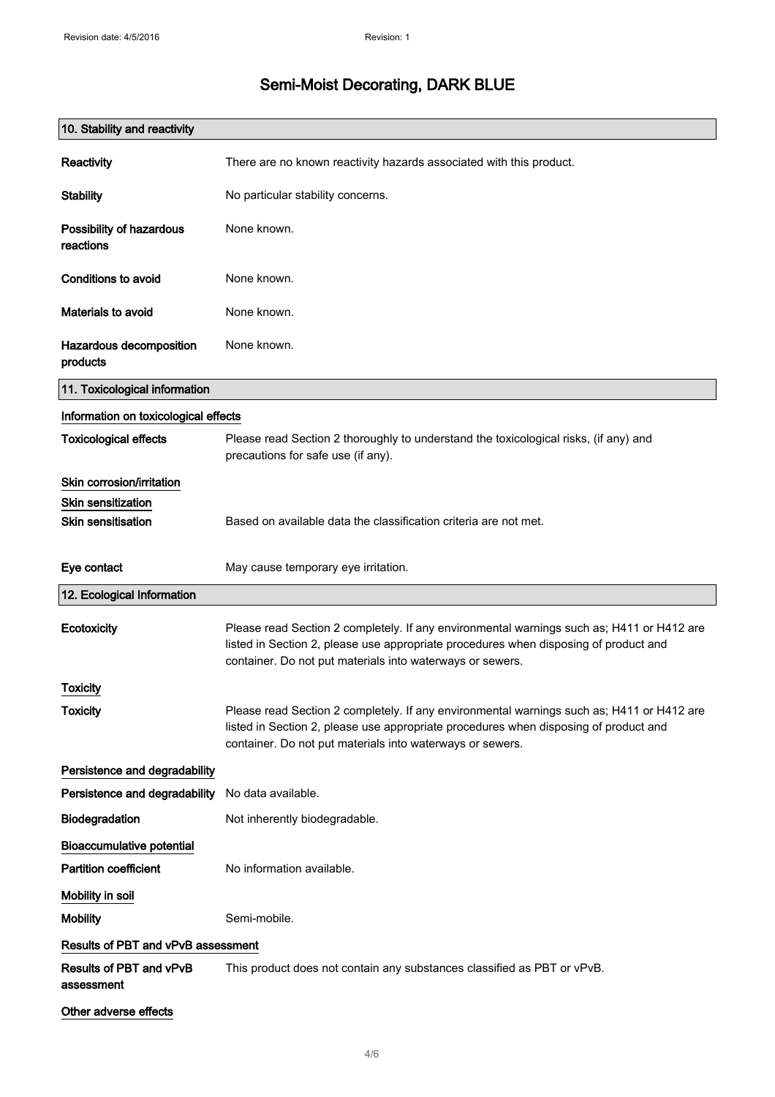| 10. Stability and reactivity          |                                                                                                                                                                                                                                                |
|---------------------------------------|------------------------------------------------------------------------------------------------------------------------------------------------------------------------------------------------------------------------------------------------|
| Reactivity                            | There are no known reactivity hazards associated with this product.                                                                                                                                                                            |
| <b>Stability</b>                      | No particular stability concerns.                                                                                                                                                                                                              |
| Possibility of hazardous<br>reactions | None known.                                                                                                                                                                                                                                    |
| <b>Conditions to avoid</b>            | None known.                                                                                                                                                                                                                                    |
| Materials to avoid                    | None known.                                                                                                                                                                                                                                    |
| Hazardous decomposition<br>products   | None known.                                                                                                                                                                                                                                    |
| 11. Toxicological information         |                                                                                                                                                                                                                                                |
| Information on toxicological effects  |                                                                                                                                                                                                                                                |
| <b>Toxicological effects</b>          | Please read Section 2 thoroughly to understand the toxicological risks, (if any) and<br>precautions for safe use (if any).                                                                                                                     |
| Skin corrosion/irritation             |                                                                                                                                                                                                                                                |
| <b>Skin sensitization</b>             |                                                                                                                                                                                                                                                |
| <b>Skin sensitisation</b>             | Based on available data the classification criteria are not met.                                                                                                                                                                               |
| Eye contact                           | May cause temporary eye irritation.                                                                                                                                                                                                            |
| 12. Ecological Information            |                                                                                                                                                                                                                                                |
| Ecotoxicity                           | Please read Section 2 completely. If any environmental warnings such as; H411 or H412 are<br>listed in Section 2, please use appropriate procedures when disposing of product and<br>container. Do not put materials into waterways or sewers. |
| Toxicity                              |                                                                                                                                                                                                                                                |
| <b>Toxicity</b>                       | Please read Section 2 completely. If any environmental warnings such as; H411 or H412 are<br>listed in Section 2, please use appropriate procedures when disposing of product and<br>container. Do not put materials into waterways or sewers. |
| Persistence and degradability         |                                                                                                                                                                                                                                                |
| Persistence and degradability         | No data available.                                                                                                                                                                                                                             |
| Biodegradation                        | Not inherently biodegradable.                                                                                                                                                                                                                  |
| <b>Bioaccumulative potential</b>      |                                                                                                                                                                                                                                                |
| <b>Partition coefficient</b>          | No information available.                                                                                                                                                                                                                      |
| Mobility in soil                      |                                                                                                                                                                                                                                                |
| <b>Mobility</b>                       | Semi-mobile.                                                                                                                                                                                                                                   |
| Results of PBT and vPvB assessment    |                                                                                                                                                                                                                                                |
| Results of PBT and vPvB<br>assessment | This product does not contain any substances classified as PBT or vPvB.                                                                                                                                                                        |
| Other adverse effects                 |                                                                                                                                                                                                                                                |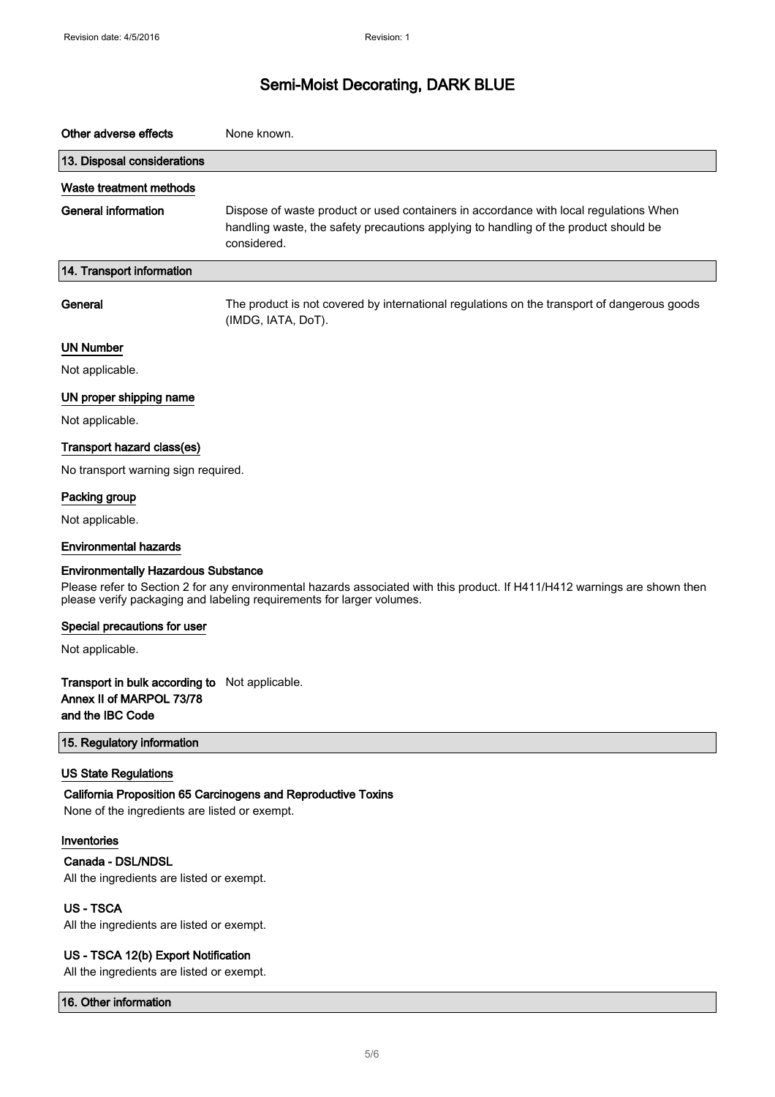| Other adverse effects                                                                          | None known.                                                                                                                                                                                         |
|------------------------------------------------------------------------------------------------|-----------------------------------------------------------------------------------------------------------------------------------------------------------------------------------------------------|
| 13. Disposal considerations                                                                    |                                                                                                                                                                                                     |
| Waste treatment methods                                                                        |                                                                                                                                                                                                     |
| <b>General information</b>                                                                     | Dispose of waste product or used containers in accordance with local regulations When<br>handling waste, the safety precautions applying to handling of the product should be<br>considered.        |
| 14. Transport information                                                                      |                                                                                                                                                                                                     |
| General                                                                                        | The product is not covered by international regulations on the transport of dangerous goods<br>(IMDG, IATA, DoT).                                                                                   |
| <b>UN Number</b>                                                                               |                                                                                                                                                                                                     |
| Not applicable.                                                                                |                                                                                                                                                                                                     |
| UN proper shipping name                                                                        |                                                                                                                                                                                                     |
| Not applicable.                                                                                |                                                                                                                                                                                                     |
| Transport hazard class(es)                                                                     |                                                                                                                                                                                                     |
| No transport warning sign required.                                                            |                                                                                                                                                                                                     |
| Packing group                                                                                  |                                                                                                                                                                                                     |
| Not applicable.                                                                                |                                                                                                                                                                                                     |
| <b>Environmental hazards</b>                                                                   |                                                                                                                                                                                                     |
| <b>Environmentally Hazardous Substance</b>                                                     | Please refer to Section 2 for any environmental hazards associated with this product. If H411/H412 warnings are shown then<br>please verify packaging and labeling requirements for larger volumes. |
| Special precautions for user                                                                   |                                                                                                                                                                                                     |
| Not applicable.                                                                                |                                                                                                                                                                                                     |
| Transport in bulk according to Not applicable.<br>Annex II of MARPOL 73/78<br>and the IBC Code |                                                                                                                                                                                                     |
| 15. Regulatory information                                                                     |                                                                                                                                                                                                     |
| <b>US State Regulations</b><br>None of the ingredients are listed or exempt.                   | California Proposition 65 Carcinogens and Reproductive Toxins                                                                                                                                       |
| Inventories<br>Canada - DSL/NDSL<br>All the ingredients are listed or exempt.                  |                                                                                                                                                                                                     |
| <b>US-TSCA</b><br>All the ingredients are listed or exempt.                                    |                                                                                                                                                                                                     |
| US - TSCA 12(b) Export Notification                                                            |                                                                                                                                                                                                     |

All the ingredients are listed or exempt.

16. Other information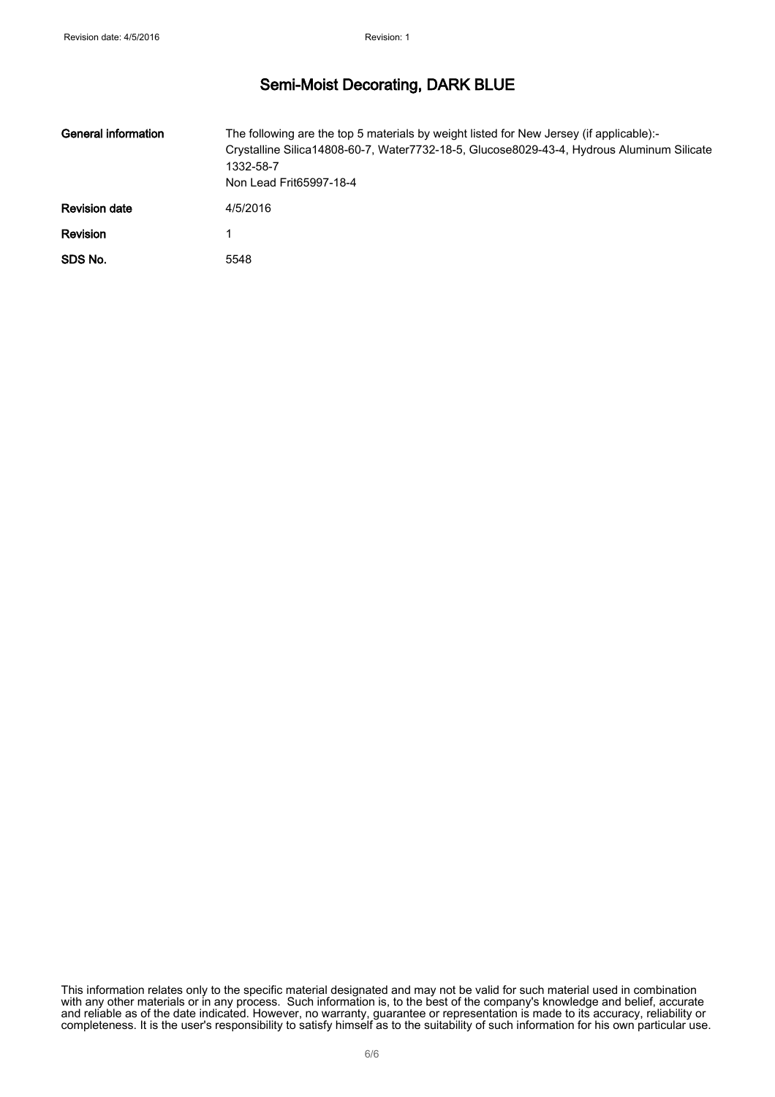| General information  | The following are the top 5 materials by weight listed for New Jersey (if applicable):-<br>Crystalline Silica14808-60-7, Water7732-18-5, Glucose8029-43-4, Hydrous Aluminum Silicate<br>1332-58-7<br>Non Lead Frit65997-18-4 |
|----------------------|------------------------------------------------------------------------------------------------------------------------------------------------------------------------------------------------------------------------------|
| <b>Revision date</b> | 4/5/2016                                                                                                                                                                                                                     |
| <b>Revision</b>      |                                                                                                                                                                                                                              |
| SDS No.              | 5548                                                                                                                                                                                                                         |

This information relates only to the specific material designated and may not be valid for such material used in combination with any other materials or in any process. Such information is, to the best of the company's knowledge and belief, accurate and reliable as of the date indicated. However, no warranty, guarantee or representation is made to its accuracy, reliability or completeness. It is the user's responsibility to satisfy himself as to the suitability of such information for his own particular use.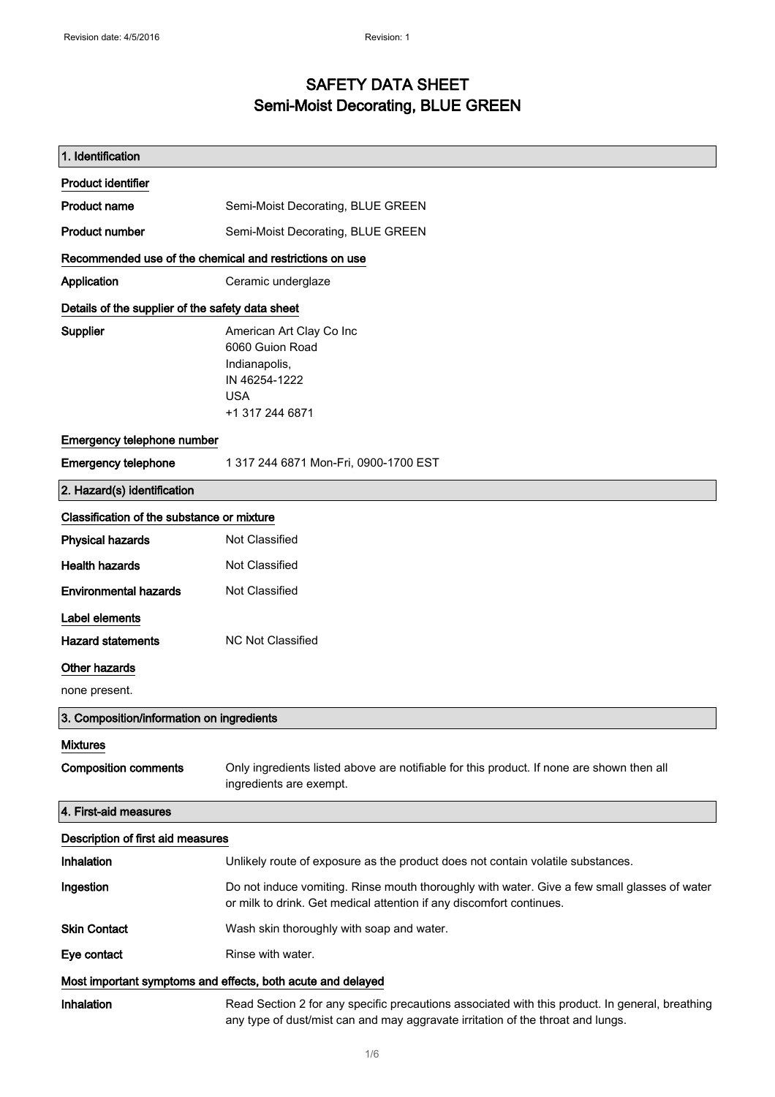### SAFETY DATA SHEET Semi-Moist Decorating, BLUE GREEN

| 1. Identification                                           |                                                                                                                                                                                    |
|-------------------------------------------------------------|------------------------------------------------------------------------------------------------------------------------------------------------------------------------------------|
|                                                             |                                                                                                                                                                                    |
| <b>Product identifier</b>                                   |                                                                                                                                                                                    |
| <b>Product name</b>                                         | Semi-Moist Decorating, BLUE GREEN                                                                                                                                                  |
| <b>Product number</b>                                       | Semi-Moist Decorating, BLUE GREEN                                                                                                                                                  |
| Recommended use of the chemical and restrictions on use     |                                                                                                                                                                                    |
| Application                                                 | Ceramic underglaze                                                                                                                                                                 |
| Details of the supplier of the safety data sheet            |                                                                                                                                                                                    |
| Supplier                                                    | American Art Clay Co Inc<br>6060 Guion Road<br>Indianapolis,<br>IN 46254-1222<br><b>USA</b><br>+1 317 244 6871                                                                     |
| Emergency telephone number                                  |                                                                                                                                                                                    |
| <b>Emergency telephone</b>                                  | 1 317 244 6871 Mon-Fri, 0900-1700 EST                                                                                                                                              |
| 2. Hazard(s) identification                                 |                                                                                                                                                                                    |
| Classification of the substance or mixture                  |                                                                                                                                                                                    |
| <b>Physical hazards</b>                                     | Not Classified                                                                                                                                                                     |
| <b>Health hazards</b>                                       | Not Classified                                                                                                                                                                     |
| <b>Environmental hazards</b>                                | Not Classified                                                                                                                                                                     |
| Label elements                                              |                                                                                                                                                                                    |
| <b>Hazard statements</b>                                    | <b>NC Not Classified</b>                                                                                                                                                           |
| <b>Other hazards</b>                                        |                                                                                                                                                                                    |
| none present.                                               |                                                                                                                                                                                    |
| 3. Composition/information on ingredients                   |                                                                                                                                                                                    |
| <b>Mixtures</b>                                             |                                                                                                                                                                                    |
| <b>Composition comments</b>                                 | Only ingredients listed above are notifiable for this product. If none are shown then all<br>ingredients are exempt.                                                               |
| 4. First-aid measures                                       |                                                                                                                                                                                    |
| Description of first aid measures                           |                                                                                                                                                                                    |
| Inhalation                                                  | Unlikely route of exposure as the product does not contain volatile substances.                                                                                                    |
| Ingestion                                                   | Do not induce vomiting. Rinse mouth thoroughly with water. Give a few small glasses of water<br>or milk to drink. Get medical attention if any discomfort continues.               |
| <b>Skin Contact</b>                                         | Wash skin thoroughly with soap and water.                                                                                                                                          |
| Eye contact                                                 | Rinse with water.                                                                                                                                                                  |
| Most important symptoms and effects, both acute and delayed |                                                                                                                                                                                    |
| Inhalation                                                  | Read Section 2 for any specific precautions associated with this product. In general, breathing<br>any type of dust/mist can and may aggravate irritation of the throat and lungs. |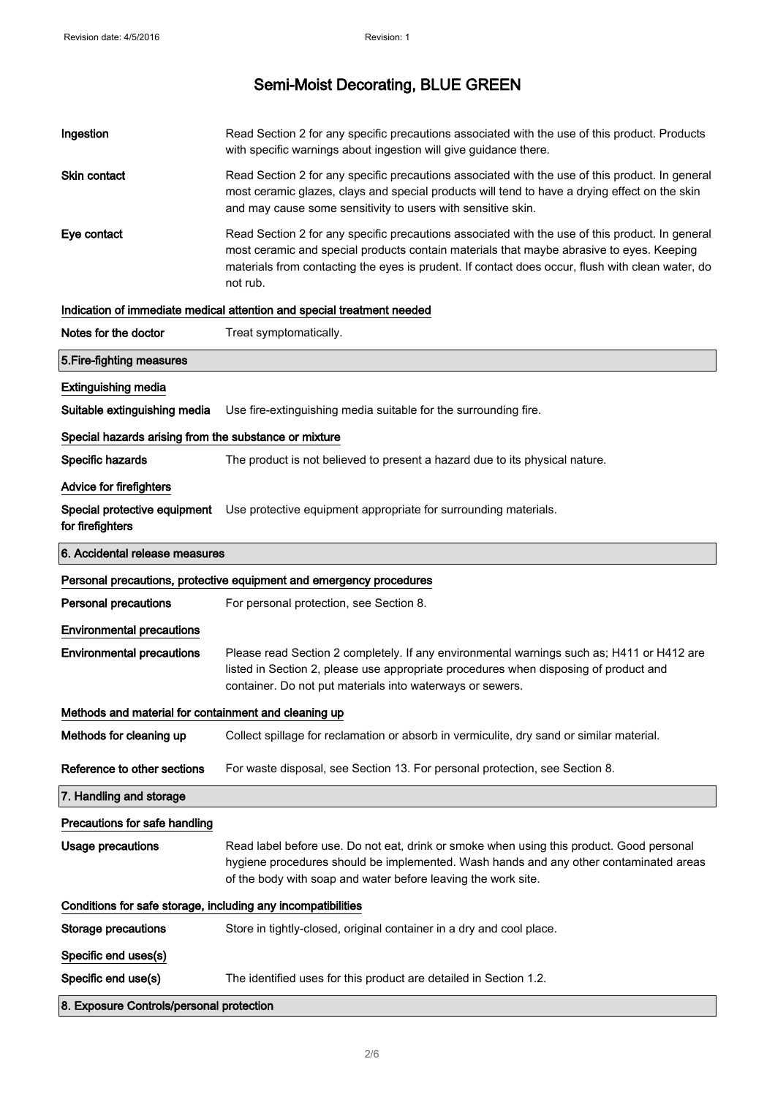| Ingestion                                                    | Read Section 2 for any specific precautions associated with the use of this product. Products<br>with specific warnings about ingestion will give guidance there.                                                                                                                                           |
|--------------------------------------------------------------|-------------------------------------------------------------------------------------------------------------------------------------------------------------------------------------------------------------------------------------------------------------------------------------------------------------|
| <b>Skin contact</b>                                          | Read Section 2 for any specific precautions associated with the use of this product. In general<br>most ceramic glazes, clays and special products will tend to have a drying effect on the skin<br>and may cause some sensitivity to users with sensitive skin.                                            |
| Eye contact                                                  | Read Section 2 for any specific precautions associated with the use of this product. In general<br>most ceramic and special products contain materials that maybe abrasive to eyes. Keeping<br>materials from contacting the eyes is prudent. If contact does occur, flush with clean water, do<br>not rub. |
|                                                              | Indication of immediate medical attention and special treatment needed                                                                                                                                                                                                                                      |
| Notes for the doctor                                         | Treat symptomatically.                                                                                                                                                                                                                                                                                      |
| 5. Fire-fighting measures                                    |                                                                                                                                                                                                                                                                                                             |
| <b>Extinguishing media</b>                                   |                                                                                                                                                                                                                                                                                                             |
| Suitable extinguishing media                                 | Use fire-extinguishing media suitable for the surrounding fire.                                                                                                                                                                                                                                             |
| Special hazards arising from the substance or mixture        |                                                                                                                                                                                                                                                                                                             |
| Specific hazards                                             | The product is not believed to present a hazard due to its physical nature.                                                                                                                                                                                                                                 |
| Advice for firefighters                                      |                                                                                                                                                                                                                                                                                                             |
| Special protective equipment<br>for firefighters             | Use protective equipment appropriate for surrounding materials.                                                                                                                                                                                                                                             |
| 6. Accidental release measures                               |                                                                                                                                                                                                                                                                                                             |
|                                                              | Personal precautions, protective equipment and emergency procedures                                                                                                                                                                                                                                         |
| <b>Personal precautions</b>                                  | For personal protection, see Section 8.                                                                                                                                                                                                                                                                     |
| <b>Environmental precautions</b>                             |                                                                                                                                                                                                                                                                                                             |
| <b>Environmental precautions</b>                             | Please read Section 2 completely. If any environmental warnings such as; H411 or H412 are<br>listed in Section 2, please use appropriate procedures when disposing of product and<br>container. Do not put materials into waterways or sewers.                                                              |
| Methods and material for containment and cleaning up         |                                                                                                                                                                                                                                                                                                             |
| Methods for cleaning up                                      | Collect spillage for reclamation or absorb in vermiculite, dry sand or similar material.                                                                                                                                                                                                                    |
| Reference to other sections                                  | For waste disposal, see Section 13. For personal protection, see Section 8.                                                                                                                                                                                                                                 |
| 7. Handling and storage                                      |                                                                                                                                                                                                                                                                                                             |
| Precautions for safe handling                                |                                                                                                                                                                                                                                                                                                             |
| <b>Usage precautions</b>                                     | Read label before use. Do not eat, drink or smoke when using this product. Good personal                                                                                                                                                                                                                    |
|                                                              | hygiene procedures should be implemented. Wash hands and any other contaminated areas<br>of the body with soap and water before leaving the work site.                                                                                                                                                      |
| Conditions for safe storage, including any incompatibilities |                                                                                                                                                                                                                                                                                                             |
| <b>Storage precautions</b>                                   | Store in tightly-closed, original container in a dry and cool place.                                                                                                                                                                                                                                        |
| Specific end uses(s)                                         |                                                                                                                                                                                                                                                                                                             |
|                                                              |                                                                                                                                                                                                                                                                                                             |
| Specific end use(s)                                          | The identified uses for this product are detailed in Section 1.2.                                                                                                                                                                                                                                           |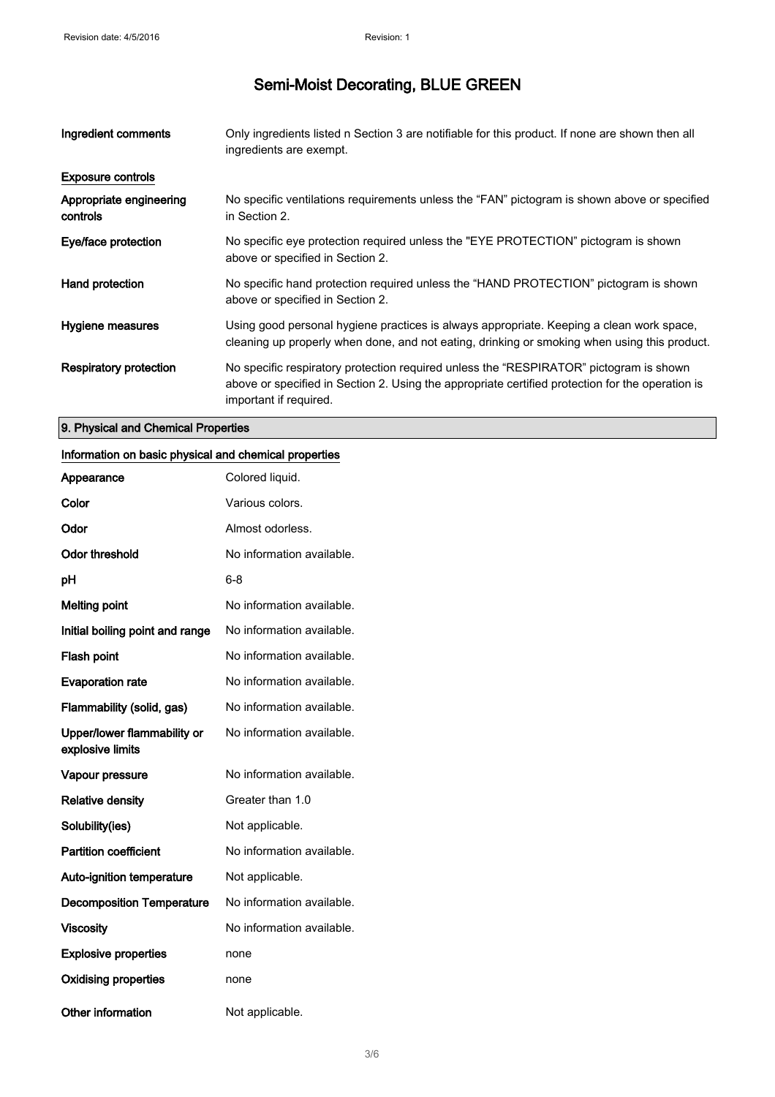| Ingredient comments                 | Only ingredients listed n Section 3 are notifiable for this product. If none are shown then all<br>ingredients are exempt.                                                                                           |
|-------------------------------------|----------------------------------------------------------------------------------------------------------------------------------------------------------------------------------------------------------------------|
| <b>Exposure controls</b>            |                                                                                                                                                                                                                      |
| Appropriate engineering<br>controls | No specific ventilations requirements unless the "FAN" pictogram is shown above or specified<br>in Section 2.                                                                                                        |
| Eye/face protection                 | No specific eye protection required unless the "EYE PROTECTION" pictogram is shown<br>above or specified in Section 2.                                                                                               |
| Hand protection                     | No specific hand protection required unless the "HAND PROTECTION" pictogram is shown<br>above or specified in Section 2.                                                                                             |
| Hygiene measures                    | Using good personal hygiene practices is always appropriate. Keeping a clean work space,<br>cleaning up properly when done, and not eating, drinking or smoking when using this product.                             |
| <b>Respiratory protection</b>       | No specific respiratory protection required unless the "RESPIRATOR" pictogram is shown<br>above or specified in Section 2. Using the appropriate certified protection for the operation is<br>important if required. |

### 9. Physical and Chemical Properties

#### Information on basic physical and chemical properties

| Appearance                                      | Colored liquid.           |
|-------------------------------------------------|---------------------------|
| Color                                           | Various colors.           |
| Odor                                            | Almost odorless.          |
| <b>Odor threshold</b>                           | No information available. |
| рH                                              | 6-8                       |
| <b>Melting point</b>                            | No information available. |
| Initial boiling point and range                 | No information available. |
| <b>Flash point</b>                              | No information available. |
| <b>Evaporation rate</b>                         | No information available. |
| Flammability (solid, gas)                       | No information available. |
| Upper/lower flammability or<br>explosive limits | No information available. |
| Vapour pressure                                 | No information available. |
| <b>Relative density</b>                         | Greater than 1.0          |
| Solubility(ies)                                 | Not applicable.           |
| <b>Partition coefficient</b>                    | No information available. |
| <b>Auto-ignition temperature</b>                | Not applicable.           |
| <b>Decomposition Temperature</b>                | No information available. |
| <b>Viscosity</b>                                | No information available. |
| <b>Explosive properties</b>                     | none                      |
| <b>Oxidising properties</b>                     | none                      |
| Other information                               | Not applicable.           |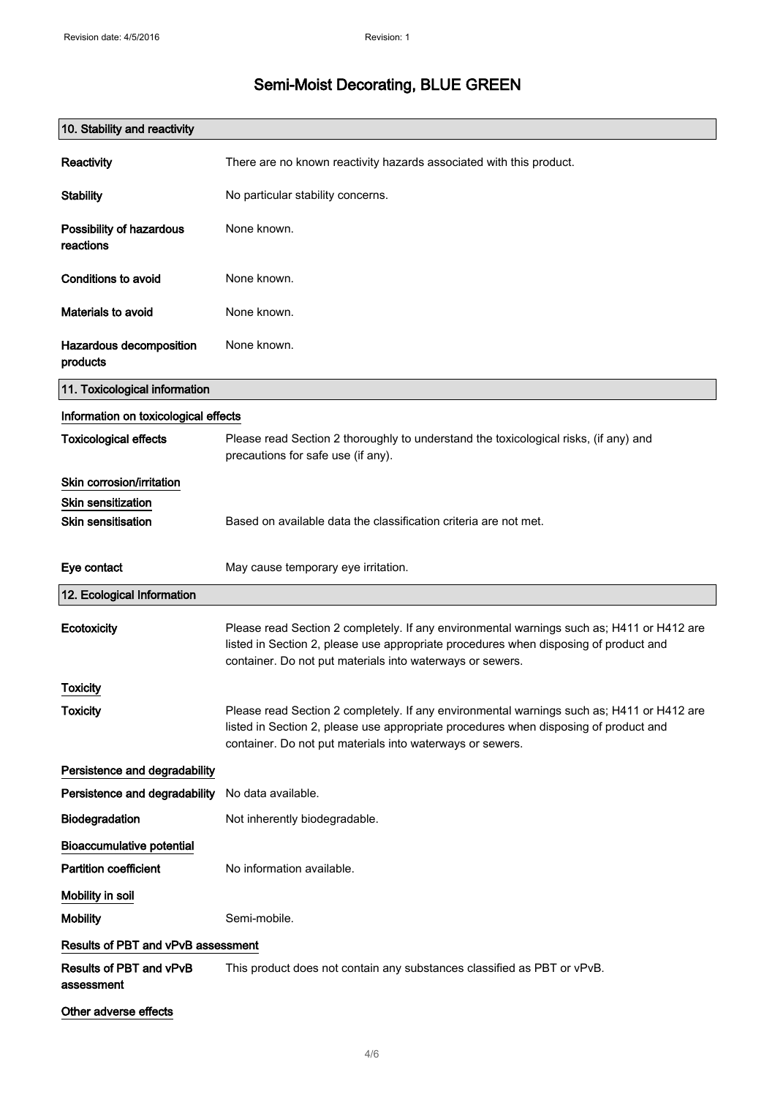| 10. Stability and reactivity          |                                                                                                                                                                                                                                                |
|---------------------------------------|------------------------------------------------------------------------------------------------------------------------------------------------------------------------------------------------------------------------------------------------|
| Reactivity                            | There are no known reactivity hazards associated with this product.                                                                                                                                                                            |
| <b>Stability</b>                      | No particular stability concerns.                                                                                                                                                                                                              |
| Possibility of hazardous<br>reactions | None known.                                                                                                                                                                                                                                    |
| Conditions to avoid                   | None known.                                                                                                                                                                                                                                    |
| Materials to avoid                    | None known.                                                                                                                                                                                                                                    |
| Hazardous decomposition<br>products   | None known.                                                                                                                                                                                                                                    |
| 11. Toxicological information         |                                                                                                                                                                                                                                                |
| Information on toxicological effects  |                                                                                                                                                                                                                                                |
| <b>Toxicological effects</b>          | Please read Section 2 thoroughly to understand the toxicological risks, (if any) and<br>precautions for safe use (if any).                                                                                                                     |
| Skin corrosion/irritation             |                                                                                                                                                                                                                                                |
| <b>Skin sensitization</b>             |                                                                                                                                                                                                                                                |
| <b>Skin sensitisation</b>             | Based on available data the classification criteria are not met.                                                                                                                                                                               |
| Eye contact                           | May cause temporary eye irritation.                                                                                                                                                                                                            |
| 12. Ecological Information            |                                                                                                                                                                                                                                                |
| Ecotoxicity                           | Please read Section 2 completely. If any environmental warnings such as; H411 or H412 are<br>listed in Section 2, please use appropriate procedures when disposing of product and<br>container. Do not put materials into waterways or sewers. |
| <b>Toxicity</b>                       |                                                                                                                                                                                                                                                |
| <b>Toxicity</b>                       | Please read Section 2 completely. If any environmental warnings such as; H411 or H412 are<br>listed in Section 2, please use appropriate procedures when disposing of product and<br>container. Do not put materials into waterways or sewers. |
| Persistence and degradability         |                                                                                                                                                                                                                                                |
| Persistence and degradability         | No data available.                                                                                                                                                                                                                             |
| Biodegradation                        | Not inherently biodegradable.                                                                                                                                                                                                                  |
| <b>Bioaccumulative potential</b>      |                                                                                                                                                                                                                                                |
| <b>Partition coefficient</b>          | No information available.                                                                                                                                                                                                                      |
| Mobility in soil                      |                                                                                                                                                                                                                                                |
| <b>Mobility</b>                       | Semi-mobile.                                                                                                                                                                                                                                   |
| Results of PBT and vPvB assessment    |                                                                                                                                                                                                                                                |
| Results of PBT and vPvB<br>assessment | This product does not contain any substances classified as PBT or vPvB.                                                                                                                                                                        |
| Other adverse effects                 |                                                                                                                                                                                                                                                |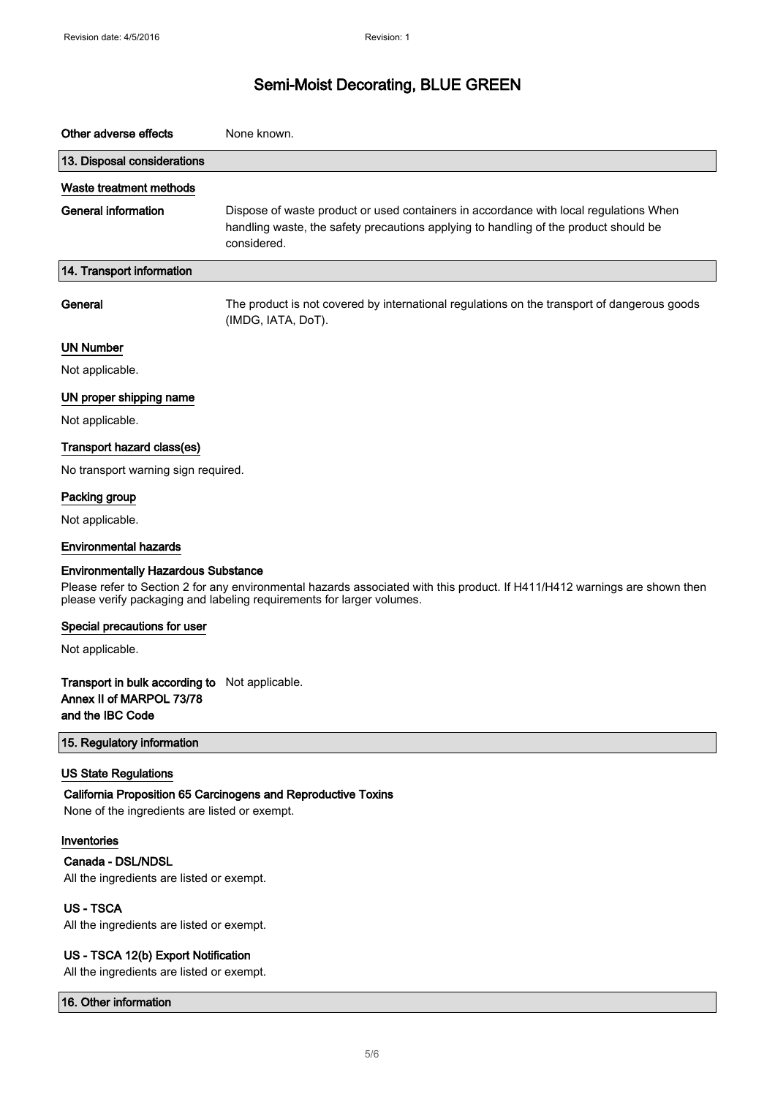| Other adverse effects                                                                                                                                                                                                                             | None known.                                                                                                                                                                                  |
|---------------------------------------------------------------------------------------------------------------------------------------------------------------------------------------------------------------------------------------------------|----------------------------------------------------------------------------------------------------------------------------------------------------------------------------------------------|
| 13. Disposal considerations                                                                                                                                                                                                                       |                                                                                                                                                                                              |
| Waste treatment methods                                                                                                                                                                                                                           |                                                                                                                                                                                              |
| <b>General information</b>                                                                                                                                                                                                                        | Dispose of waste product or used containers in accordance with local regulations When<br>handling waste, the safety precautions applying to handling of the product should be<br>considered. |
| 14. Transport information                                                                                                                                                                                                                         |                                                                                                                                                                                              |
| General                                                                                                                                                                                                                                           | The product is not covered by international regulations on the transport of dangerous goods<br>(IMDG, IATA, DoT).                                                                            |
| <b>UN Number</b>                                                                                                                                                                                                                                  |                                                                                                                                                                                              |
| Not applicable.                                                                                                                                                                                                                                   |                                                                                                                                                                                              |
| UN proper shipping name                                                                                                                                                                                                                           |                                                                                                                                                                                              |
| Not applicable.                                                                                                                                                                                                                                   |                                                                                                                                                                                              |
| Transport hazard class(es)                                                                                                                                                                                                                        |                                                                                                                                                                                              |
| No transport warning sign required.                                                                                                                                                                                                               |                                                                                                                                                                                              |
| Packing group                                                                                                                                                                                                                                     |                                                                                                                                                                                              |
| Not applicable.                                                                                                                                                                                                                                   |                                                                                                                                                                                              |
| <b>Environmental hazards</b>                                                                                                                                                                                                                      |                                                                                                                                                                                              |
| <b>Environmentally Hazardous Substance</b><br>Please refer to Section 2 for any environmental hazards associated with this product. If H411/H412 warnings are shown then<br>please verify packaging and labeling requirements for larger volumes. |                                                                                                                                                                                              |
| Special precautions for user                                                                                                                                                                                                                      |                                                                                                                                                                                              |
| Not applicable.                                                                                                                                                                                                                                   |                                                                                                                                                                                              |
| Transport in bulk according to<br>Annex II of MARPOL 73/78<br>and the IBC Code                                                                                                                                                                    | Not applicable.                                                                                                                                                                              |
| 15. Regulatory information                                                                                                                                                                                                                        |                                                                                                                                                                                              |
| <b>US State Regulations</b><br>None of the ingredients are listed or exempt.                                                                                                                                                                      | California Proposition 65 Carcinogens and Reproductive Toxins                                                                                                                                |
| Inventories                                                                                                                                                                                                                                       |                                                                                                                                                                                              |
| Canada - DSL/NDSL                                                                                                                                                                                                                                 |                                                                                                                                                                                              |
| All the ingredients are listed or exempt.                                                                                                                                                                                                         |                                                                                                                                                                                              |
| <b>US-TSCA</b><br>All the ingredients are listed or exempt.                                                                                                                                                                                       |                                                                                                                                                                                              |
| US - TSCA 12(b) Export Notification                                                                                                                                                                                                               |                                                                                                                                                                                              |

All the ingredients are listed or exempt.

16. Other information